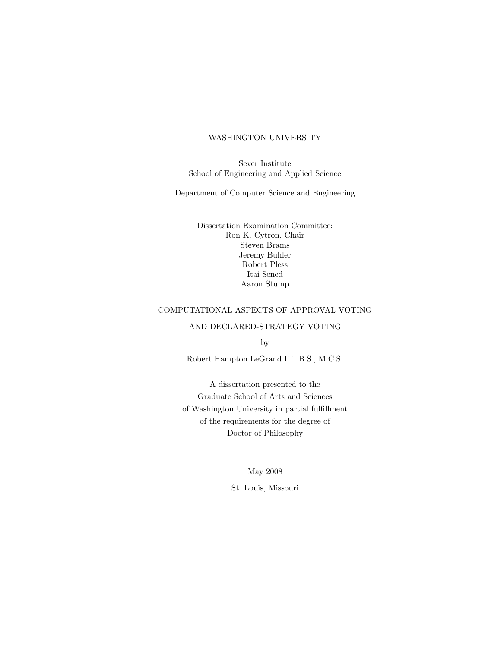#### WASHINGTON UNIVERSITY

Sever Institute School of Engineering and Applied Science

Department of Computer Science and Engineering

Dissertation Examination Committee: Ron K. Cytron, Chair Steven Brams Jeremy Buhler Robert Pless Itai Sened Aaron Stump

#### COMPUTATIONAL ASPECTS OF APPROVAL VOTING

AND DECLARED-STRATEGY VOTING

by

Robert Hampton LeGrand III, B.S., M.C.S.

A dissertation presented to the Graduate School of Arts and Sciences of Washington University in partial fulfillment of the requirements for the degree of Doctor of Philosophy

May 2008

St. Louis, Missouri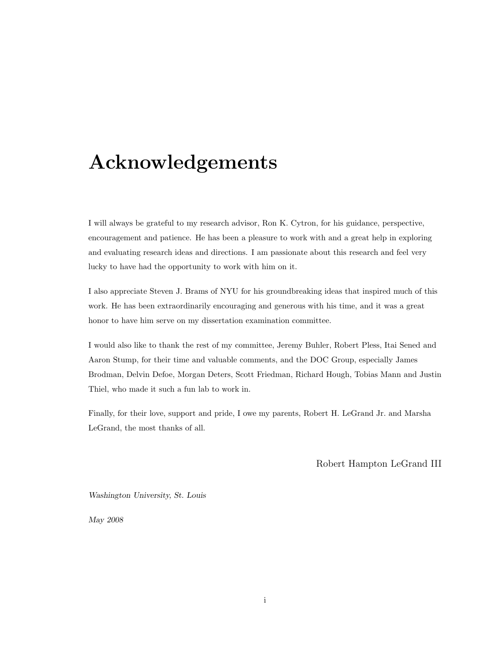## Acknowledgements

I will always be grateful to my research advisor, Ron K. Cytron, for his guidance, perspective, encouragement and patience. He has been a pleasure to work with and a great help in exploring and evaluating research ideas and directions. I am passionate about this research and feel very lucky to have had the opportunity to work with him on it.

I also appreciate Steven J. Brams of NYU for his groundbreaking ideas that inspired much of this work. He has been extraordinarily encouraging and generous with his time, and it was a great honor to have him serve on my dissertation examination committee.

I would also like to thank the rest of my committee, Jeremy Buhler, Robert Pless, Itai Sened and Aaron Stump, for their time and valuable comments, and the DOC Group, especially James Brodman, Delvin Defoe, Morgan Deters, Scott Friedman, Richard Hough, Tobias Mann and Justin Thiel, who made it such a fun lab to work in.

Finally, for their love, support and pride, I owe my parents, Robert H. LeGrand Jr. and Marsha LeGrand, the most thanks of all.

Robert Hampton LeGrand III

Washington University, St. Louis

May 2008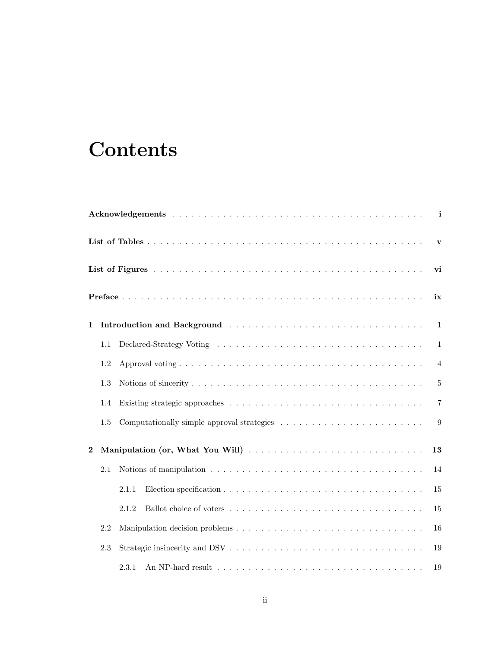# **Contents**

|              |     |       | i              |
|--------------|-----|-------|----------------|
|              |     |       | $\mathbf{v}$   |
|              |     |       | vi             |
|              |     |       | ix             |
| $\mathbf{1}$ |     |       | $\mathbf{1}$   |
|              | 1.1 |       | $\mathbf{1}$   |
|              | 1.2 |       | $\overline{4}$ |
|              | 1.3 |       | $\bf 5$        |
|              | 1.4 |       | $\overline{7}$ |
|              | 1.5 |       | 9              |
| $\bf{2}$     |     |       | 13             |
|              | 2.1 |       | 14             |
|              |     | 2.1.1 | 15             |
|              |     | 2.1.2 | 15             |
|              | 2.2 |       | 16             |
|              | 2.3 |       | 19             |
|              |     | 2.3.1 | 19             |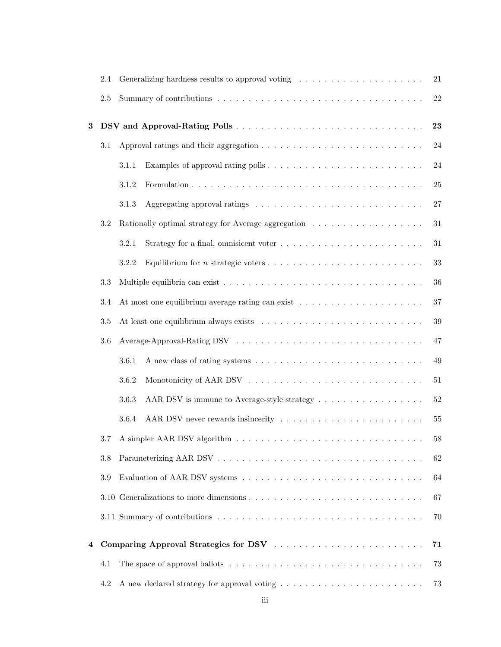|   | 2.4     |                                                                                                               | 21 |
|---|---------|---------------------------------------------------------------------------------------------------------------|----|
|   | 2.5     |                                                                                                               | 22 |
| 3 |         |                                                                                                               | 23 |
|   | 3.1     |                                                                                                               | 24 |
|   |         | Examples of approval rating polls $\dots \dots \dots \dots \dots \dots \dots \dots \dots \dots$<br>3.1.1      | 24 |
|   |         | 3.1.2                                                                                                         | 25 |
|   |         | 3.1.3                                                                                                         | 27 |
|   | $3.2\,$ |                                                                                                               | 31 |
|   |         | 3.2.1                                                                                                         | 31 |
|   |         | 3.2.2                                                                                                         | 33 |
|   | 3.3     |                                                                                                               | 36 |
|   | 3.4     |                                                                                                               | 37 |
|   | 3.5     |                                                                                                               | 39 |
|   | 3.6     |                                                                                                               | 47 |
|   |         | 3.6.1                                                                                                         | 49 |
|   |         | 3.6.2                                                                                                         | 51 |
|   |         | AAR DSV is immune to Average-style strategy<br>3.6.3                                                          | 52 |
|   |         | 3.6.4                                                                                                         | 55 |
|   | 3.7     | A simpler AAR DSV algorithm $\ldots \ldots \ldots \ldots \ldots \ldots$                                       | 58 |
|   | 3.8     |                                                                                                               | 62 |
|   | 3.9     |                                                                                                               | 64 |
|   |         |                                                                                                               | 67 |
|   |         |                                                                                                               | 70 |
| 4 |         |                                                                                                               | 71 |
|   | 4.1     | The space of approval ballots $\dots \dots \dots \dots \dots \dots \dots \dots \dots \dots \dots \dots \dots$ | 73 |
|   | 4.2     | A new declared strategy for approval voting $\dots \dots \dots \dots \dots \dots \dots \dots \dots$           | 73 |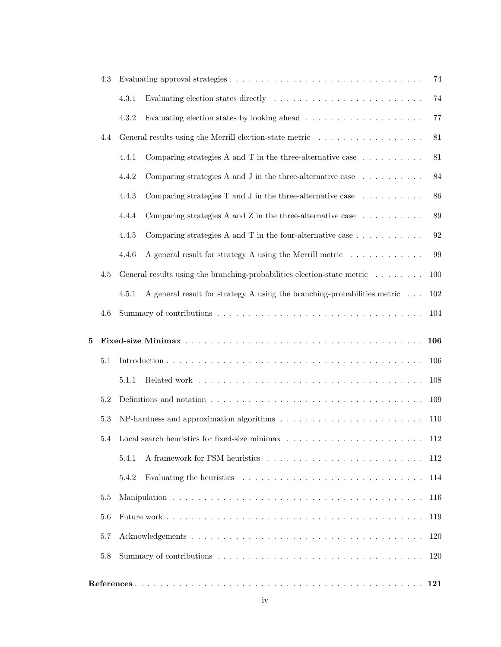|          | 4.3     | 74                                                                                                                    |
|----------|---------|-----------------------------------------------------------------------------------------------------------------------|
|          |         | 4.3.1<br>74                                                                                                           |
|          |         | Evaluating election states by looking ahead $\ldots \ldots \ldots \ldots \ldots \ldots$<br>4.3.2<br>77                |
|          | 4.4     | 81                                                                                                                    |
|          |         | Comparing strategies A and T in the three-alternative case $\dots \dots \dots$<br>4.4.1<br>81                         |
|          |         | Comparing strategies A and J in the three-alternative case $\ldots \ldots \ldots$<br>84<br>4.4.2                      |
|          |         | Comparing strategies T and J in the three-alternative case $\ldots \ldots \ldots$<br>86<br>4.4.3                      |
|          |         | Comparing strategies A and Z in the three-alternative case $\ldots \ldots \ldots$<br>89<br>4.4.4                      |
|          |         | Comparing strategies A and T in the four-alternative case $\dots \dots \dots$<br>4.4.5<br>92                          |
|          |         | A general result for strategy A using the Merrill metric $\dots \dots \dots \dots$<br>4.4.6<br>99                     |
|          | 4.5     | General results using the branching-probabilities election-state metric $\dots \dots$<br>100                          |
|          |         | A general result for strategy A using the branching-probabilities metric $\ldots$<br>4.5.1<br>102                     |
|          | 4.6     | 104                                                                                                                   |
| $\bf{5}$ |         | 106                                                                                                                   |
|          | $5.1\,$ | 106                                                                                                                   |
|          |         | 5.1.1<br>108                                                                                                          |
|          | 5.2     | Definitions and notation $\ldots \ldots \ldots \ldots \ldots \ldots \ldots \ldots \ldots \ldots \ldots$<br>109        |
|          | $5.3\,$ | NP-hardness and approximation algorithms $\ldots \ldots \ldots \ldots \ldots \ldots \ldots \ldots$<br>110             |
|          |         | 5.4 Local search heuristics for fixed-size minimax<br>112                                                             |
|          |         |                                                                                                                       |
|          |         | 5.4.1                                                                                                                 |
|          |         | Evaluating the heuristics $\ldots \ldots \ldots \ldots \ldots \ldots \ldots \ldots \ldots \ldots \ldots 114$<br>5.4.2 |
|          | 5.5     | -116                                                                                                                  |
|          | 5.6     | 119                                                                                                                   |
|          | 5.7     | -120                                                                                                                  |
|          | 5.8     | - 120                                                                                                                 |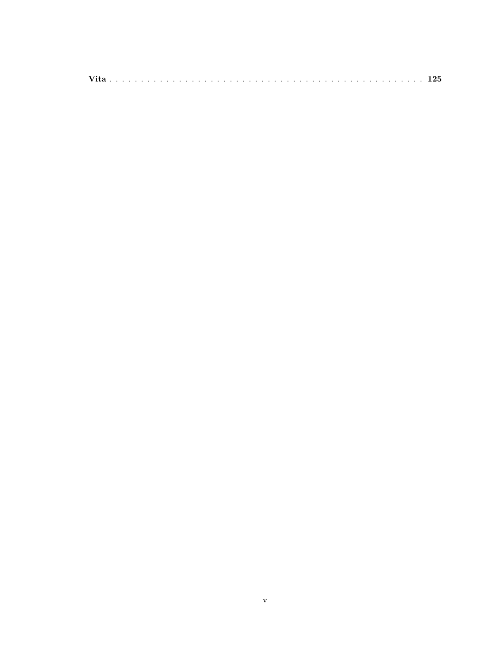| <b>TT</b><br>$V$ Ita. |  |
|-----------------------|--|
|-----------------------|--|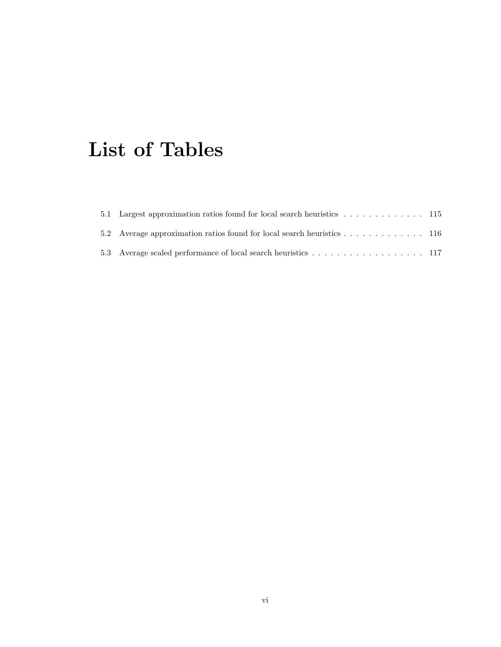# List of Tables

| 5.2 Average approximation ratios found for local search heuristics 116 |  |
|------------------------------------------------------------------------|--|
| 5.3 Average scaled performance of local search heuristics 117          |  |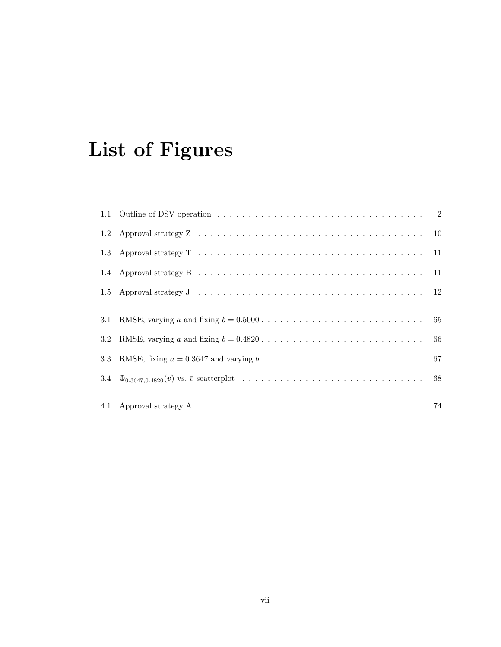# List of Figures

| $3.1\,$          | RMSE, varying a and fixing $b = 0.5000 \ldots \ldots \ldots \ldots \ldots \ldots \ldots \ldots \ldots \ldots \ldots 65$ |  |
|------------------|-------------------------------------------------------------------------------------------------------------------------|--|
| $3.2\phantom{0}$ | RMSE, varying a and fixing $b = 0.4820$ 66                                                                              |  |
|                  |                                                                                                                         |  |
|                  |                                                                                                                         |  |
|                  |                                                                                                                         |  |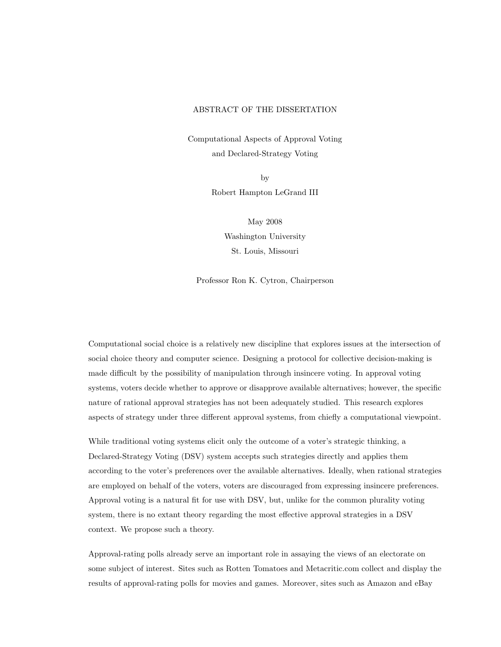#### ABSTRACT OF THE DISSERTATION

Computational Aspects of Approval Voting and Declared-Strategy Voting

> by Robert Hampton LeGrand III

> > May 2008 Washington University St. Louis, Missouri

Professor Ron K. Cytron, Chairperson

Computational social choice is a relatively new discipline that explores issues at the intersection of social choice theory and computer science. Designing a protocol for collective decision-making is made difficult by the possibility of manipulation through insincere voting. In approval voting systems, voters decide whether to approve or disapprove available alternatives; however, the specific nature of rational approval strategies has not been adequately studied. This research explores aspects of strategy under three different approval systems, from chiefly a computational viewpoint.

While traditional voting systems elicit only the outcome of a voter's strategic thinking, a Declared-Strategy Voting (DSV) system accepts such strategies directly and applies them according to the voter's preferences over the available alternatives. Ideally, when rational strategies are employed on behalf of the voters, voters are discouraged from expressing insincere preferences. Approval voting is a natural fit for use with DSV, but, unlike for the common plurality voting system, there is no extant theory regarding the most effective approval strategies in a DSV context. We propose such a theory.

Approval-rating polls already serve an important role in assaying the views of an electorate on some subject of interest. Sites such as Rotten Tomatoes and Metacritic.com collect and display the results of approval-rating polls for movies and games. Moreover, sites such as Amazon and eBay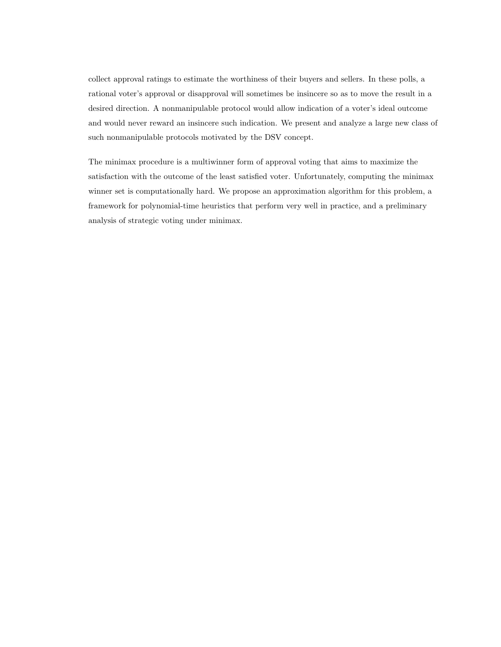collect approval ratings to estimate the worthiness of their buyers and sellers. In these polls, a rational voter's approval or disapproval will sometimes be insincere so as to move the result in a desired direction. A nonmanipulable protocol would allow indication of a voter's ideal outcome and would never reward an insincere such indication. We present and analyze a large new class of such nonmanipulable protocols motivated by the DSV concept.

The minimax procedure is a multiwinner form of approval voting that aims to maximize the satisfaction with the outcome of the least satisfied voter. Unfortunately, computing the minimax winner set is computationally hard. We propose an approximation algorithm for this problem, a framework for polynomial-time heuristics that perform very well in practice, and a preliminary analysis of strategic voting under minimax.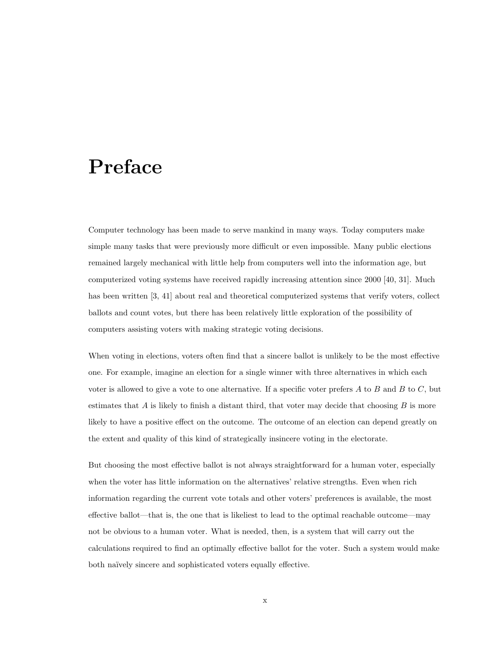## Preface

Computer technology has been made to serve mankind in many ways. Today computers make simple many tasks that were previously more difficult or even impossible. Many public elections remained largely mechanical with little help from computers well into the information age, but computerized voting systems have received rapidly increasing attention since 2000 [40, 31]. Much has been written [3, 41] about real and theoretical computerized systems that verify voters, collect ballots and count votes, but there has been relatively little exploration of the possibility of computers assisting voters with making strategic voting decisions.

When voting in elections, voters often find that a sincere ballot is unlikely to be the most effective one. For example, imagine an election for a single winner with three alternatives in which each voter is allowed to give a vote to one alternative. If a specific voter prefers  $A$  to  $B$  and  $B$  to  $C$ , but estimates that  $A$  is likely to finish a distant third, that voter may decide that choosing  $B$  is more likely to have a positive effect on the outcome. The outcome of an election can depend greatly on the extent and quality of this kind of strategically insincere voting in the electorate.

But choosing the most effective ballot is not always straightforward for a human voter, especially when the voter has little information on the alternatives' relative strengths. Even when rich information regarding the current vote totals and other voters' preferences is available, the most effective ballot—that is, the one that is likeliest to lead to the optimal reachable outcome—may not be obvious to a human voter. What is needed, then, is a system that will carry out the calculations required to find an optimally effective ballot for the voter. Such a system would make both naïvely sincere and sophisticated voters equally effective.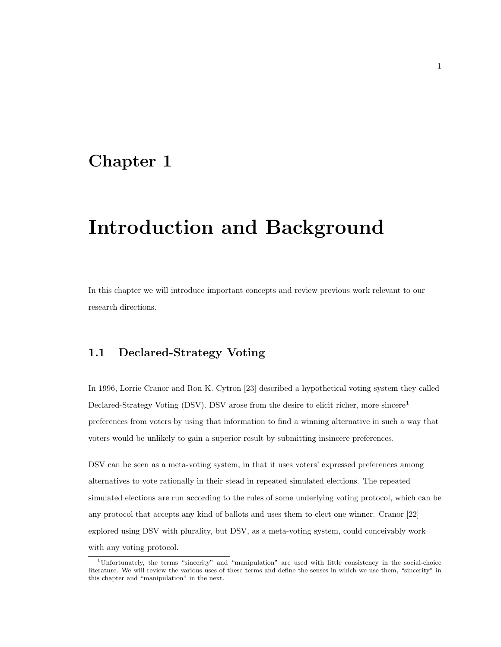## Chapter 1

## Introduction and Background

In this chapter we will introduce important concepts and review previous work relevant to our research directions.

### 1.1 Declared-Strategy Voting

In 1996, Lorrie Cranor and Ron K. Cytron [23] described a hypothetical voting system they called Declared-Strategy Voting (DSV). DSV arose from the desire to elicit richer, more sincere<sup>1</sup> preferences from voters by using that information to find a winning alternative in such a way that voters would be unlikely to gain a superior result by submitting insincere preferences.

DSV can be seen as a meta-voting system, in that it uses voters' expressed preferences among alternatives to vote rationally in their stead in repeated simulated elections. The repeated simulated elections are run according to the rules of some underlying voting protocol, which can be any protocol that accepts any kind of ballots and uses them to elect one winner. Cranor [22] explored using DSV with plurality, but DSV, as a meta-voting system, could conceivably work with any voting protocol.

<sup>1</sup>Unfortunately, the terms "sincerity" and "manipulation" are used with little consistency in the social-choice literature. We will review the various uses of these terms and define the senses in which we use them, "sincerity" in this chapter and "manipulation" in the next.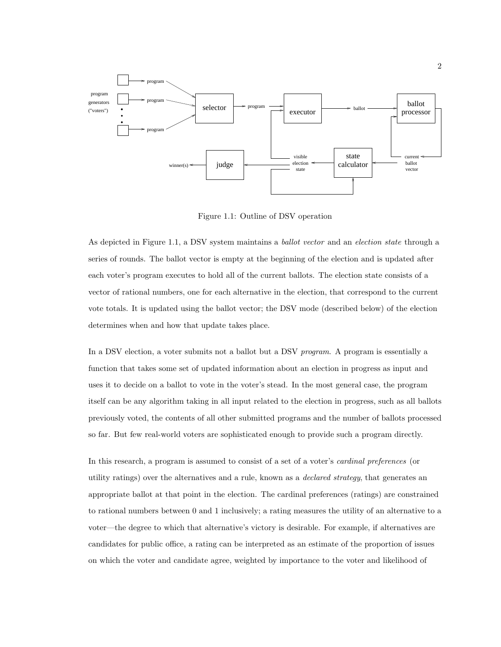

Figure 1.1: Outline of DSV operation

As depicted in Figure 1.1, a DSV system maintains a *ballot vector* and an *election state* through a series of rounds. The ballot vector is empty at the beginning of the election and is updated after each voter's program executes to hold all of the current ballots. The election state consists of a vector of rational numbers, one for each alternative in the election, that correspond to the current vote totals. It is updated using the ballot vector; the DSV mode (described below) of the election determines when and how that update takes place.

In a DSV election, a voter submits not a ballot but a DSV program. A program is essentially a function that takes some set of updated information about an election in progress as input and uses it to decide on a ballot to vote in the voter's stead. In the most general case, the program itself can be any algorithm taking in all input related to the election in progress, such as all ballots previously voted, the contents of all other submitted programs and the number of ballots processed so far. But few real-world voters are sophisticated enough to provide such a program directly.

In this research, a program is assumed to consist of a set of a voter's cardinal preferences (or utility ratings) over the alternatives and a rule, known as a declared strategy, that generates an appropriate ballot at that point in the election. The cardinal preferences (ratings) are constrained to rational numbers between 0 and 1 inclusively; a rating measures the utility of an alternative to a voter—the degree to which that alternative's victory is desirable. For example, if alternatives are candidates for public office, a rating can be interpreted as an estimate of the proportion of issues on which the voter and candidate agree, weighted by importance to the voter and likelihood of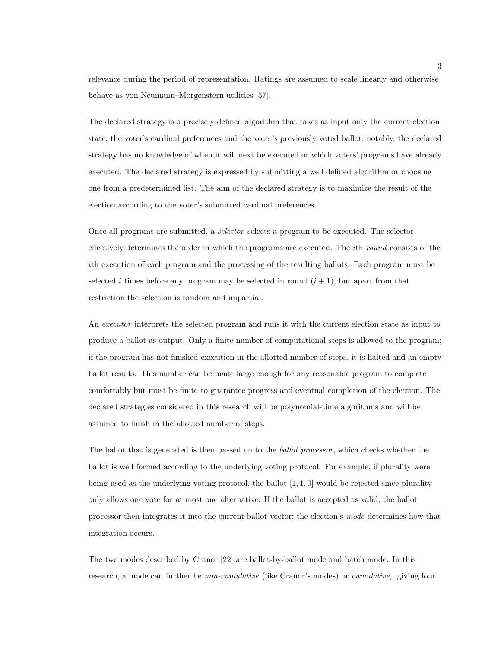relevance during the period of representation. Ratings are assumed to scale linearly and otherwise behave as von Neumann–Morgenstern utilities [57].

The declared strategy is a precisely defined algorithm that takes as input only the current election state, the voter's cardinal preferences and the voter's previously voted ballot; notably, the declared strategy has no knowledge of when it will next be executed or which voters' programs have already executed. The declared strategy is expressed by submitting a well defined algorithm or choosing one from a predetermined list. The aim of the declared strategy is to maximize the result of the election according to the voter's submitted cardinal preferences.

Once all programs are submitted, a selector selects a program to be executed. The selector effectively determines the order in which the programs are executed. The *i*th *round* consists of the ith execution of each program and the processing of the resulting ballots. Each program must be selected i times before any program may be selected in round  $(i + 1)$ , but apart from that restriction the selection is random and impartial.

An *executor* interprets the selected program and runs it with the current election state as input to produce a ballot as output. Only a finite number of computational steps is allowed to the program; if the program has not finished execution in the allotted number of steps, it is halted and an empty ballot results. This number can be made large enough for any reasonable program to complete comfortably but must be finite to guarantee progress and eventual completion of the election. The declared strategies considered in this research will be polynomial-time algorithms and will be assumed to finish in the allotted number of steps.

The ballot that is generated is then passed on to the ballot processor, which checks whether the ballot is well formed according to the underlying voting protocol. For example, if plurality were being used as the underlying voting protocol, the ballot  $[1, 1, 0]$  would be rejected since plurality only allows one vote for at most one alternative. If the ballot is accepted as valid, the ballot processor then integrates it into the current ballot vector; the election's mode determines how that integration occurs.

The two modes described by Cranor [22] are ballot-by-ballot mode and batch mode. In this research, a mode can further be *non-cumulative* (like Cranor's modes) or *cumulative*, giving four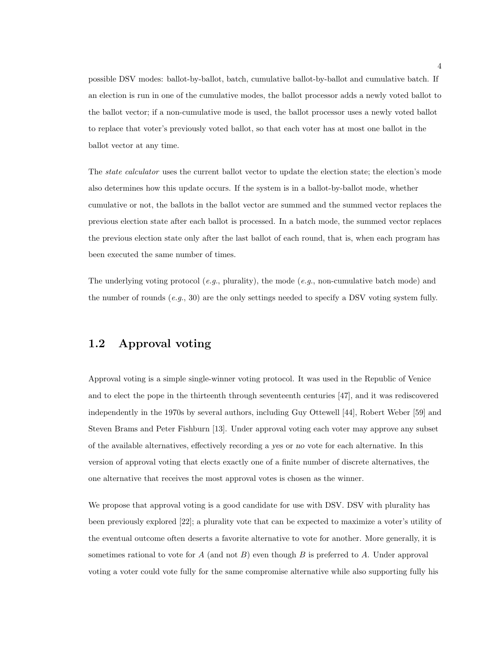possible DSV modes: ballot-by-ballot, batch, cumulative ballot-by-ballot and cumulative batch. If an election is run in one of the cumulative modes, the ballot processor adds a newly voted ballot to the ballot vector; if a non-cumulative mode is used, the ballot processor uses a newly voted ballot to replace that voter's previously voted ballot, so that each voter has at most one ballot in the ballot vector at any time.

The *state calculator* uses the current ballot vector to update the election state; the election's mode also determines how this update occurs. If the system is in a ballot-by-ballot mode, whether cumulative or not, the ballots in the ballot vector are summed and the summed vector replaces the previous election state after each ballot is processed. In a batch mode, the summed vector replaces the previous election state only after the last ballot of each round, that is, when each program has been executed the same number of times.

The underlying voting protocol (e.g., plurality), the mode (e.g., non-cumulative batch mode) and the number of rounds  $(e.q., 30)$  are the only settings needed to specify a DSV voting system fully.

### 1.2 Approval voting

Approval voting is a simple single-winner voting protocol. It was used in the Republic of Venice and to elect the pope in the thirteenth through seventeenth centuries [47], and it was rediscovered independently in the 1970s by several authors, including Guy Ottewell [44], Robert Weber [59] and Steven Brams and Peter Fishburn [13]. Under approval voting each voter may approve any subset of the available alternatives, effectively recording a yes or no vote for each alternative. In this version of approval voting that elects exactly one of a finite number of discrete alternatives, the one alternative that receives the most approval votes is chosen as the winner.

We propose that approval voting is a good candidate for use with DSV. DSV with plurality has been previously explored [22]; a plurality vote that can be expected to maximize a voter's utility of the eventual outcome often deserts a favorite alternative to vote for another. More generally, it is sometimes rational to vote for  $A$  (and not  $B$ ) even though  $B$  is preferred to  $A$ . Under approval voting a voter could vote fully for the same compromise alternative while also supporting fully his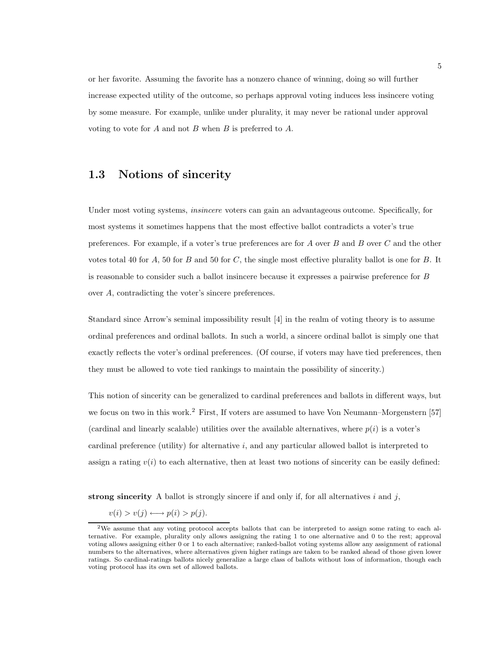or her favorite. Assuming the favorite has a nonzero chance of winning, doing so will further increase expected utility of the outcome, so perhaps approval voting induces less insincere voting by some measure. For example, unlike under plurality, it may never be rational under approval voting to vote for  $A$  and not  $B$  when  $B$  is preferred to  $A$ .

### 1.3 Notions of sincerity

Under most voting systems, insincere voters can gain an advantageous outcome. Specifically, for most systems it sometimes happens that the most effective ballot contradicts a voter's true preferences. For example, if a voter's true preferences are for  $A$  over  $B$  and  $B$  over  $C$  and the other votes total 40 for  $A$ , 50 for  $B$  and 50 for  $C$ , the single most effective plurality ballot is one for  $B$ . It is reasonable to consider such a ballot insincere because it expresses a pairwise preference for B over A, contradicting the voter's sincere preferences.

Standard since Arrow's seminal impossibility result [4] in the realm of voting theory is to assume ordinal preferences and ordinal ballots. In such a world, a sincere ordinal ballot is simply one that exactly reflects the voter's ordinal preferences. (Of course, if voters may have tied preferences, then they must be allowed to vote tied rankings to maintain the possibility of sincerity.)

This notion of sincerity can be generalized to cardinal preferences and ballots in different ways, but we focus on two in this work.<sup>2</sup> First, If voters are assumed to have Von Neumann–Morgenstern [57] (cardinal and linearly scalable) utilities over the available alternatives, where  $p(i)$  is a voter's cardinal preference (utility) for alternative  $i$ , and any particular allowed ballot is interpreted to assign a rating  $v(i)$  to each alternative, then at least two notions of sincerity can be easily defined:

strong sincerity A ballot is strongly sincere if and only if, for all alternatives  $i$  and  $j$ ,

$$
v(i) > v(j) \longleftrightarrow p(i) > p(j).
$$

<sup>2</sup>We assume that any voting protocol accepts ballots that can be interpreted to assign some rating to each alternative. For example, plurality only allows assigning the rating 1 to one alternative and 0 to the rest; approval voting allows assigning either 0 or 1 to each alternative; ranked-ballot voting systems allow any assignment of rational numbers to the alternatives, where alternatives given higher ratings are taken to be ranked ahead of those given lower ratings. So cardinal-ratings ballots nicely generalize a large class of ballots without loss of information, though each voting protocol has its own set of allowed ballots.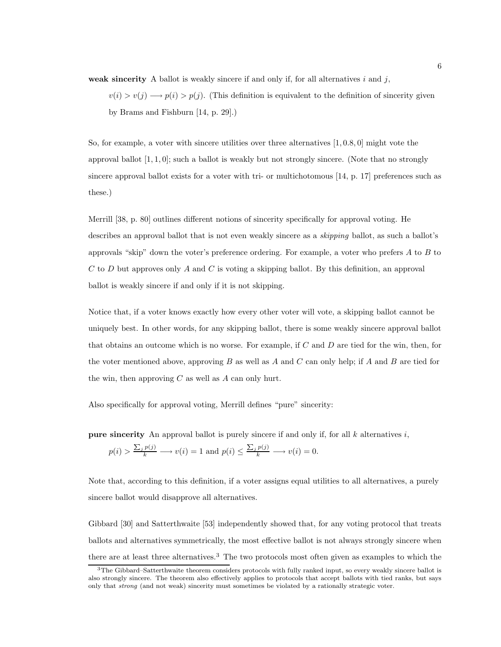weak sincerity A ballot is weakly sincere if and only if, for all alternatives  $i$  and  $j$ ,

 $v(i) > v(j) \longrightarrow p(i) > p(j)$ . (This definition is equivalent to the definition of sincerity given by Brams and Fishburn [14, p. 29].)

So, for example, a voter with sincere utilities over three alternatives [1, 0.8, 0] might vote the approval ballot  $[1, 1, 0]$ ; such a ballot is weakly but not strongly sincere. (Note that no strongly sincere approval ballot exists for a voter with tri- or multichotomous [14, p. 17] preferences such as these.)

Merrill [38, p. 80] outlines different notions of sincerity specifically for approval voting. He describes an approval ballot that is not even weakly sincere as a *skipping* ballot, as such a ballot's approvals "skip" down the voter's preference ordering. For example, a voter who prefers  $A$  to  $B$  to C to D but approves only A and C is voting a skipping ballot. By this definition, an approval ballot is weakly sincere if and only if it is not skipping.

Notice that, if a voter knows exactly how every other voter will vote, a skipping ballot cannot be uniquely best. In other words, for any skipping ballot, there is some weakly sincere approval ballot that obtains an outcome which is no worse. For example, if C and D are tied for the win, then, for the voter mentioned above, approving  $B$  as well as  $A$  and  $C$  can only help; if  $A$  and  $B$  are tied for the win, then approving  $C$  as well as  $A$  can only hurt.

Also specifically for approval voting, Merrill defines "pure" sincerity:

**pure sincerity** An approval ballot is purely sincere if and only if, for all  $k$  alternatives  $i$ ,

$$
p(i) > \frac{\sum_j p(j)}{k} \longrightarrow v(i) = 1
$$
 and  $p(i) \le \frac{\sum_j p(j)}{k} \longrightarrow v(i) = 0$ .

Note that, according to this definition, if a voter assigns equal utilities to all alternatives, a purely sincere ballot would disapprove all alternatives.

Gibbard [30] and Satterthwaite [53] independently showed that, for any voting protocol that treats ballots and alternatives symmetrically, the most effective ballot is not always strongly sincere when there are at least three alternatives.<sup>3</sup> The two protocols most often given as examples to which the

<sup>&</sup>lt;sup>3</sup>The Gibbard–Satterthwaite theorem considers protocols with fully ranked input, so every weakly sincere ballot is also strongly sincere. The theorem also effectively applies to protocols that accept ballots with tied ranks, but says only that strong (and not weak) sincerity must sometimes be violated by a rationally strategic voter.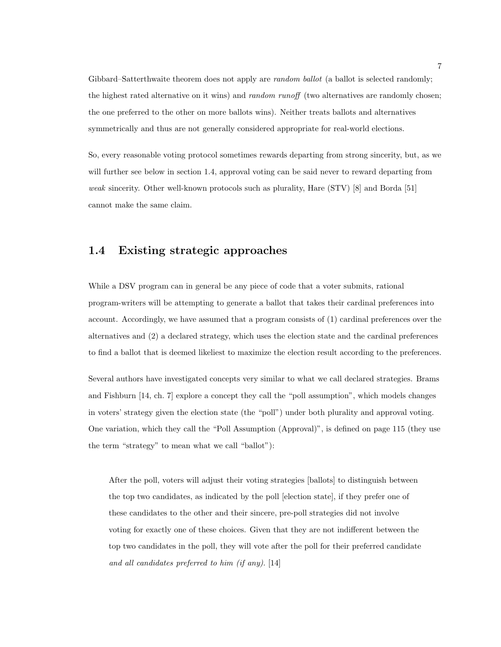Gibbard–Satterthwaite theorem does not apply are *random ballot* (a ballot is selected randomly; the highest rated alternative on it wins) and *random runoff* (two alternatives are randomly chosen; the one preferred to the other on more ballots wins). Neither treats ballots and alternatives symmetrically and thus are not generally considered appropriate for real-world elections.

So, every reasonable voting protocol sometimes rewards departing from strong sincerity, but, as we will further see below in section 1.4, approval voting can be said never to reward departing from weak sincerity. Other well-known protocols such as plurality, Hare (STV) [8] and Borda [51] cannot make the same claim.

### 1.4 Existing strategic approaches

While a DSV program can in general be any piece of code that a voter submits, rational program-writers will be attempting to generate a ballot that takes their cardinal preferences into account. Accordingly, we have assumed that a program consists of (1) cardinal preferences over the alternatives and (2) a declared strategy, which uses the election state and the cardinal preferences to find a ballot that is deemed likeliest to maximize the election result according to the preferences.

Several authors have investigated concepts very similar to what we call declared strategies. Brams and Fishburn [14, ch. 7] explore a concept they call the "poll assumption", which models changes in voters' strategy given the election state (the "poll") under both plurality and approval voting. One variation, which they call the "Poll Assumption (Approval)", is defined on page 115 (they use the term "strategy" to mean what we call "ballot"):

After the poll, voters will adjust their voting strategies [ballots] to distinguish between the top two candidates, as indicated by the poll [election state], if they prefer one of these candidates to the other and their sincere, pre-poll strategies did not involve voting for exactly one of these choices. Given that they are not indifferent between the top two candidates in the poll, they will vote after the poll for their preferred candidate and all candidates preferred to him (if any). [14]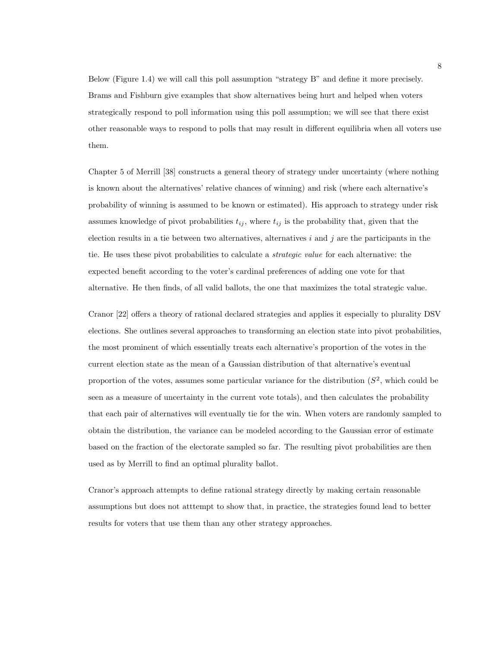Below (Figure 1.4) we will call this poll assumption "strategy B" and define it more precisely. Brams and Fishburn give examples that show alternatives being hurt and helped when voters strategically respond to poll information using this poll assumption; we will see that there exist other reasonable ways to respond to polls that may result in different equilibria when all voters use them.

Chapter 5 of Merrill [38] constructs a general theory of strategy under uncertainty (where nothing is known about the alternatives' relative chances of winning) and risk (where each alternative's probability of winning is assumed to be known or estimated). His approach to strategy under risk assumes knowledge of pivot probabilities  $t_{ij}$ , where  $t_{ij}$  is the probability that, given that the election results in a tie between two alternatives, alternatives  $i$  and  $j$  are the participants in the tie. He uses these pivot probabilities to calculate a strategic value for each alternative: the expected benefit according to the voter's cardinal preferences of adding one vote for that alternative. He then finds, of all valid ballots, the one that maximizes the total strategic value.

Cranor [22] offers a theory of rational declared strategies and applies it especially to plurality DSV elections. She outlines several approaches to transforming an election state into pivot probabilities, the most prominent of which essentially treats each alternative's proportion of the votes in the current election state as the mean of a Gaussian distribution of that alternative's eventual proportion of the votes, assumes some particular variance for the distribution  $(S^2$ , which could be seen as a measure of uncertainty in the current vote totals), and then calculates the probability that each pair of alternatives will eventually tie for the win. When voters are randomly sampled to obtain the distribution, the variance can be modeled according to the Gaussian error of estimate based on the fraction of the electorate sampled so far. The resulting pivot probabilities are then used as by Merrill to find an optimal plurality ballot.

Cranor's approach attempts to define rational strategy directly by making certain reasonable assumptions but does not atttempt to show that, in practice, the strategies found lead to better results for voters that use them than any other strategy approaches.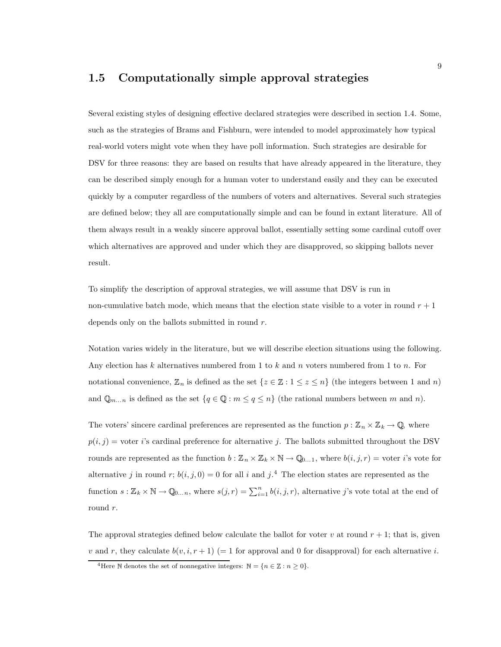## 1.5 Computationally simple approval strategies

Several existing styles of designing effective declared strategies were described in section 1.4. Some, such as the strategies of Brams and Fishburn, were intended to model approximately how typical real-world voters might vote when they have poll information. Such strategies are desirable for DSV for three reasons: they are based on results that have already appeared in the literature, they can be described simply enough for a human voter to understand easily and they can be executed quickly by a computer regardless of the numbers of voters and alternatives. Several such strategies are defined below; they all are computationally simple and can be found in extant literature. All of them always result in a weakly sincere approval ballot, essentially setting some cardinal cutoff over which alternatives are approved and under which they are disapproved, so skipping ballots never result.

To simplify the description of approval strategies, we will assume that DSV is run in non-cumulative batch mode, which means that the election state visible to a voter in round  $r + 1$ depends only on the ballots submitted in round  $r$ .

Notation varies widely in the literature, but we will describe election situations using the following. Any election has k alternatives numbered from 1 to k and n voters numbered from 1 to n. For notational convenience,  $\mathbb{Z}_n$  is defined as the set  $\{z \in \mathbb{Z} : 1 \leq z \leq n\}$  (the integers between 1 and n) and  $\mathbb{Q}_{m...n}$  is defined as the set  $\{q \in \mathbb{Q} : m \leq q \leq n\}$  (the rational numbers between m and n).

The voters' sincere cardinal preferences are represented as the function  $p : \mathbb{Z}_n \times \mathbb{Z}_k \to \mathbb{Q}$ , where  $p(i, j)$  = voter i's cardinal preference for alternative j. The ballots submitted throughout the DSV rounds are represented as the function  $b: \mathbb{Z}_n \times \mathbb{Z}_k \times \mathbb{N} \to \mathbb{Q}_{0...1}$ , where  $b(i, j, r) = \text{voter } i$ 's vote for alternative j in round r;  $b(i, j, 0) = 0$  for all i and j.<sup>4</sup> The election states are represented as the function  $s: \mathbb{Z}_k \times \mathbb{N} \to \mathbb{Q}_{0...n}$ , where  $s(j,r) = \sum_{i=1}^n b(i,j,r)$ , alternative j's vote total at the end of round r.

The approval strategies defined below calculate the ballot for voter v at round  $r + 1$ ; that is, given v and r, they calculate  $b(v, i, r + 1)$  (= 1 for approval and 0 for disapproval) for each alternative i.

<sup>&</sup>lt;sup>4</sup>Here  $\mathbb N$  denotes the set of nonnegative integers:  $\mathbb N = \{n \in \mathbb Z : n \geq 0\}.$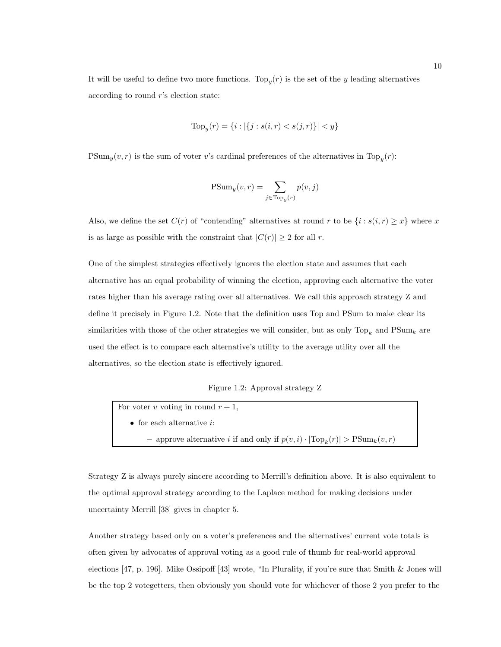It will be useful to define two more functions. To  $p_y(r)$  is the set of the y leading alternatives according to round r's election state:

$$
\text{Top}_y(r) = \{ i : |\{ j : s(i, r) < s(j, r) \}| < y \}
$$

 $\text{PSum}_y(v,r)$  is the sum of voter v's cardinal preferences of the alternatives in  $\text{Top}_y(r)$ :

$$
\text{PSum}_y(v,r) = \sum_{j \in \text{Top}_y(r)} p(v,j)
$$

Also, we define the set  $C(r)$  of "contending" alternatives at round r to be  $\{i : s(i,r) \geq x\}$  where x is as large as possible with the constraint that  $|C(r)| \geq 2$  for all r.

One of the simplest strategies effectively ignores the election state and assumes that each alternative has an equal probability of winning the election, approving each alternative the voter rates higher than his average rating over all alternatives. We call this approach strategy Z and define it precisely in Figure 1.2. Note that the definition uses Top and PSum to make clear its similarities with those of the other strategies we will consider, but as only  $Top_k$  and  $PSum_k$  are used the effect is to compare each alternative's utility to the average utility over all the alternatives, so the election state is effectively ignored.

#### Figure 1.2: Approval strategy Z

For voter v voting in round  $r + 1$ ,

- $\bullet\,$  for each alternative  $i\colon$ 
	- approve alternative *i* if and only if  $p(v, i) \cdot |\text{Top}_k(r)| > \text{PSum}_k(v, r)$

Strategy Z is always purely sincere according to Merrill's definition above. It is also equivalent to the optimal approval strategy according to the Laplace method for making decisions under uncertainty Merrill [38] gives in chapter 5.

Another strategy based only on a voter's preferences and the alternatives' current vote totals is often given by advocates of approval voting as a good rule of thumb for real-world approval elections [47, p. 196]. Mike Ossipoff [43] wrote, "In Plurality, if you're sure that Smith & Jones will be the top 2 votegetters, then obviously you should vote for whichever of those 2 you prefer to the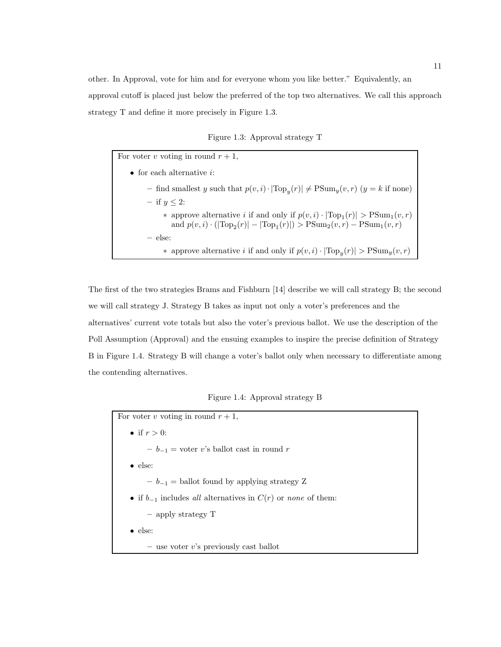other. In Approval, vote for him and for everyone whom you like better." Equivalently, an approval cutoff is placed just below the preferred of the top two alternatives. We call this approach strategy T and define it more precisely in Figure 1.3.

Figure 1.3: Approval strategy T

| For voter v voting in round $r + 1$ ,                                                                                                                                                              |
|----------------------------------------------------------------------------------------------------------------------------------------------------------------------------------------------------|
| $\bullet$ for each alternative <i>i</i> :                                                                                                                                                          |
| - find smallest y such that $p(v, i) \cdot  \text{Top}_v(r)  \neq \text{PSum}_y(v, r)$ $(y = k \text{ if none})$                                                                                   |
| $-$ if $y < 2$ :                                                                                                                                                                                   |
| * approve alternative <i>i</i> if and only if $p(v, i) \cdot  Top_1(r)  > PSum_1(v, r)$<br>and $p(v, i) \cdot ( \text{Top}_2(r)  -  \text{Top}_1(r) ) > \text{PSum}_2(v, r) - \text{PSum}_1(v, r)$ |
| $-$ else:                                                                                                                                                                                          |
| * approve alternative <i>i</i> if and only if $p(v, i) \cdot  \text{Top}_v(r)  > \text{PSum}_y(v, r)$                                                                                              |

The first of the two strategies Brams and Fishburn [14] describe we will call strategy B; the second we will call strategy J. Strategy B takes as input not only a voter's preferences and the alternatives' current vote totals but also the voter's previous ballot. We use the description of the Poll Assumption (Approval) and the ensuing examples to inspire the precise definition of Strategy B in Figure 1.4. Strategy B will change a voter's ballot only when necessary to differentiate among the contending alternatives.

Figure 1.4: Approval strategy B

| For voter v voting in round $r + 1$ ,                              |
|--------------------------------------------------------------------|
| • if $r > 0$ :                                                     |
| $- b_{-1}$ = voter v's ballot cast in round r                      |
| $\bullet$ else:                                                    |
| $-b_{-1}$ = ballot found by applying strategy Z                    |
| • if $b_{-1}$ includes all alternatives in $C(r)$ or none of them: |
| $-$ apply strategy T                                               |
| $\bullet$ else:                                                    |
| $-$ use voter v's previously cast ballot                           |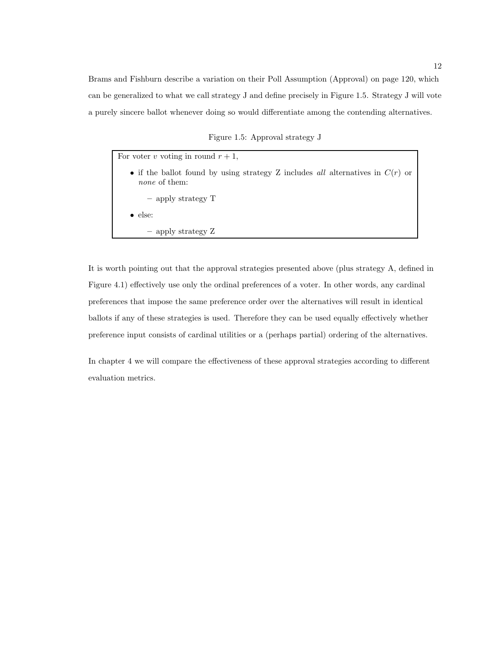Brams and Fishburn describe a variation on their Poll Assumption (Approval) on page 120, which can be generalized to what we call strategy J and define precisely in Figure 1.5. Strategy J will vote a purely sincere ballot whenever doing so would differentiate among the contending alternatives.

Figure 1.5: Approval strategy J

| For voter v voting in round $r + 1$ ,                                                                    |
|----------------------------------------------------------------------------------------------------------|
| • if the ballot found by using strategy Z includes all alternatives in $C(r)$ or<br><i>none</i> of them: |
| - apply strategy T                                                                                       |
| $\bullet$ else:                                                                                          |
| - apply strategy Z                                                                                       |

It is worth pointing out that the approval strategies presented above (plus strategy A, defined in Figure 4.1) effectively use only the ordinal preferences of a voter. In other words, any cardinal preferences that impose the same preference order over the alternatives will result in identical ballots if any of these strategies is used. Therefore they can be used equally effectively whether preference input consists of cardinal utilities or a (perhaps partial) ordering of the alternatives.

In chapter 4 we will compare the effectiveness of these approval strategies according to different evaluation metrics.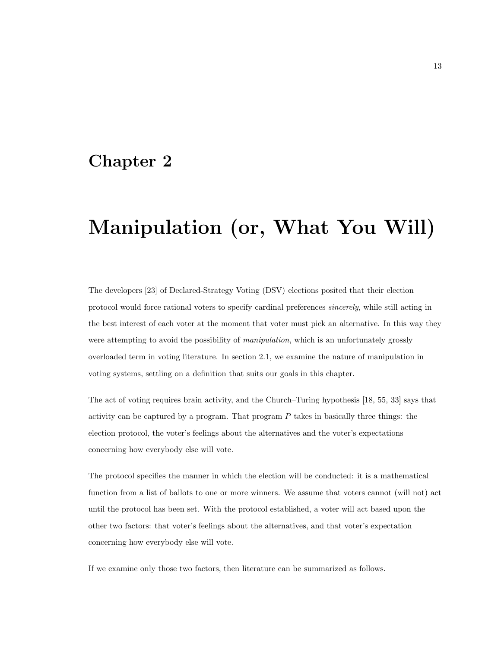## Chapter 2

## Manipulation (or, What You Will)

The developers [23] of Declared-Strategy Voting (DSV) elections posited that their election protocol would force rational voters to specify cardinal preferences sincerely, while still acting in the best interest of each voter at the moment that voter must pick an alternative. In this way they were attempting to avoid the possibility of *manipulation*, which is an unfortunately grossly overloaded term in voting literature. In section 2.1, we examine the nature of manipulation in voting systems, settling on a definition that suits our goals in this chapter.

The act of voting requires brain activity, and the Church–Turing hypothesis [18, 55, 33] says that activity can be captured by a program. That program  $P$  takes in basically three things: the election protocol, the voter's feelings about the alternatives and the voter's expectations concerning how everybody else will vote.

The protocol specifies the manner in which the election will be conducted: it is a mathematical function from a list of ballots to one or more winners. We assume that voters cannot (will not) act until the protocol has been set. With the protocol established, a voter will act based upon the other two factors: that voter's feelings about the alternatives, and that voter's expectation concerning how everybody else will vote.

If we examine only those two factors, then literature can be summarized as follows.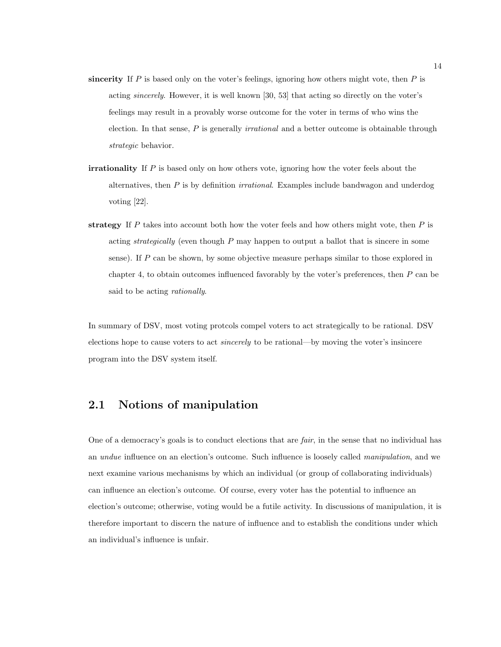- sincerity If  $P$  is based only on the voter's feelings, ignoring how others might vote, then  $P$  is acting sincerely. However, it is well known [30, 53] that acting so directly on the voter's feelings may result in a provably worse outcome for the voter in terms of who wins the election. In that sense, P is generally *irrational* and a better outcome is obtainable through strategic behavior.
- **irrationality** If  $P$  is based only on how others vote, ignoring how the voter feels about the alternatives, then  $P$  is by definition *irrational*. Examples include bandwagon and underdog voting [22].
- strategy If  $P$  takes into account both how the voter feels and how others might vote, then  $P$  is acting strategically (even though  $P$  may happen to output a ballot that is sincere in some sense). If P can be shown, by some objective measure perhaps similar to those explored in chapter 4, to obtain outcomes influenced favorably by the voter's preferences, then  $P$  can be said to be acting rationally.

In summary of DSV, most voting protcols compel voters to act strategically to be rational. DSV elections hope to cause voters to act sincerely to be rational—by moving the voter's insincere program into the DSV system itself.

## 2.1 Notions of manipulation

One of a democracy's goals is to conduct elections that are fair, in the sense that no individual has an undue influence on an election's outcome. Such influence is loosely called manipulation, and we next examine various mechanisms by which an individual (or group of collaborating individuals) can influence an election's outcome. Of course, every voter has the potential to influence an election's outcome; otherwise, voting would be a futile activity. In discussions of manipulation, it is therefore important to discern the nature of influence and to establish the conditions under which an individual's influence is unfair.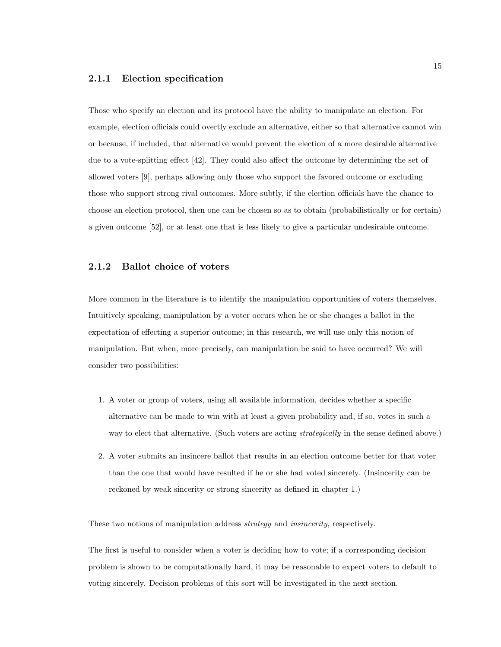#### 2.1.1 Election specification

Those who specify an election and its protocol have the ability to manipulate an election. For example, election officials could overtly exclude an alternative, either so that alternative cannot win or because, if included, that alternative would prevent the election of a more desirable alternative due to a vote-splitting effect [42]. They could also affect the outcome by determining the set of allowed voters [9], perhaps allowing only those who support the favored outcome or excluding those who support strong rival outcomes. More subtly, if the election officials have the chance to choose an election protocol, then one can be chosen so as to obtain (probabilistically or for certain) a given outcome [52], or at least one that is less likely to give a particular undesirable outcome.

#### 2.1.2 Ballot choice of voters

More common in the literature is to identify the manipulation opportunities of voters themselves. Intuitively speaking, manipulation by a voter occurs when he or she changes a ballot in the expectation of effecting a superior outcome; in this research, we will use only this notion of manipulation. But when, more precisely, can manipulation be said to have occurred? We will consider two possibilities:

- 1. A voter or group of voters, using all available information, decides whether a specific alternative can be made to win with at least a given probability and, if so, votes in such a way to elect that alternative. (Such voters are acting *strategically* in the sense defined above.)
- 2. A voter submits an insincere ballot that results in an election outcome better for that voter than the one that would have resulted if he or she had voted sincerely. (Insincerity can be reckoned by weak sincerity or strong sincerity as defined in chapter 1.)

These two notions of manipulation address *strategy* and *insincerity*, respectively.

The first is useful to consider when a voter is deciding how to vote; if a corresponding decision problem is shown to be computationally hard, it may be reasonable to expect voters to default to voting sincerely. Decision problems of this sort will be investigated in the next section.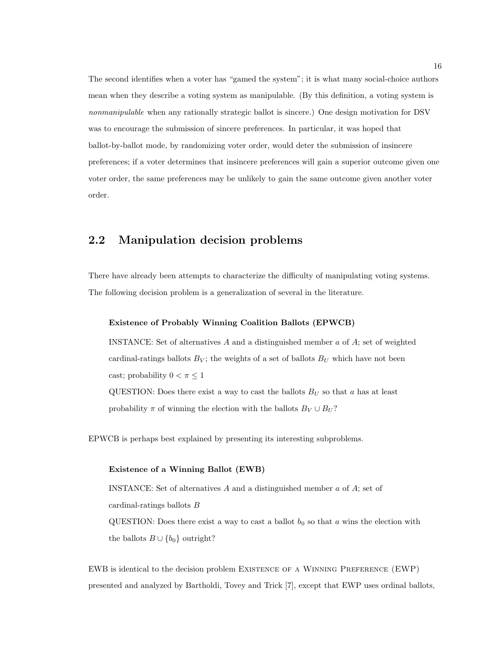The second identifies when a voter has "gamed the system"; it is what many social-choice authors mean when they describe a voting system as manipulable. (By this definition, a voting system is nonmanipulable when any rationally strategic ballot is sincere.) One design motivation for DSV was to encourage the submission of sincere preferences. In particular, it was hoped that ballot-by-ballot mode, by randomizing voter order, would deter the submission of insincere preferences; if a voter determines that insincere preferences will gain a superior outcome given one voter order, the same preferences may be unlikely to gain the same outcome given another voter order.

## 2.2 Manipulation decision problems

There have already been attempts to characterize the difficulty of manipulating voting systems. The following decision problem is a generalization of several in the literature.

#### Existence of Probably Winning Coalition Ballots (EPWCB)

INSTANCE: Set of alternatives  $A$  and a distinguished member  $a$  of  $A$ ; set of weighted cardinal-ratings ballots  $B_V$ ; the weights of a set of ballots  $B_U$  which have not been cast; probability  $0 < \pi \leq 1$ 

QUESTION: Does there exist a way to cast the ballots  $B_U$  so that a has at least probability  $\pi$  of winning the election with the ballots  $B_V \cup B_U$ ?

EPWCB is perhaps best explained by presenting its interesting subproblems.

#### Existence of a Winning Ballot (EWB)

INSTANCE: Set of alternatives  $A$  and a distinguished member  $a$  of  $A$ ; set of cardinal-ratings ballots B QUESTION: Does there exist a way to cast a ballot  $b_0$  so that a wins the election with the ballots  $B \cup \{b_0\}$  outright?

EWB is identical to the decision problem Existence of a Winning Preference (EWP) presented and analyzed by Bartholdi, Tovey and Trick [7], except that EWP uses ordinal ballots,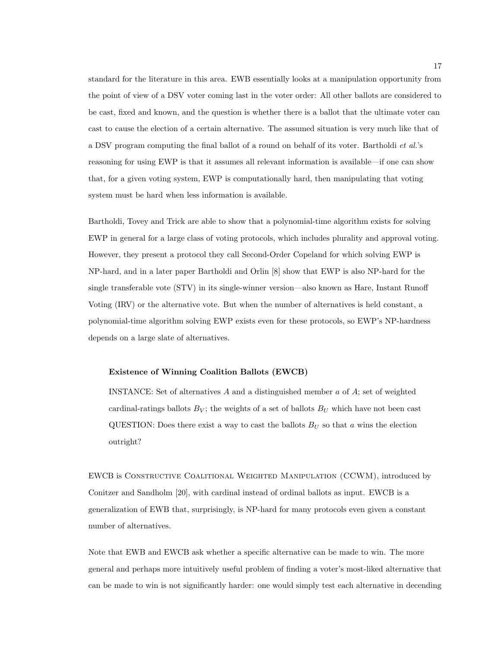standard for the literature in this area. EWB essentially looks at a manipulation opportunity from the point of view of a DSV voter coming last in the voter order: All other ballots are considered to be cast, fixed and known, and the question is whether there is a ballot that the ultimate voter can cast to cause the election of a certain alternative. The assumed situation is very much like that of a DSV program computing the final ballot of a round on behalf of its voter. Bartholdi *et al.*'s reasoning for using EWP is that it assumes all relevant information is available—if one can show that, for a given voting system, EWP is computationally hard, then manipulating that voting system must be hard when less information is available.

Bartholdi, Tovey and Trick are able to show that a polynomial-time algorithm exists for solving EWP in general for a large class of voting protocols, which includes plurality and approval voting. However, they present a protocol they call Second-Order Copeland for which solving EWP is NP-hard, and in a later paper Bartholdi and Orlin [8] show that EWP is also NP-hard for the single transferable vote (STV) in its single-winner version—also known as Hare, Instant Runoff Voting (IRV) or the alternative vote. But when the number of alternatives is held constant, a polynomial-time algorithm solving EWP exists even for these protocols, so EWP's NP-hardness depends on a large slate of alternatives.

#### Existence of Winning Coalition Ballots (EWCB)

INSTANCE: Set of alternatives A and a distinguished member  $a$  of  $A$ ; set of weighted cardinal-ratings ballots  $B_V$ ; the weights of a set of ballots  $B_U$  which have not been cast QUESTION: Does there exist a way to cast the ballots  $B_U$  so that a wins the election outright?

EWCB is Constructive Coalitional Weighted Manipulation (CCWM), introduced by Conitzer and Sandholm [20], with cardinal instead of ordinal ballots as input. EWCB is a generalization of EWB that, surprisingly, is NP-hard for many protocols even given a constant number of alternatives.

Note that EWB and EWCB ask whether a specific alternative can be made to win. The more general and perhaps more intuitively useful problem of finding a voter's most-liked alternative that can be made to win is not significantly harder: one would simply test each alternative in decending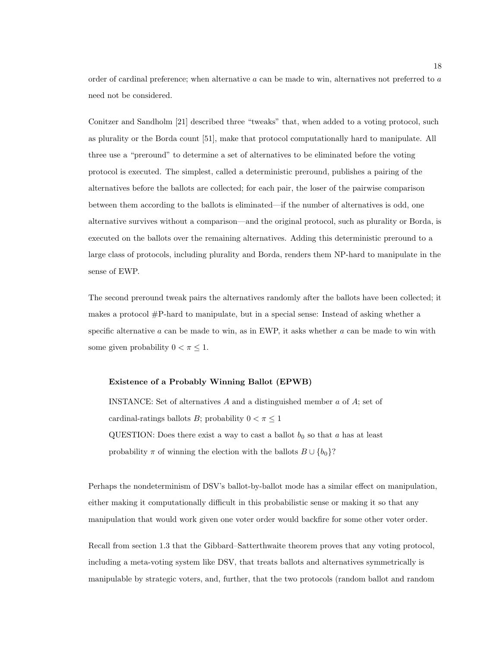order of cardinal preference; when alternative a can be made to win, alternatives not preferred to a need not be considered.

Conitzer and Sandholm [21] described three "tweaks" that, when added to a voting protocol, such as plurality or the Borda count [51], make that protocol computationally hard to manipulate. All three use a "preround" to determine a set of alternatives to be eliminated before the voting protocol is executed. The simplest, called a deterministic preround, publishes a pairing of the alternatives before the ballots are collected; for each pair, the loser of the pairwise comparison between them according to the ballots is eliminated—if the number of alternatives is odd, one alternative survives without a comparison—and the original protocol, such as plurality or Borda, is executed on the ballots over the remaining alternatives. Adding this deterministic preround to a large class of protocols, including plurality and Borda, renders them NP-hard to manipulate in the sense of EWP.

The second preround tweak pairs the alternatives randomly after the ballots have been collected; it makes a protocol #P-hard to manipulate, but in a special sense: Instead of asking whether a specific alternative  $a$  can be made to win, as in EWP, it asks whether  $a$  can be made to win with some given probability  $0 < \pi \leq 1$ .

#### Existence of a Probably Winning Ballot (EPWB)

INSTANCE: Set of alternatives  $A$  and a distinguished member  $a$  of  $A$ ; set of cardinal-ratings ballots B; probability  $0 < \pi \leq 1$ QUESTION: Does there exist a way to cast a ballot  $b_0$  so that a has at least probability  $\pi$  of winning the election with the ballots  $B \cup \{b_0\}$ ?

Perhaps the nondeterminism of DSV's ballot-by-ballot mode has a similar effect on manipulation, either making it computationally difficult in this probabilistic sense or making it so that any manipulation that would work given one voter order would backfire for some other voter order.

Recall from section 1.3 that the Gibbard–Satterthwaite theorem proves that any voting protocol, including a meta-voting system like DSV, that treats ballots and alternatives symmetrically is manipulable by strategic voters, and, further, that the two protocols (random ballot and random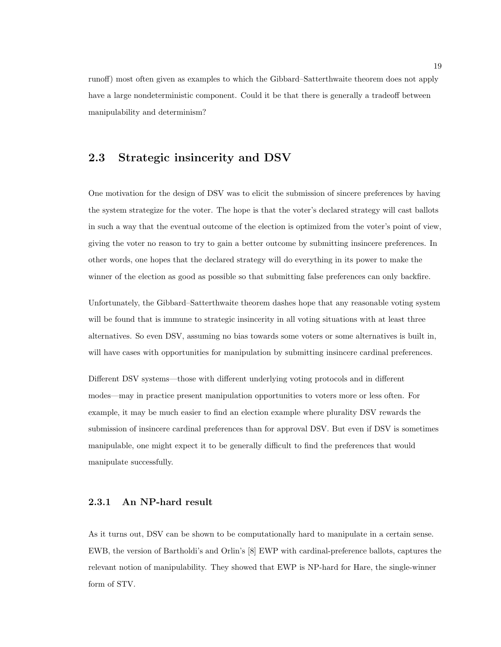runoff) most often given as examples to which the Gibbard–Satterthwaite theorem does not apply have a large nondeterministic component. Could it be that there is generally a tradeoff between manipulability and determinism?

### 2.3 Strategic insincerity and DSV

One motivation for the design of DSV was to elicit the submission of sincere preferences by having the system strategize for the voter. The hope is that the voter's declared strategy will cast ballots in such a way that the eventual outcome of the election is optimized from the voter's point of view, giving the voter no reason to try to gain a better outcome by submitting insincere preferences. In other words, one hopes that the declared strategy will do everything in its power to make the winner of the election as good as possible so that submitting false preferences can only backfire.

Unfortunately, the Gibbard–Satterthwaite theorem dashes hope that any reasonable voting system will be found that is immune to strategic insincerity in all voting situations with at least three alternatives. So even DSV, assuming no bias towards some voters or some alternatives is built in, will have cases with opportunities for manipulation by submitting insincere cardinal preferences.

Different DSV systems—those with different underlying voting protocols and in different modes—may in practice present manipulation opportunities to voters more or less often. For example, it may be much easier to find an election example where plurality DSV rewards the submission of insincere cardinal preferences than for approval DSV. But even if DSV is sometimes manipulable, one might expect it to be generally difficult to find the preferences that would manipulate successfully.

#### 2.3.1 An NP-hard result

As it turns out, DSV can be shown to be computationally hard to manipulate in a certain sense. EWB, the version of Bartholdi's and Orlin's [8] EWP with cardinal-preference ballots, captures the relevant notion of manipulability. They showed that EWP is NP-hard for Hare, the single-winner form of STV.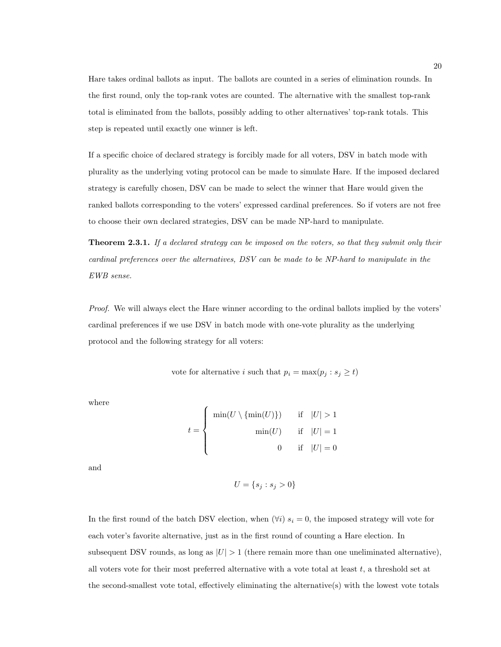Hare takes ordinal ballots as input. The ballots are counted in a series of elimination rounds. In the first round, only the top-rank votes are counted. The alternative with the smallest top-rank total is eliminated from the ballots, possibly adding to other alternatives' top-rank totals. This step is repeated until exactly one winner is left.

If a specific choice of declared strategy is forcibly made for all voters, DSV in batch mode with plurality as the underlying voting protocol can be made to simulate Hare. If the imposed declared strategy is carefully chosen, DSV can be made to select the winner that Hare would given the ranked ballots corresponding to the voters' expressed cardinal preferences. So if voters are not free to choose their own declared strategies, DSV can be made NP-hard to manipulate.

Theorem 2.3.1. If a declared strategy can be imposed on the voters, so that they submit only their cardinal preferences over the alternatives, DSV can be made to be NP-hard to manipulate in the EWB sense.

Proof. We will always elect the Hare winner according to the ordinal ballots implied by the voters' cardinal preferences if we use DSV in batch mode with one-vote plurality as the underlying protocol and the following strategy for all voters:

vote for alternative *i* such that  $p_i = \max(p_j : s_j \ge t)$ 

where

$$
t = \begin{cases} \min(U \setminus \{\min(U)\}) & \text{if } |U| > 1 \\ \min(U) & \text{if } |U| = 1 \\ 0 & \text{if } |U| = 0 \end{cases}
$$

 $\lambda$ 

and

$$
U = \{s_j : s_j > 0\}
$$

In the first round of the batch DSV election, when  $(\forall i)$   $s_i = 0$ , the imposed strategy will vote for each voter's favorite alternative, just as in the first round of counting a Hare election. In subsequent DSV rounds, as long as  $|U| > 1$  (there remain more than one uneliminated alternative), all voters vote for their most preferred alternative with a vote total at least  $t$ , a threshold set at the second-smallest vote total, effectively eliminating the alternative(s) with the lowest vote totals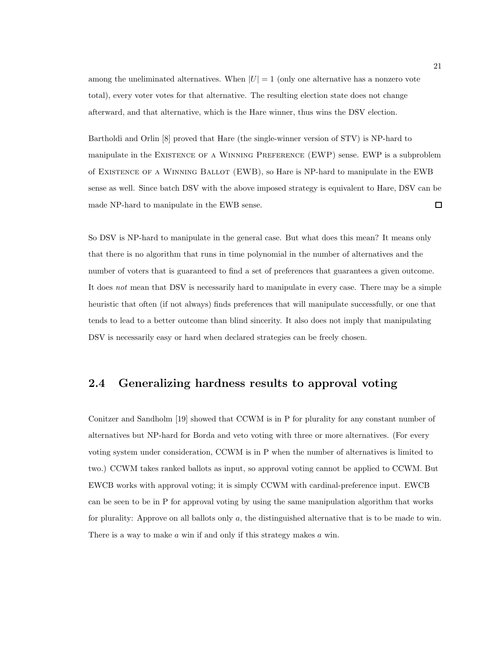among the uneliminated alternatives. When  $|U| = 1$  (only one alternative has a nonzero vote total), every voter votes for that alternative. The resulting election state does not change afterward, and that alternative, which is the Hare winner, thus wins the DSV election.

Bartholdi and Orlin [8] proved that Hare (the single-winner version of STV) is NP-hard to manipulate in the Existence of a Winning Preference (EWP) sense. EWP is a subproblem of Existence of a Winning Ballot (EWB), so Hare is NP-hard to manipulate in the EWB sense as well. Since batch DSV with the above imposed strategy is equivalent to Hare, DSV can be made NP-hard to manipulate in the EWB sense.  $\Box$ 

So DSV is NP-hard to manipulate in the general case. But what does this mean? It means only that there is no algorithm that runs in time polynomial in the number of alternatives and the number of voters that is guaranteed to find a set of preferences that guarantees a given outcome. It does not mean that DSV is necessarily hard to manipulate in every case. There may be a simple heuristic that often (if not always) finds preferences that will manipulate successfully, or one that tends to lead to a better outcome than blind sincerity. It also does not imply that manipulating DSV is necessarily easy or hard when declared strategies can be freely chosen.

### 2.4 Generalizing hardness results to approval voting

Conitzer and Sandholm [19] showed that CCWM is in P for plurality for any constant number of alternatives but NP-hard for Borda and veto voting with three or more alternatives. (For every voting system under consideration, CCWM is in P when the number of alternatives is limited to two.) CCWM takes ranked ballots as input, so approval voting cannot be applied to CCWM. But EWCB works with approval voting; it is simply CCWM with cardinal-preference input. EWCB can be seen to be in P for approval voting by using the same manipulation algorithm that works for plurality: Approve on all ballots only  $a$ , the distinguished alternative that is to be made to win. There is a way to make a win if and only if this strategy makes a win.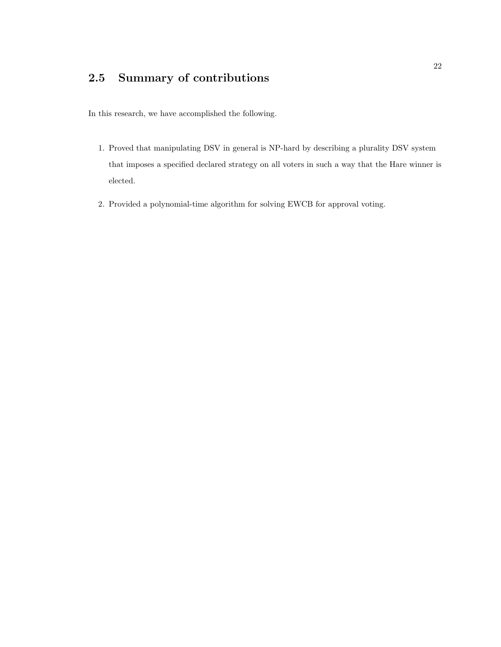## 2.5 Summary of contributions

In this research, we have accomplished the following.

- 1. Proved that manipulating DSV in general is NP-hard by describing a plurality DSV system that imposes a specified declared strategy on all voters in such a way that the Hare winner is elected.
- 2. Provided a polynomial-time algorithm for solving EWCB for approval voting.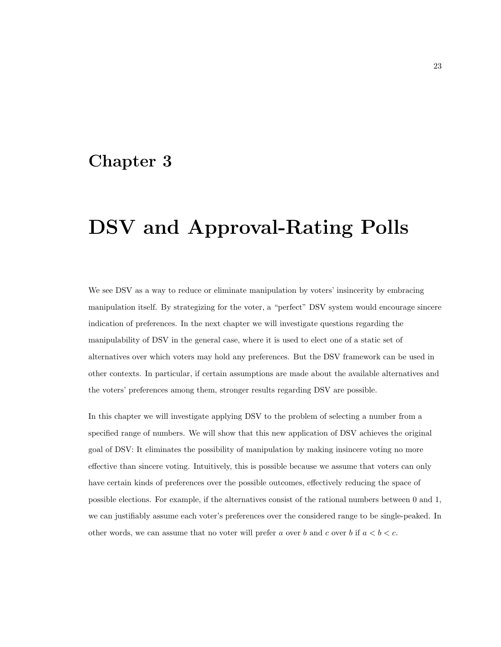## Chapter 3

## DSV and Approval-Rating Polls

We see DSV as a way to reduce or eliminate manipulation by voters' insincerity by embracing manipulation itself. By strategizing for the voter, a "perfect" DSV system would encourage sincere indication of preferences. In the next chapter we will investigate questions regarding the manipulability of DSV in the general case, where it is used to elect one of a static set of alternatives over which voters may hold any preferences. But the DSV framework can be used in other contexts. In particular, if certain assumptions are made about the available alternatives and the voters' preferences among them, stronger results regarding DSV are possible.

In this chapter we will investigate applying DSV to the problem of selecting a number from a specified range of numbers. We will show that this new application of DSV achieves the original goal of DSV: It eliminates the possibility of manipulation by making insincere voting no more effective than sincere voting. Intuitively, this is possible because we assume that voters can only have certain kinds of preferences over the possible outcomes, effectively reducing the space of possible elections. For example, if the alternatives consist of the rational numbers between 0 and 1, we can justifiably assume each voter's preferences over the considered range to be single-peaked. In other words, we can assume that no voter will prefer a over b and c over b if  $a < b < c$ .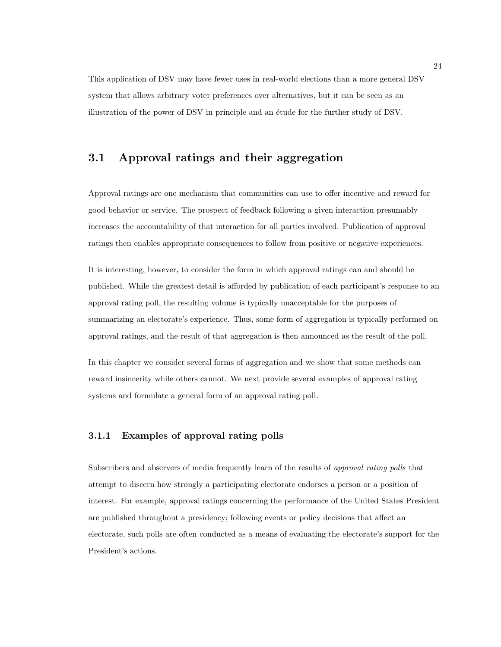This application of DSV may have fewer uses in real-world elections than a more general DSV system that allows arbitrary voter preferences over alternatives, but it can be seen as an illustration of the power of DSV in principle and an étude for the further study of DSV.

### 3.1 Approval ratings and their aggregation

Approval ratings are one mechanism that communities can use to offer incentive and reward for good behavior or service. The prospect of feedback following a given interaction presumably increases the accountability of that interaction for all parties involved. Publication of approval ratings then enables appropriate consequences to follow from positive or negative experiences.

It is interesting, however, to consider the form in which approval ratings can and should be published. While the greatest detail is afforded by publication of each participant's response to an approval rating poll, the resulting volume is typically unacceptable for the purposes of summarizing an electorate's experience. Thus, some form of aggregation is typically performed on approval ratings, and the result of that aggregation is then announced as the result of the poll.

In this chapter we consider several forms of aggregation and we show that some methods can reward insincerity while others cannot. We next provide several examples of approval rating systems and formulate a general form of an approval rating poll.

#### 3.1.1 Examples of approval rating polls

Subscribers and observers of media frequently learn of the results of *approval rating polls* that attempt to discern how strongly a participating electorate endorses a person or a position of interest. For example, approval ratings concerning the performance of the United States President are published throughout a presidency; following events or policy decisions that affect an electorate, such polls are often conducted as a means of evaluating the electorate's support for the President's actions.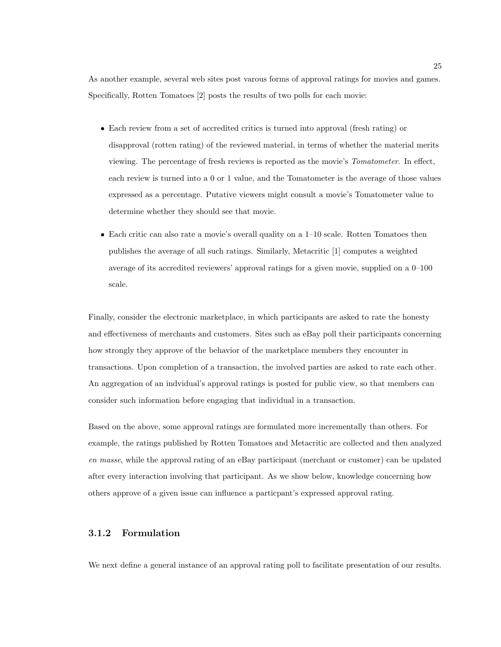As another example, several web sites post varous forms of approval ratings for movies and games. Specifically, Rotten Tomatoes [2] posts the results of two polls for each movie:

- Each review from a set of accredited critics is turned into approval (fresh rating) or disapproval (rotten rating) of the reviewed material, in terms of whether the material merits viewing. The percentage of fresh reviews is reported as the movie's Tomatometer. In effect, each review is turned into a 0 or 1 value, and the Tomatometer is the average of those values expressed as a percentage. Putative viewers might consult a movie's Tomatometer value to determine whether they should see that movie.
- Each critic can also rate a movie's overall quality on a 1–10 scale. Rotten Tomatoes then publishes the average of all such ratings. Similarly, Metacritic [1] computes a weighted average of its accredited reviewers' approval ratings for a given movie, supplied on a  $0-100$ scale.

Finally, consider the electronic marketplace, in which participants are asked to rate the honesty and effectiveness of merchants and customers. Sites such as eBay poll their participants concerning how strongly they approve of the behavior of the marketplace members they encounter in transactions. Upon completion of a transaction, the involved parties are asked to rate each other. An aggregation of an indvidual's approval ratings is posted for public view, so that members can consider such information before engaging that individual in a transaction.

Based on the above, some approval ratings are formulated more incrementally than others. For example, the ratings published by Rotten Tomatoes and Metacritic are collected and then analyzed en masse, while the approval rating of an eBay participant (merchant or customer) can be updated after every interaction involving that participant. As we show below, knowledge concerning how others approve of a given issue can influence a particpant's expressed approval rating.

#### 3.1.2 Formulation

We next define a general instance of an approval rating poll to facilitate presentation of our results.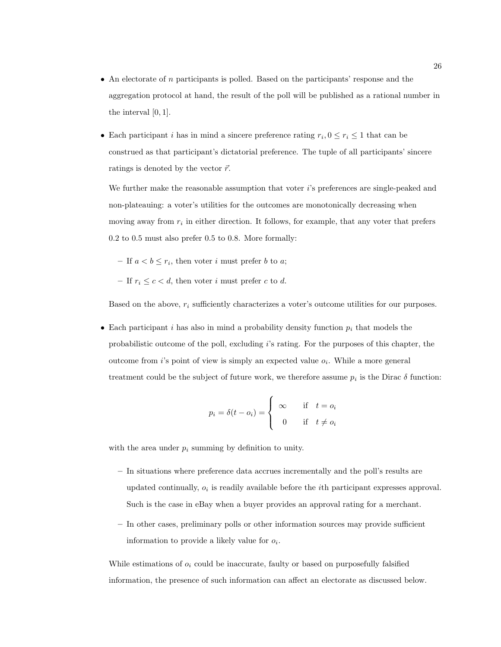- An electorate of n participants is polled. Based on the participants' response and the aggregation protocol at hand, the result of the poll will be published as a rational number in the interval [0, 1].
- Each participant *i* has in mind a sincere preference rating  $r_i, 0 \le r_i \le 1$  that can be construed as that participant's dictatorial preference. The tuple of all participants' sincere ratings is denoted by the vector  $\vec{r}$ .

We further make the reasonable assumption that voter  $i$ 's preferences are single-peaked and non-plateauing: a voter's utilities for the outcomes are monotonically decreasing when moving away from  $r_i$  in either direction. It follows, for example, that any voter that prefers 0.2 to 0.5 must also prefer 0.5 to 0.8. More formally:

 $-$  If  $a < b \leq r_i$ , then voter i must prefer b to a;

– If  $r_i \leq c < d$ , then voter i must prefer c to d.

Based on the above,  $r_i$  sufficiently characterizes a voter's outcome utilities for our purposes.

• Each participant i has also in mind a probability density function  $p_i$  that models the probabilistic outcome of the poll, excluding i's rating. For the purposes of this chapter, the outcome from *i*'s point of view is simply an expected value  $o_i$ . While a more general treatment could be the subject of future work, we therefore assume  $p_i$  is the Dirac  $\delta$  function:

$$
p_i = \delta(t - o_i) = \begin{cases} \infty & \text{if } t = o_i \\ 0 & \text{if } t \neq o_i \end{cases}
$$

with the area under  $p_i$  summing by definition to unity.

- In situations where preference data accrues incrementally and the poll's results are updated continually,  $o_i$  is readily available before the *i*th participant expresses approval. Such is the case in eBay when a buyer provides an approval rating for a merchant.
- In other cases, preliminary polls or other information sources may provide sufficient information to provide a likely value for  $o_i$ .

While estimations of  $o_i$  could be inaccurate, faulty or based on purposefully falsified information, the presence of such information can affect an electorate as discussed below.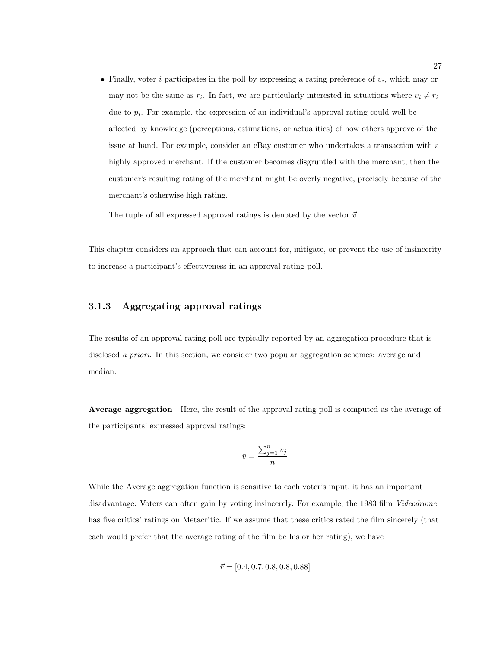• Finally, voter i participates in the poll by expressing a rating preference of  $v_i$ , which may or may not be the same as  $r_i$ . In fact, we are particularly interested in situations where  $v_i \neq r_i$ due to  $p_i$ . For example, the expression of an individual's approval rating could well be affected by knowledge (perceptions, estimations, or actualities) of how others approve of the issue at hand. For example, consider an eBay customer who undertakes a transaction with a highly approved merchant. If the customer becomes disgruntled with the merchant, then the customer's resulting rating of the merchant might be overly negative, precisely because of the merchant's otherwise high rating.

The tuple of all expressed approval ratings is denoted by the vector  $\vec{v}$ .

This chapter considers an approach that can account for, mitigate, or prevent the use of insincerity to increase a participant's effectiveness in an approval rating poll.

### 3.1.3 Aggregating approval ratings

The results of an approval rating poll are typically reported by an aggregation procedure that is disclosed a priori. In this section, we consider two popular aggregation schemes: average and median.

Average aggregation Here, the result of the approval rating poll is computed as the average of the participants' expressed approval ratings:

$$
\bar{v} = \frac{\sum_{j=1}^{n} v_j}{n}
$$

While the Average aggregation function is sensitive to each voter's input, it has an important disadvantage: Voters can often gain by voting insincerely. For example, the 1983 film Videodrome has five critics' ratings on Metacritic. If we assume that these critics rated the film sincerely (that each would prefer that the average rating of the film be his or her rating), we have

$$
\vec{r} = [0.4, 0.7, 0.8, 0.8, 0.88]
$$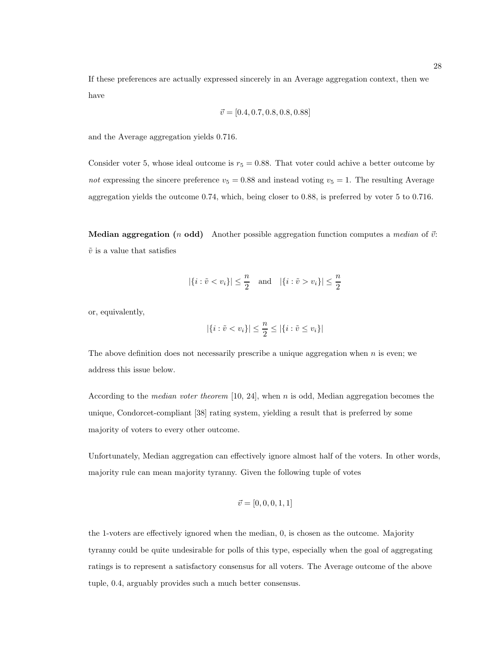If these preferences are actually expressed sincerely in an Average aggregation context, then we have

$$
\vec{v} = [0.4, 0.7, 0.8, 0.8, 0.88]
$$

and the Average aggregation yields 0.716.

Consider voter 5, whose ideal outcome is  $r_5 = 0.88$ . That voter could achive a better outcome by not expressing the sincere preference  $v_5 = 0.88$  and instead voting  $v_5 = 1$ . The resulting Average aggregation yields the outcome 0.74, which, being closer to 0.88, is preferred by voter 5 to 0.716.

**Median aggregation** (*n* **odd**) Another possible aggregation function computes a *median* of  $\vec{v}$ :  $\tilde{v}$  is a value that satisfies

$$
|\{i : \tilde{v} < v_i\}| \leq \frac{n}{2}
$$
 and  $|\{i : \tilde{v} > v_i\}| \leq \frac{n}{2}$ 

or, equivalently,

$$
|\{i : \tilde{v} < v_i\}| \le \frac{n}{2} \le |\{i : \tilde{v} \le v_i\}|
$$

The above definition does not necessarily prescribe a unique aggregation when  $n$  is even; we address this issue below.

According to the median voter theorem [10, 24], when n is odd, Median aggregation becomes the unique, Condorcet-compliant [38] rating system, yielding a result that is preferred by some majority of voters to every other outcome.

Unfortunately, Median aggregation can effectively ignore almost half of the voters. In other words, majority rule can mean majority tyranny. Given the following tuple of votes

$$
\vec{v} = [0, 0, 0, 1, 1]
$$

the 1-voters are effectively ignored when the median, 0, is chosen as the outcome. Majority tyranny could be quite undesirable for polls of this type, especially when the goal of aggregating ratings is to represent a satisfactory consensus for all voters. The Average outcome of the above tuple, 0.4, arguably provides such a much better consensus.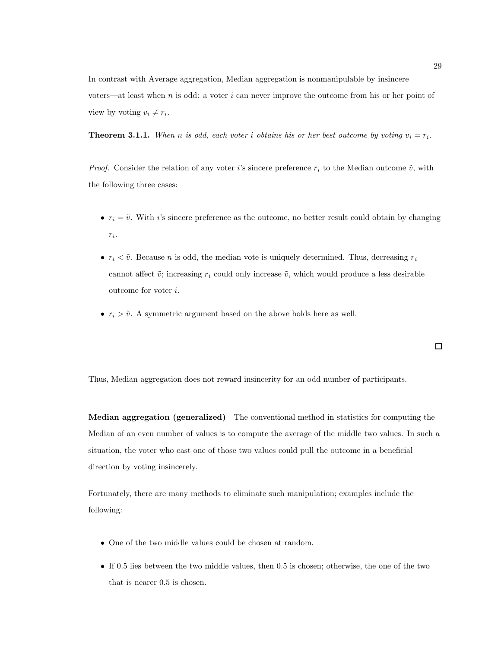In contrast with Average aggregation, Median aggregation is nonmanipulable by insincere voters—at least when  $n$  is odd: a voter  $i$  can never improve the outcome from his or her point of view by voting  $v_i \neq r_i$ .

**Theorem 3.1.1.** When n is odd, each voter i obtains his or her best outcome by voting  $v_i = r_i$ .

*Proof.* Consider the relation of any voter i's sincere preference  $r_i$  to the Median outcome  $\tilde{v}$ , with the following three cases:

- $r_i = \tilde{v}$ . With i's sincere preference as the outcome, no better result could obtain by changing  $r_i$ .
- $r_i < \tilde{v}$ . Because *n* is odd, the median vote is uniquely determined. Thus, decreasing  $r_i$ cannot affect  $\tilde{v}$ ; increasing  $r_i$  could only increase  $\tilde{v}$ , which would produce a less desirable outcome for voter i.
- $r_i > \tilde{v}$ . A symmetric argument based on the above holds here as well.

Thus, Median aggregation does not reward insincerity for an odd number of participants.

Median aggregation (generalized) The conventional method in statistics for computing the Median of an even number of values is to compute the average of the middle two values. In such a situation, the voter who cast one of those two values could pull the outcome in a beneficial direction by voting insincerely.

Fortunately, there are many methods to eliminate such manipulation; examples include the following:

- One of the two middle values could be chosen at random.
- If 0.5 lies between the two middle values, then 0.5 is chosen; otherwise, the one of the two that is nearer 0.5 is chosen.

### $\Box$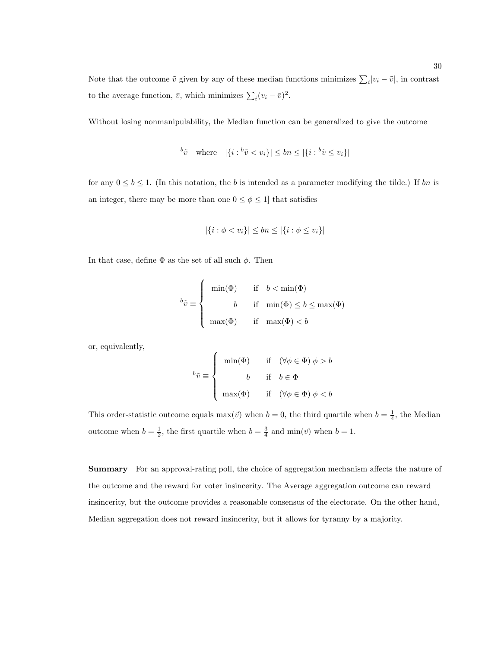Note that the outcome  $\tilde{v}$  given by any of these median functions minimizes  $\sum_i |v_i - \tilde{v}|$ , in contrast to the average function,  $\bar{v}$ , which minimizes  $\sum_i (v_i - \bar{v})^2$ .

Without losing nonmanipulability, the Median function can be generalized to give the outcome

$$
{}^{b}\tilde{v} \quad \text{where} \quad |\{i : {}^{b}\tilde{v} < v_i\}| \le bn \le |\{i : {}^{b}\tilde{v} \le v_i\}|
$$

for any  $0 \le b \le 1$ . (In this notation, the b is intended as a parameter modifying the tilde.) If bn is an integer, there may be more than one  $0 \leq \phi \leq 1]$  that satisfies

$$
|\{i : \phi < v_i\}| \leq bn \leq |\{i : \phi \leq v_i\}|
$$

In that case, define  $\Phi$  as the set of all such  $\phi$ . Then

$$
{}^{b}\tilde{v} \equiv \begin{cases} \min(\Phi) & \text{if } b < \min(\Phi) \\ b & \text{if } \min(\Phi) \le b \le \max(\Phi) \\ \max(\Phi) & \text{if } \max(\Phi) < b \end{cases}
$$

or, equivalently,

$$
{}^{b}\tilde{v} \equiv \begin{cases} \min(\Phi) & \text{if } (\forall \phi \in \Phi) \phi > b \\ b & \text{if } b \in \Phi \\ \max(\Phi) & \text{if } (\forall \phi \in \Phi) \phi < b \end{cases}
$$

This order-statistic outcome equals  $\max(\vec{v})$  when  $b = 0$ , the third quartile when  $b = \frac{1}{4}$ , the Median outcome when  $b = \frac{1}{2}$ , the first quartile when  $b = \frac{3}{4}$  and  $\min(\vec{v})$  when  $b = 1$ .

Summary For an approval-rating poll, the choice of aggregation mechanism affects the nature of the outcome and the reward for voter insincerity. The Average aggregation outcome can reward insincerity, but the outcome provides a reasonable consensus of the electorate. On the other hand, Median aggregation does not reward insincerity, but it allows for tyranny by a majority.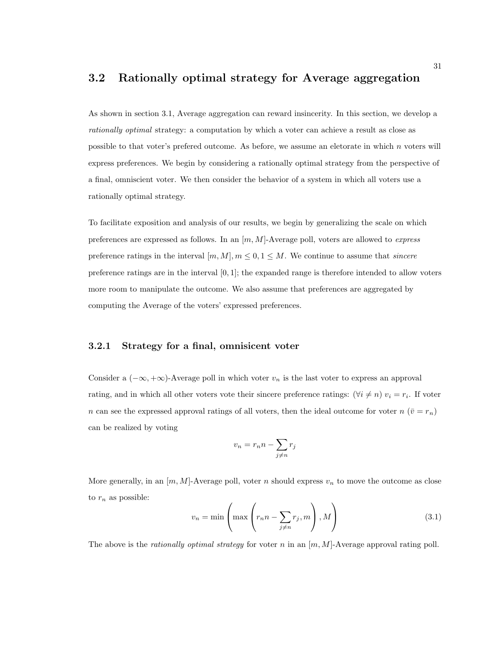## 3.2 Rationally optimal strategy for Average aggregation

As shown in section 3.1, Average aggregation can reward insincerity. In this section, we develop a rationally optimal strategy: a computation by which a voter can achieve a result as close as possible to that voter's prefered outcome. As before, we assume an eletorate in which n voters will express preferences. We begin by considering a rationally optimal strategy from the perspective of a final, omniscient voter. We then consider the behavior of a system in which all voters use a rationally optimal strategy.

To facilitate exposition and analysis of our results, we begin by generalizing the scale on which preferences are expressed as follows. In an  $[m, M]$ -Average poll, voters are allowed to *express* preference ratings in the interval  $[m, M], m \leq 0, 1 \leq M$ . We continue to assume that *sincere* preference ratings are in the interval [0, 1]; the expanded range is therefore intended to allow voters more room to manipulate the outcome. We also assume that preferences are aggregated by computing the Average of the voters' expressed preferences.

### 3.2.1 Strategy for a final, omnisicent voter

Consider a  $(-\infty, +\infty)$ -Average poll in which voter  $v_n$  is the last voter to express an approval rating, and in which all other voters vote their sincere preference ratings:  $(\forall i \neq n)$   $v_i = r_i$ . If voter n can see the expressed approval ratings of all voters, then the ideal outcome for voter  $n(\bar{v} = r_n)$ can be realized by voting

$$
v_n = r_n n - \sum_{j \neq n} r_j
$$

More generally, in an  $[m, M]$ -Average poll, voter n should express  $v_n$  to move the outcome as close to  $r_n$  as possible:  $\sqrt{2}$ 

$$
v_n = \min\left(\max\left(r_n n - \sum_{j \neq n} r_j, m\right), M\right)
$$
\n(3.1)

The above is the rationally optimal strategy for voter n in an  $[m, M]$ -Average approval rating poll.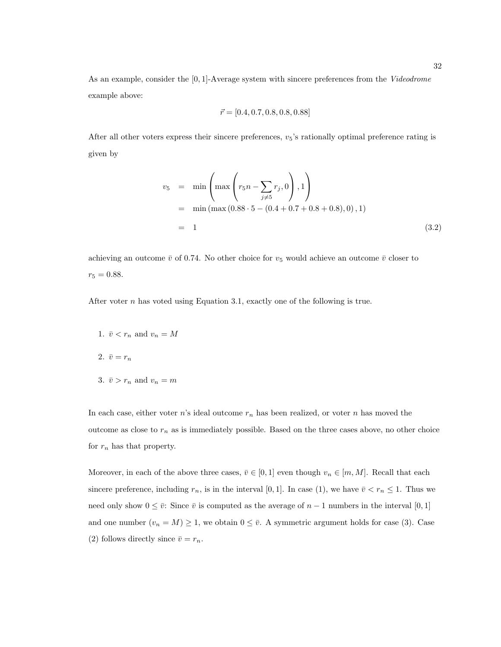As an example, consider the [0, 1]-Average system with sincere preferences from the Videodrome example above:

$$
\vec{r} = [0.4, 0.7, 0.8, 0.8, 0.88]
$$

After all other voters express their sincere preferences,  $v<sub>5</sub>$ 's rationally optimal preference rating is given by

$$
v_5 = \min\left(\max\left(r_5n - \sum_{j \neq 5} r_j, 0\right), 1\right)
$$
  
= \min(\max(0.88 \cdot 5 - (0.4 + 0.7 + 0.8 + 0.8), 0), 1)  
= 1 (3.2)

achieving an outcome  $\bar{v}$  of 0.74. No other choice for  $v_5$  would achieve an outcome  $\bar{v}$  closer to  $r_5 = 0.88.$ 

After voter n has voted using Equation 3.1, exactly one of the following is true.

\n- 1. 
$$
\bar{v} < r_n
$$
 and  $v_n = M$
\n- 2.  $\bar{v} = r_n$
\n- 3.  $\bar{v} > r_n$  and  $v_n = m$
\n

In each case, either voter n's ideal outcome  $r_n$  has been realized, or voter n has moved the outcome as close to  $r_n$  as is immediately possible. Based on the three cases above, no other choice for  $r_n$  has that property.

Moreover, in each of the above three cases,  $\bar{v} \in [0,1]$  even though  $v_n \in [m, M]$ . Recall that each sincere preference, including  $r_n$ , is in the interval [0, 1]. In case (1), we have  $\bar{v} < r_n \leq 1$ . Thus we need only show  $0 \leq \bar{v}$ : Since  $\bar{v}$  is computed as the average of  $n-1$  numbers in the interval [0, 1] and one number  $(v_n = M) \geq 1$ , we obtain  $0 \leq \overline{v}$ . A symmetric argument holds for case (3). Case (2) follows directly since  $\bar{v} = r_n$ .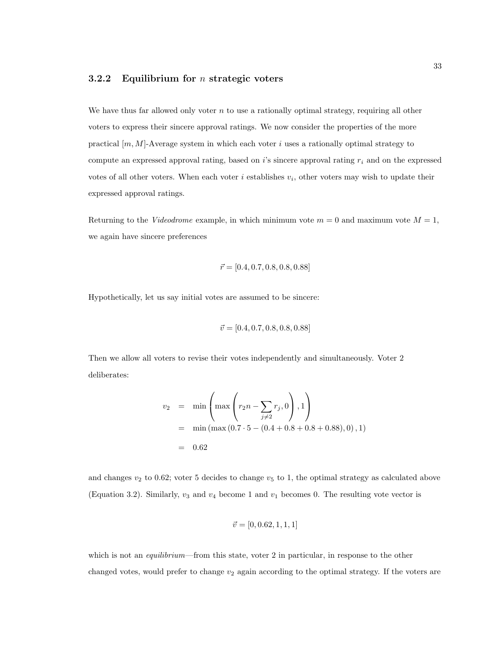## 3.2.2 Equilibrium for  $n$  strategic voters

We have thus far allowed only voter  $n$  to use a rationally optimal strategy, requiring all other voters to express their sincere approval ratings. We now consider the properties of the more practical  $[m, M]$ -Average system in which each voter i uses a rationally optimal strategy to compute an expressed approval rating, based on  $i$ 's sincere approval rating  $r_i$  and on the expressed votes of all other voters. When each voter  $i$  establishes  $v_i$ , other voters may wish to update their expressed approval ratings.

Returning to the *Videodrome* example, in which minimum vote  $m = 0$  and maximum vote  $M = 1$ , we again have sincere preferences

$$
\vec{r} = [0.4, 0.7, 0.8, 0.8, 0.88]
$$

Hypothetically, let us say initial votes are assumed to be sincere:

$$
\vec{v} = [0.4, 0.7, 0.8, 0.8, 0.88]
$$

Then we allow all voters to revise their votes independently and simultaneously. Voter 2 deliberates:

$$
v_2 = \min\left(\max\left(r_2n - \sum_{j\neq 2} r_j, 0\right), 1\right)
$$
  
= \min(\max(0.7 \cdot 5 - (0.4 + 0.8 + 0.8 + 0.88), 0), 1)  
= 0.62

and changes  $v_2$  to 0.62; voter 5 decides to change  $v_5$  to 1, the optimal strategy as calculated above (Equation 3.2). Similarly,  $v_3$  and  $v_4$  become 1 and  $v_1$  becomes 0. The resulting vote vector is

$$
\vec{v} = [0, 0.62, 1, 1, 1]
$$

which is not an *equilibrium*—from this state, voter 2 in particular, in response to the other changed votes, would prefer to change  $v_2$  again according to the optimal strategy. If the voters are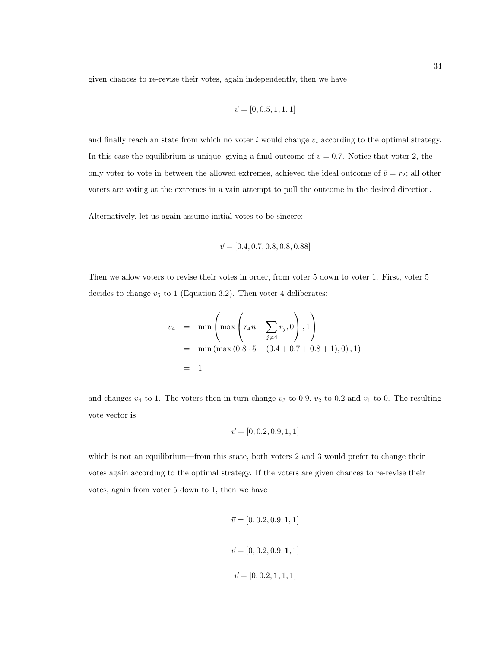given chances to re-revise their votes, again independently, then we have

$$
\vec{v} = [0, 0.5, 1, 1, 1]
$$

and finally reach an state from which no voter i would change  $v_i$  according to the optimal strategy. In this case the equilibrium is unique, giving a final outcome of  $\bar{v} = 0.7$ . Notice that voter 2, the only voter to vote in between the allowed extremes, achieved the ideal outcome of  $\bar{v} = r_2$ ; all other voters are voting at the extremes in a vain attempt to pull the outcome in the desired direction.

Alternatively, let us again assume initial votes to be sincere:

$$
\vec{v} = [0.4, 0.7, 0.8, 0.8, 0.88]
$$

Then we allow voters to revise their votes in order, from voter 5 down to voter 1. First, voter 5 decides to change  $v_5$  to 1 (Equation 3.2). Then voter 4 deliberates:

$$
v_4 = \min\left(\max\left(r_4n - \sum_{j \neq 4} r_j, 0\right), 1\right)
$$
  
= \min(\max(0.8 \cdot 5 - (0.4 + 0.7 + 0.8 + 1), 0), 1)  
= 1

and changes  $v_4$  to 1. The voters then in turn change  $v_3$  to 0.9,  $v_2$  to 0.2 and  $v_1$  to 0. The resulting vote vector is

$$
\vec{v} = [0, 0.2, 0.9, 1, 1]
$$

which is not an equilibrium—from this state, both voters 2 and 3 would prefer to change their votes again according to the optimal strategy. If the voters are given chances to re-revise their votes, again from voter 5 down to 1, then we have

$$
\vec{v} = [0, 0.2, 0.9, 1, 1]
$$

$$
\vec{v} = [0, 0.2, 0.9, 1, 1]
$$

$$
\vec{v} = [0, 0.2, 1, 1, 1]
$$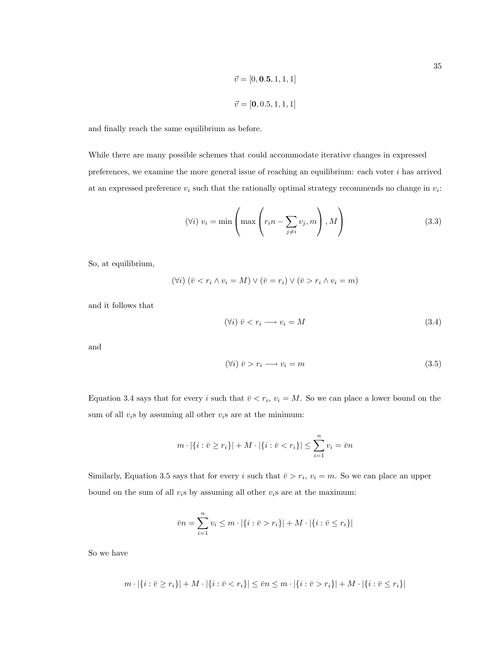$$
\vec{v} = [0, \mathbf{0.5}, 1, 1, 1]
$$

$$
\vec{v} = [\mathbf{0}, 0.5, 1, 1, 1]
$$

and finally reach the same equilibrium as before.

While there are many possible schemes that could accommodate iterative changes in expressed preferences, we examine the more general issue of reaching an equilibrium: each voter  $i$  has arrived at an expressed preference  $v_i$  such that the rationally optimal strategy recommends no change in  $v_i$ :

$$
(\forall i) \ v_i = \min\left(\max\left(r_i n - \sum_{j \neq i} v_j, m\right), M\right) \tag{3.3}
$$

So, at equilibrium,

$$
(\forall i) \ (\bar{v} < r_i \land v_i = M) \lor (\bar{v} = r_i) \lor (\bar{v} > r_i \land v_i = m)
$$

and it follows that

$$
(\forall i)\ \bar{v} < r_i \longrightarrow v_i = M\tag{3.4}
$$

and

$$
(\forall i)\ \bar{v} > r_i \longrightarrow v_i = m \tag{3.5}
$$

Equation 3.4 says that for every i such that  $\bar{v} < r_i$ ,  $v_i = M$ . So we can place a lower bound on the sum of all  $v_i$ s by assuming all other  $v_i$ s are at the minimum:

$$
m \cdot |\{i : \overline{v} \ge r_i\}| + M \cdot |\{i : \overline{v} < r_i\}| \le \sum_{i=1}^n v_i = \overline{v}n
$$

Similarly, Equation 3.5 says that for every i such that  $\bar{v} > r_i$ ,  $v_i = m$ . So we can place an upper bound on the sum of all  $v_i$ s by assuming all other  $v_i$ s are at the maximum:

$$
\bar{v}n = \sum_{i=1}^{n} v_i \le m \cdot |\{i : \bar{v} > r_i\}| + M \cdot |\{i : \bar{v} \le r_i\}|
$$

So we have

$$
m\cdot |\{i:\bar{v}\geq r_i\}|+M\cdot |\{i:\bar{v}r_i\}|+M\cdot |\{i:\bar{v}\leq r_i\}|
$$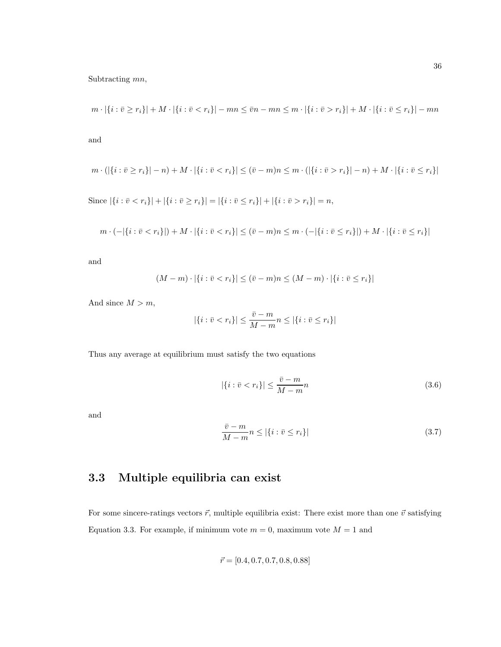Subtracting mn,

$$
m\cdot|\{i:\bar{v}\geq r_i\}|+M\cdot|\{i:\bar{v}r_i\}|+M\cdot|\{i:\bar{v}\leq r_i\}|-mn
$$

and

$$
m \cdot (|\{i : \overline{v} \ge r_i\}| - n) + M \cdot |\{i : \overline{v} < r_i\}| \le (\overline{v} - m)n \le m \cdot (|\{i : \overline{v} > r_i\}| - n) + M \cdot |\{i : \overline{v} \le r_i\}|
$$

Since  $|\{i : \bar{v} < r_i\}| + |\{i : \bar{v} \geq r_i\}| = |\{i : \bar{v} \leq r_i\}| + |\{i : \bar{v} > r_i\}| = n$ ,

$$
m \cdot (-|\{i : \overline{v} < r_i\}|) + M \cdot |\{i : \overline{v} < r_i\}| \leq (\overline{v} - m)n \leq m \cdot (-|\{i : \overline{v} \leq r_i\}|) + M \cdot |\{i : \overline{v} \leq r_i\}|
$$

and

$$
(M - m) \cdot |\{i : \bar{v} < r_i\}| \leq (\bar{v} - m)n \leq (M - m) \cdot |\{i : \bar{v} \leq r_i\}|
$$

And since  $M > m$ ,

$$
|\{i:\overline{v} < r_i\}| \le \frac{\overline{v} - m}{M - m}n \le |\{i:\overline{v} \le r_i\}|
$$

Thus any average at equilibrium must satisfy the two equations

$$
|\{i:\bar{v} < r_i\}| \le \frac{\bar{v} - m}{M - m}n\tag{3.6}
$$

and

$$
\frac{\bar{v} - m}{M - m} n \le |\{i : \bar{v} \le r_i\}| \tag{3.7}
$$

# 3.3 Multiple equilibria can exist

For some sincere-ratings vectors  $\vec{r}$ , multiple equilibria exist: There exist more than one  $\vec{v}$  satisfying Equation 3.3. For example, if minimum vote  $m = 0$ , maximum vote  $M = 1$  and

$$
\vec{r} = [0.4, 0.7, 0.7, 0.8, 0.88]
$$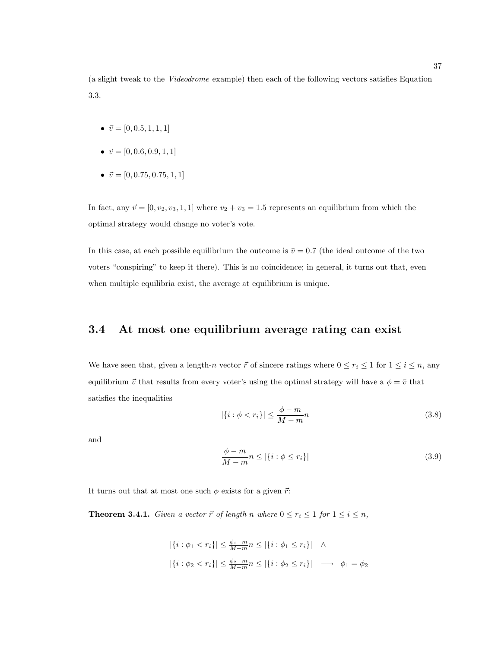(a slight tweak to the Videodrome example) then each of the following vectors satisfies Equation 3.3.

- $\vec{v} = [0, 0.5, 1, 1, 1]$
- $\vec{v} = [0, 0.6, 0.9, 1, 1]$
- $\vec{v} = [0, 0.75, 0.75, 1, 1]$

In fact, any  $\vec{v} = [0, v_2, v_3, 1, 1]$  where  $v_2 + v_3 = 1.5$  represents an equilibrium from which the optimal strategy would change no voter's vote.

In this case, at each possible equilibrium the outcome is  $\bar{v} = 0.7$  (the ideal outcome of the two voters "conspiring" to keep it there). This is no coincidence; in general, it turns out that, even when multiple equilibria exist, the average at equilibrium is unique.

## 3.4 At most one equilibrium average rating can exist

We have seen that, given a length-n vector  $\vec{r}$  of sincere ratings where  $0 \le r_i \le 1$  for  $1 \le i \le n$ , any equilibrium  $\vec{v}$  that results from every voter's using the optimal strategy will have a  $\phi = \bar{v}$  that satisfies the inequalities

$$
|\{i : \phi < r_i\}| \le \frac{\phi - m}{M - m} n \tag{3.8}
$$

and

$$
\frac{\phi - m}{M - m} n \le |\{i : \phi \le r_i\}| \tag{3.9}
$$

It turns out that at most one such  $\phi$  exists for a given  $\vec{r}$ :

**Theorem 3.4.1.** Given a vector  $\vec{r}$  of length n where  $0 \le r_i \le 1$  for  $1 \le i \le n$ ,

$$
|\{i : \phi_1 < r_i\}| \le \frac{\phi_1 - m}{M - m} n \le |\{i : \phi_1 \le r_i\}| \quad \land
$$
\n
$$
|\{i : \phi_2 < r_i\}| \le \frac{\phi_2 - m}{M - m} n \le |\{i : \phi_2 \le r_i\}| \quad \longrightarrow \quad \phi_1 = \phi_2
$$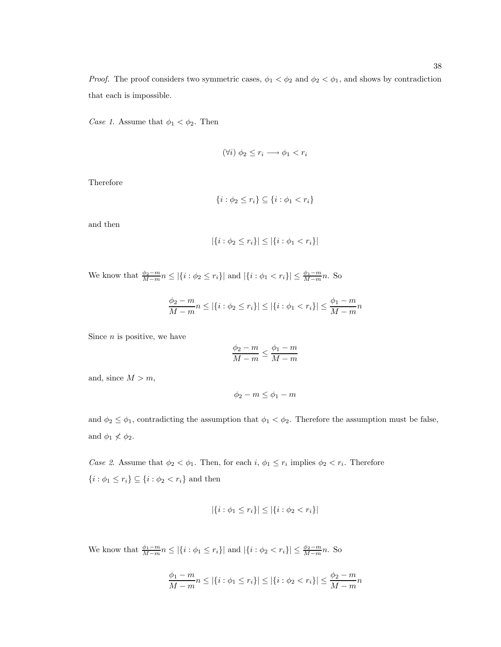*Proof.* The proof considers two symmetric cases,  $\phi_1 < \phi_2$  and  $\phi_2 < \phi_1$ , and shows by contradiction that each is impossible.

Case 1. Assume that  $\phi_1 < \phi_2$ . Then

$$
(\forall i)\ \phi_2 \le r_i \longrightarrow \phi_1 < r_i
$$

Therefore

$$
\{i : \phi_2 \le r_i\} \subseteq \{i : \phi_1 < r_i\}
$$

and then

$$
|\{i : \phi_2 \le r_i\}| \le |\{i : \phi_1 < r_i\}|
$$

We know that  $\frac{\phi_2 - m}{M - m} n \leq |\{i : \phi_2 \leq r_i\}|$  and  $|\{i : \phi_1 < r_i\}| \leq \frac{\phi_1 - m}{M - m} n$ . So

$$
\frac{\phi_2 - m}{M-m} n \leq |\{i : \phi_2 \leq r_i\}| \leq |\{i : \phi_1 < r_i\}| \leq \frac{\phi_1 - m}{M-m} n
$$

Since  $n$  is positive, we have

$$
\frac{\phi_2 - m}{M - m} \le \frac{\phi_1 - m}{M - m}
$$

and, since  $M > m$ ,

$$
\phi_2 - m \le \phi_1 - m
$$

and  $\phi_2 \leq \phi_1$ , contradicting the assumption that  $\phi_1 < \phi_2$ . Therefore the assumption must be false, and  $\phi_1 \nless \phi_2$ .

Case 2. Assume that  $\phi_2 < \phi_1$ . Then, for each  $i, \phi_1 \leq r_i$  implies  $\phi_2 < r_i$ . Therefore  $\{i: \phi_1 \leq r_i\} \subseteq \{i: \phi_2 < r_i\}$  and then

$$
|\{i : \phi_1 \le r_i\}| \le |\{i : \phi_2 < r_i\}|
$$

We know that  $\frac{\phi_1 - m}{M - m} n \leq |\{i : \phi_1 \leq r_i\}|$  and  $|\{i : \phi_2 < r_i\}| \leq \frac{\phi_2 - m}{M - m} n$ . So

$$
\frac{\phi_1 - m}{M - m} n \le |\{i : \phi_1 \le r_i\}| \le |\{i : \phi_2 < r_i\}| \le \frac{\phi_2 - m}{M - m} n
$$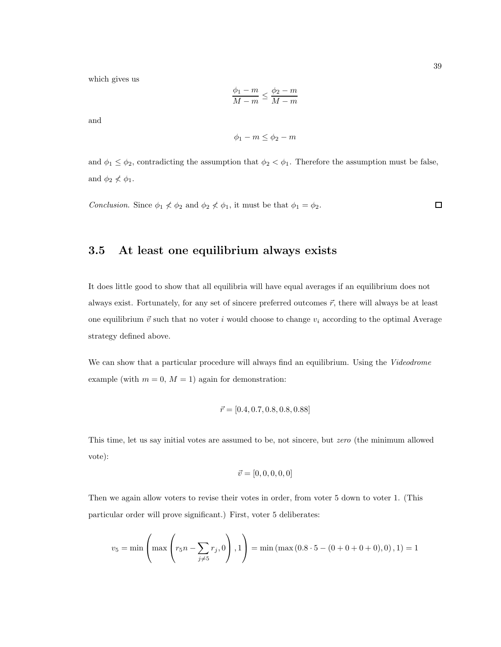which gives us

$$
\frac{\phi_1 - m}{M - m} \le \frac{\phi_2 - m}{M - m}
$$

and

$$
\phi_1 - m \le \phi_2 - m
$$

and  $\phi_1 \leq \phi_2$ , contradicting the assumption that  $\phi_2 < \phi_1$ . Therefore the assumption must be false, and  $\phi_2 \nless \phi_1$ .

*Conclusion.* Since  $\phi_1 \nless \phi_2$  and  $\phi_2 \nless \phi_1$ , it must be that  $\phi_1 = \phi_2$ .  $\Box$ 

## 3.5 At least one equilibrium always exists

It does little good to show that all equilibria will have equal averages if an equilibrium does not always exist. Fortunately, for any set of sincere preferred outcomes  $\vec{r}$ , there will always be at least one equilibrium  $\vec{v}$  such that no voter i would choose to change  $v_i$  according to the optimal Average strategy defined above.

We can show that a particular procedure will always find an equilibrium. Using the Videodrome example (with  $m = 0$ ,  $M = 1$ ) again for demonstration:

$$
\vec{r} = [0.4, 0.7, 0.8, 0.8, 0.88]
$$

This time, let us say initial votes are assumed to be, not sincere, but zero (the minimum allowed vote):

$$
\vec{v} = [0, 0, 0, 0, 0]
$$

Then we again allow voters to revise their votes in order, from voter 5 down to voter 1. (This particular order will prove significant.) First, voter 5 deliberates:

$$
v_5 = \min\left(\max\left(r_5n - \sum_{j \neq 5} r_j, 0\right), 1\right) = \min\left(\max\left(0.8 \cdot 5 - (0 + 0 + 0 + 0), 0\right), 1\right) = 1
$$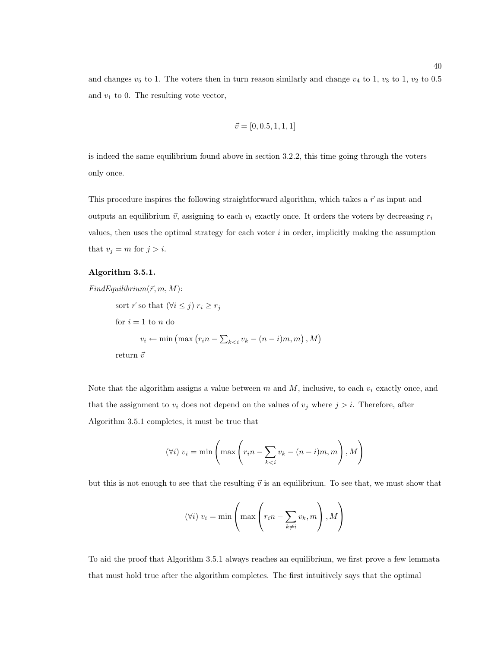and changes  $v_5$  to 1. The voters then in turn reason similarly and change  $v_4$  to 1,  $v_3$  to 1,  $v_2$  to 0.5 and  $v_1$  to 0. The resulting vote vector,

$$
\vec{v} = [0, 0.5, 1, 1, 1]
$$

is indeed the same equilibrium found above in section 3.2.2, this time going through the voters only once.

This procedure inspires the following straightforward algorithm, which takes a  $\vec{r}$  as input and outputs an equilibrium  $\vec{v}$ , assigning to each  $v_i$  exactly once. It orders the voters by decreasing  $r_i$ values, then uses the optimal strategy for each voter  $i$  in order, implicitly making the assumption that  $v_j = m$  for  $j > i$ .

#### Algorithm 3.5.1.

 $FindEquilibrium(\vec{r}, m, M):$ sort  $\vec{r}$  so that  $(\forall i \leq j)$   $r_i \geq r_j$ for  $i = 1$  to n do  $v_i \leftarrow \min\left(\max\left(r_i n - \sum_{k < i} v_k - (n - i)m, m\right), M\right)$ return  $\vec{v}$ 

Note that the algorithm assigns a value between  $m$  and  $M$ , inclusive, to each  $v_i$  exactly once, and that the assignment to  $v_i$  does not depend on the values of  $v_j$  where  $j > i$ . Therefore, after Algorithm 3.5.1 completes, it must be true that

$$
(\forall i) \ v_i = \min\left(\max\left(r_i n - \sum_{k < i} v_k - (n - i)m, m\right), M\right)
$$

but this is not enough to see that the resulting  $\vec{v}$  is an equilibrium. To see that, we must show that

$$
(\forall i) v_i = \min\left(\max\left(r_i n - \sum_{k \neq i} v_k, m\right), M\right)
$$

To aid the proof that Algorithm 3.5.1 always reaches an equilibrium, we first prove a few lemmata that must hold true after the algorithm completes. The first intuitively says that the optimal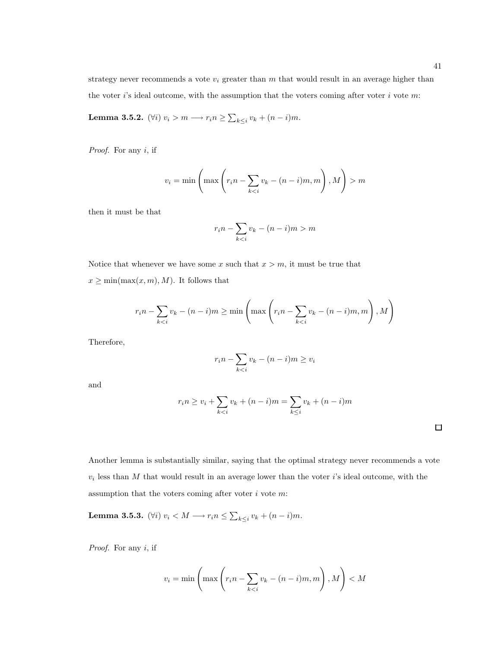strategy never recommends a vote  $v_i$  greater than  $m$  that would result in an average higher than the voter i's ideal outcome, with the assumption that the voters coming after voter i vote m:

Lemma 3.5.2.  $(\forall i)$   $v_i > m \longrightarrow r_i n \geq \sum_{k \leq i} v_k + (n-i) m$ .

Proof. For any i, if

$$
v_i = \min\left(\max\left(r_i n - \sum_{k < i} v_k - (n-i)m, m\right), M\right) > m
$$

then it must be that

$$
r_i n - \sum_{k < i} v_k - (n - i)m > m
$$

Notice that whenever we have some x such that  $x > m$ , it must be true that  $x \geq \min(\max(x, m), M)$ . It follows that

$$
r_i n - \sum_{k < i} v_k - (n - i)m \ge \min\left(\max\left(r_i n - \sum_{k < i} v_k - (n - i)m, m\right), M\right)
$$

Therefore,

$$
r_i n - \sum_{k < i} v_k - (n - i)m \ge v_i
$$

and

$$
r_i n \ge v_i + \sum_{k < i} v_k + (n - i)m = \sum_{k \le i} v_k + (n - i)m
$$

 $\Box$ 

Another lemma is substantially similar, saying that the optimal strategy never recommends a vote  $v_i$  less than M that would result in an average lower than the voter i's ideal outcome, with the assumption that the voters coming after voter  $i$  vote  $m$ :

Lemma 3.5.3.  $(\forall i)$   $v_i < M \longrightarrow r_i n \leq \sum_{k \leq i} v_k + (n-i) m$ .

Proof. For any *i*, if

$$
v_i = \min\left(\max\left(r_i n - \sum_{k < i} v_k - (n-i)m, m\right), M\right) < M
$$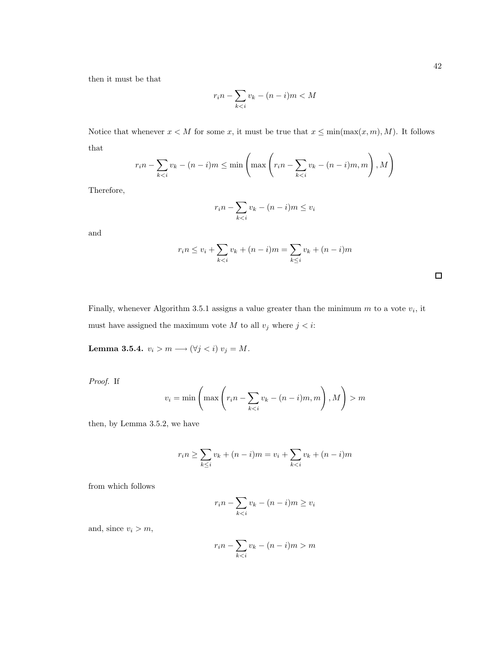then it must be that

$$
r_i n - \sum_{k < i} v_k - (n - i)m < M
$$

Notice that whenever  $x < M$  for some x, it must be true that  $x \le \min(\max(x, m), M)$ . It follows that

$$
r_i n - \sum_{k < i} v_k - (n-i)m \le \min\left(\max\left(r_i n - \sum_{k < i} v_k - (n-i)m, m\right), M\right)
$$

Therefore,

$$
r_i n - \sum_{k < i} v_k - (n - i)m \le v_i
$$

and

$$
r_i n \le v_i + \sum_{k < i} v_k + (n - i)m = \sum_{k \le i} v_k + (n - i)m
$$

Finally, whenever Algorithm 3.5.1 assigns a value greater than the minimum  $m$  to a vote  $v_i$ , it must have assigned the maximum vote  $M$  to all  $v_j$  where  $j < i$ :

Lemma 3.5.4.  $v_i > m \longrightarrow (\forall j < i)$   $v_j = M$ .

Proof. If

$$
v_i = \min\left(\max\left(r_i n - \sum_{k < i} v_k - (n - i)m, m\right), M\right) > m
$$

then, by Lemma 3.5.2, we have

$$
r_i n \ge \sum_{k \le i} v_k + (n - i)m = v_i + \sum_{k < i} v_k + (n - i)m
$$

from which follows

$$
r_i n - \sum_{k < i} v_k - (n - i)m \ge v_i
$$

and, since  $v_i > m$ ,

$$
r_i n - \sum_{k < i} v_k - (n - i)m > m
$$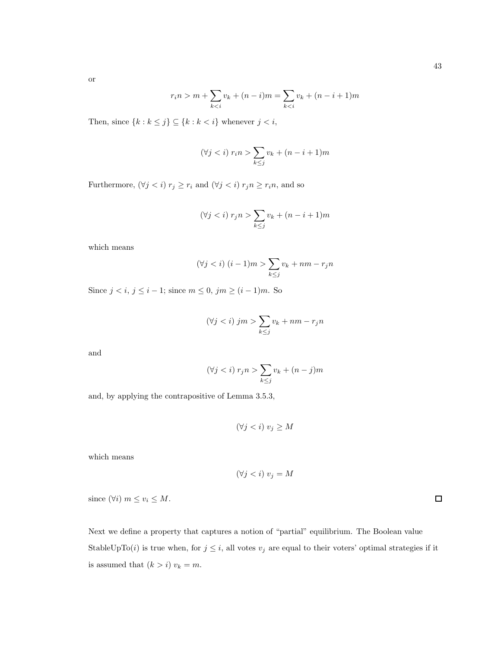or

$$
r_i n > m + \sum_{k < i} v_k + (n - i)m = \sum_{k < i} v_k + (n - i + 1)m
$$

Then, since  $\{k: k\leq j\}\subseteq \{k: k< i\}$  whenever  $j< i,$ 

$$
(\forall j < i) \ r_i n > \sum_{k \le j} v_k + (n - i + 1)m
$$

Furthermore,  $(\forall j < i)$   $r_j \ge r_i$  and  $(\forall j < i)$   $r_j n \ge r_i n$ , and so

$$
(\forall j < i) \; r_j n > \sum_{k \le j} v_k + (n - i + 1)m
$$

which means

$$
(\forall j < i) \ (i-1)m > \sum_{k \le j} v_k + nm - r_j n
$$

Since  $j < i$ ,  $j \leq i - 1$ ; since  $m \leq 0$ ,  $jm \geq (i - 1)m$ . So

$$
(\forall j < i) \, jm > \sum_{k \le j} v_k + nm - r_j n
$$

and

$$
(\forall j < i) \; r_j n > \sum_{k \le j} v_k + (n - j)m
$$

and, by applying the contrapositive of Lemma 3.5.3,

$$
(\forall j < i) v_j \ge M
$$

which means

 $(\forall j < i) v_j = M$ 

since  $(\forall i)$   $m \leq v_i \leq M$ .

Next we define a property that captures a notion of "partial" equilibrium. The Boolean value StableUpTo(*i*) is true when, for  $j \leq i$ , all votes  $v_j$  are equal to their voters' optimal strategies if it is assumed that  $(k > i) v_k = m$ .

 $\Box$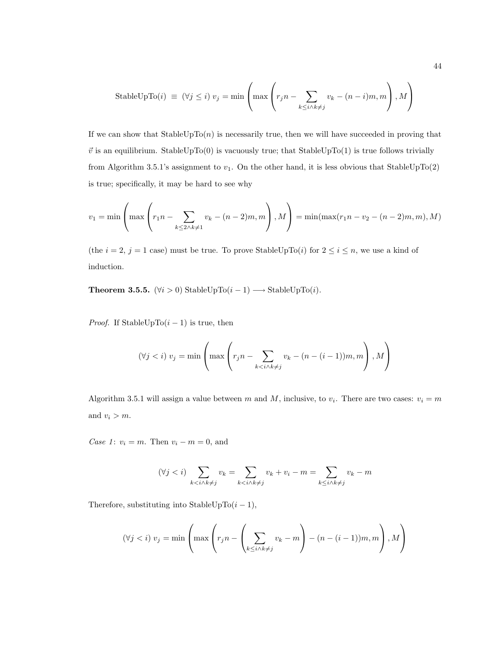StableUpTo(*i*) 
$$
\equiv (\forall j \leq i) v_j = \min \left( \max \left( r_j n - \sum_{k \leq i \land k \neq j} v_k - (n-i) m, m \right), M \right)
$$

If we can show that  $StableUpTo(n)$  is necessarily true, then we will have succeeded in proving that  $\vec{v}$  is an equilibrium. StableUpTo(0) is vacuously true; that StableUpTo(1) is true follows trivially from Algorithm 3.5.1's assignment to  $v_1$ . On the other hand, it is less obvious that StableUpTo(2) is true; specifically, it may be hard to see why

$$
v_1 = \min\left(\max\left(r_1 n - \sum_{k \le 2 \land k \ne 1} v_k - (n-2)m, m\right), M\right) = \min(\max(r_1 n - v_2 - (n-2)m, m), M)
$$

(the  $i = 2$ ,  $j = 1$  case) must be true. To prove StableUpTo(i) for  $2 \le i \le n$ , we use a kind of induction.

**Theorem 3.5.5.**  $(\forall i > 0)$  StableUpTo $(i - 1) \longrightarrow$  StableUpTo $(i)$ .

*Proof.* If StableUpTo $(i - 1)$  is true, then

$$
(\forall j < i) v_j = \min \left( \max \left( r_j n - \sum_{k < i \land k \neq j} v_k - (n - (i - 1))m, m \right), M \right)
$$

Algorithm 3.5.1 will assign a value between m and M, inclusive, to  $v_i$ . There are two cases:  $v_i = m$ and  $v_i > m$ .

Case 1:  $v_i = m$ . Then  $v_i - m = 0$ , and

$$
(\forall j < i) \sum_{k < i \land k \neq j} v_k = \sum_{k < i \land k \neq j} v_k + v_i - m = \sum_{k \leq i \land k \neq j} v_k - m
$$

Therefore, substituting into StableUpTo $(i - 1)$ ,

$$
(\forall j < i) v_j = \min \left( \max \left( r_j n - \left( \sum_{k \le i \land k \ne j} v_k - m \right) - (n - (i - 1)) m, m \right), M \right)
$$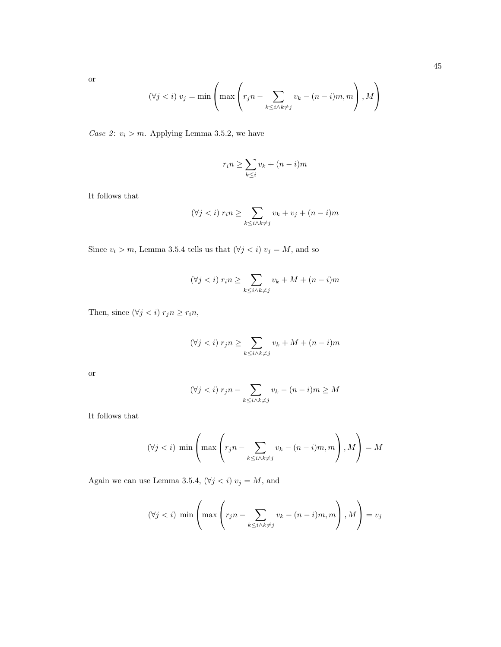or

$$
(\forall j < i) v_j = \min \left( \max \left( r_j n - \sum_{k \le i \land k \ne j} v_k - (n - i)m, m \right), M \right)
$$

*Case 2:*  $v_i > m$ . Applying Lemma 3.5.2, we have

$$
r_i n \ge \sum_{k \le i} v_k + (n - i)m
$$

It follows that

$$
(\forall j < i) \ r_i n \ge \sum_{k \le i \land k \ne j} v_k + v_j + (n - i)m
$$

Since  $v_i > m$ , Lemma 3.5.4 tells us that  $(\forall j < i)$   $v_j = M$ , and so

$$
(\forall j < i) \ r_i n \ge \sum_{k \le i \land k \ne j} v_k + M + (n - i)m
$$

Then, since  $(\forall j < i)$   $r_j n \ge r_i n$ ,

$$
(\forall j < i) \; r_j n \ge \sum_{k \le i \land k \ne j} v_k + M + (n - i)m
$$

or

$$
(\forall j < i) \ r_j n - \sum_{k \le i \land k \ne j} v_k - (n - i)m \ge M
$$

It follows that

$$
(\forall j < i) \min \left( \max \left( r_j n - \sum_{k \le i \land k \ne j} v_k - (n - i)m, m \right), M \right) = M
$$

Again we can use Lemma 3.5.4,  $(\forall j < i)$   $v_j = M,$  and

$$
(\forall j < i) \min \left( \max \left( r_j n - \sum_{k \le i \land k \ne j} v_k - (n - i)m, m \right), M \right) = v_j
$$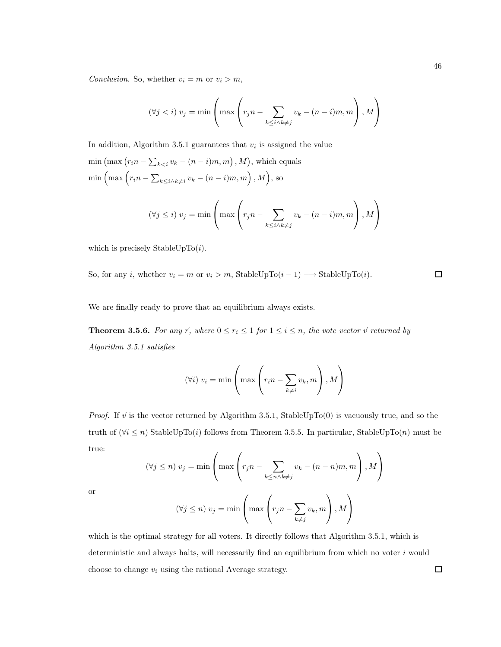Conclusion. So, whether  $v_i = m$  or  $v_i > m$ ,

$$
(\forall j < i) v_j = \min \left( \max \left( r_j n - \sum_{k \le i \land k \ne j} v_k - (n - i)m, m \right), M \right)
$$

In addition, Algorithm 3.5.1 guarantees that  $v_i$  is assigned the value

 $\min\left(\max\left(r_{i}n-\sum_{k$  $\min\left(\max\left(r_{i}n-\sum_{k\leq i\wedge k\neq i}v_{k}-(n-i)m,m\right),M\right),$  so

$$
(\forall j \leq i) v_j = \min \left( \max \left( r_j n - \sum_{k \leq i \land k \neq j} v_k - (n - i)m, m \right), M \right)
$$

which is precisely StableUpTo $(i)$ .

So, for any *i*, whether 
$$
v_i = m
$$
 or  $v_i > m$ , StableUpTo( $i - 1$ )  $\longrightarrow$  StableUpTo(*i*).

We are finally ready to prove that an equilibrium always exists.

**Theorem 3.5.6.** For any  $\vec{r}$ , where  $0 \le r_i \le 1$  for  $1 \le i \le n$ , the vote vector  $\vec{v}$  returned by Algorithm 3.5.1 satisfies

$$
(\forall i) \ v_i = \min\left(\max\left(r_i n - \sum_{k \neq i} v_k, m\right), M\right)
$$

*Proof.* If  $\vec{v}$  is the vector returned by Algorithm 3.5.1, StableUpTo(0) is vacuously true, and so the truth of  $(\forall i \leq n)$  StableUpTo(i) follows from Theorem 3.5.5. In particular, StableUpTo(n) must be true:

$$
(\forall j \leq n) v_j = \min \left( \max \left( r_j n - \sum_{k \leq n \land k \neq j} v_k - (n - n) m, m \right), M \right)
$$

or

$$
(\forall j \leq n) v_j = \min\left(\max\left(r_j n - \sum_{k \neq j} v_k, m\right), M\right)
$$

which is the optimal strategy for all voters. It directly follows that Algorithm 3.5.1, which is deterministic and always halts, will necessarily find an equilibrium from which no voter i would choose to change  $v_i$  using the rational Average strategy.

 $\Box$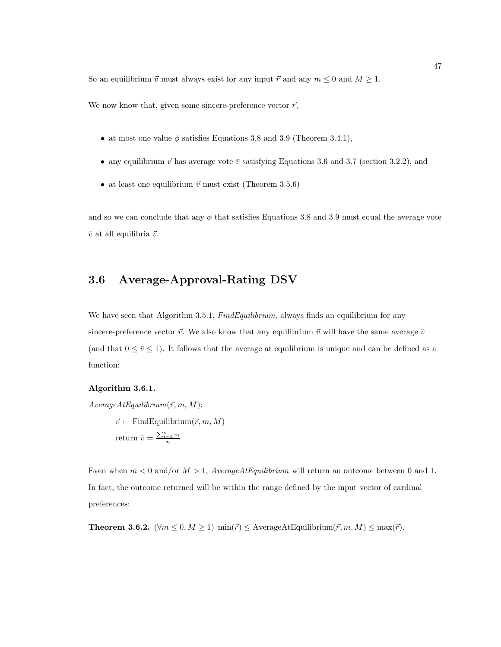So an equilibrium  $\vec{v}$  must always exist for any input  $\vec{r}$  and any  $m \leq 0$  and  $M \geq 1$ .

We now know that, given some sincere-preference vector  $\vec{r}$ ,

- at most one value  $\phi$  satisfies Equations 3.8 and 3.9 (Theorem 3.4.1),
- any equilibrium  $\vec{v}$  has average vote  $\vec{v}$  satisfying Equations 3.6 and 3.7 (section 3.2.2), and
- at least one equilibrium  $\vec{v}$  must exist (Theorem 3.5.6)

and so we can conclude that any  $\phi$  that satisfies Equations 3.8 and 3.9 must equal the average vote  $\bar{v}$  at all equilibria  $\vec{v}$ .

## 3.6 Average-Approval-Rating DSV

We have seen that Algorithm 3.5.1,  $FindEquilibrium$ , always finds an equilibrium for any sincere-preference vector  $\vec{r}$ . We also know that any equilibrium  $\vec{v}$  will have the same average  $\vec{v}$ (and that  $0 \leq \bar{v} \leq 1$ ). It follows that the average at equilibrium is unique and can be defined as a function:

#### Algorithm 3.6.1.

 $AverageAtEquilibrium(\vec{r}, m, M):$ 

$$
\vec{v} \leftarrow \text{FindEquilibrium}(\vec{r}, m, M)
$$
  
return 
$$
\bar{v} = \frac{\sum_{i=1}^{n} v_i}{n}
$$

Even when  $m < 0$  and/or  $M > 1$ , AverageAtEquilibrium will return an outcome between 0 and 1. In fact, the outcome returned will be within the range defined by the input vector of cardinal preferences:

Theorem 3.6.2.  $(\forall m \leq 0, M \geq 1) \min(\vec{r}) \leq \text{AverageAtEquilibrium}(\vec{r}, m, M) \leq \max(\vec{r}).$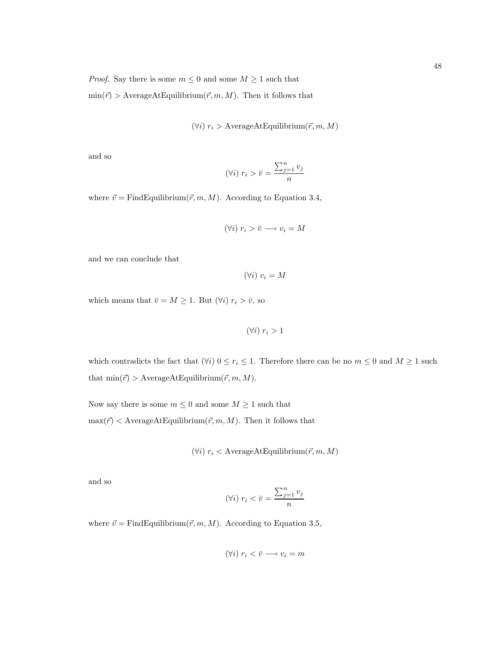$\min(\vec{r})$  > AverageAtEquilibrium $(\vec{r}, m, M)$ . Then it follows that

$$
(\forall i) r_i > \text{AverageAtEquilibrium}(\vec{r}, m, M)
$$

and so

$$
(\forall i)\;r_i > \bar{v} = \frac{\sum_{j=1}^n v_j}{n}
$$

where  $\vec{v} = \text{FindEquilibrium}(\vec{r}, m, M)$ . According to Equation 3.4,

$$
(\forall i)\; r_i > \bar{v} \longrightarrow v_i = M
$$

and we can conclude that

$$
(\forall i)\ v_i = M
$$

which means that  $\bar{v} = M \geq 1$ . But  $(\forall i)$   $r_i > \bar{v}$ , so

$$
(\forall i)\; r_i > 1
$$

which contradicts the fact that  $(\forall i)$   $0 \le r_i \le 1$ . Therefore there can be no  $m \le 0$  and  $M \ge 1$  such that  $\min(\vec{r}) > \text{AverageAtEquilibrium}(\vec{r}, m, M).$ 

Now say there is some  $m \leq 0$  and some  $M \geq 1$  such that  $\max(\vec{r}) <$  AverageAtEquilibrium $(\vec{r}, m, M)$ . Then it follows that

$$
(\forall i) r_i < \text{AverageAtEquilibrium}(\vec{r}, m, M)
$$

and so

$$
(\forall i)\;r_i < \bar{v} = \frac{\sum_{j=1}^n v_j}{n}
$$

where  $\vec{v} = \text{FindEquilibrium}(\vec{r}, m, M)$ . According to Equation 3.5,

$$
(\forall i)\; r_i < \bar{v} \longrightarrow v_i = m
$$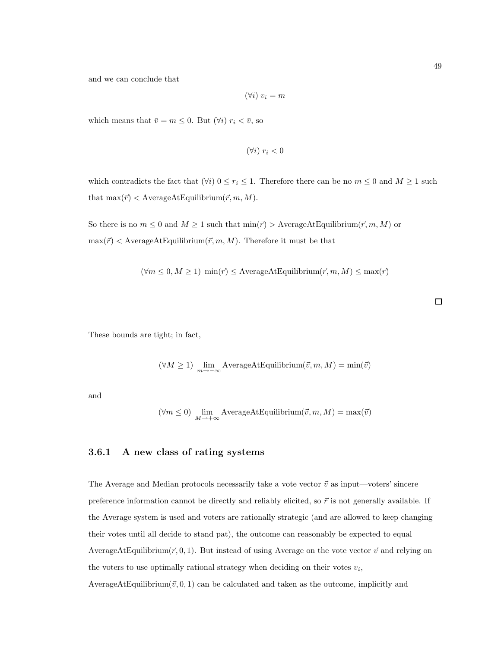and we can conclude that

$$
(\forall i)\ v_i = m
$$

which means that  $\bar{v} = m \leq 0$ . But  $(\forall i)$   $r_i < \bar{v}$ , so

$$
(\forall i)\;r_i<0
$$

which contradicts the fact that  $(\forall i)$   $0 \le r_i \le 1$ . Therefore there can be no  $m \le 0$  and  $M \ge 1$  such that  $\max(\vec{r}) <$  AverageAtEquilibrium $(\vec{r}, m, M)$ .

So there is no  $m \leq 0$  and  $M \geq 1$  such that  $\min(\vec{r}) >$  AverageAtEquilibrium $(\vec{r}, m, M)$  or  $\max(\vec{r})$  < AverageAtEquilibrium $(\vec{r}, m, M)$ . Therefore it must be that

$$
(\forall m \le 0, M \ge 1) \ \min(\vec{r}) \le \text{AverageAtEquilibrium}(\vec{r}, m, M) \le \max(\vec{r})
$$

These bounds are tight; in fact,

$$
(\forall M \ge 1) \ \lim_{m \to -\infty} \text{AverageAtEquilibrium}(\vec{v}, m, M) = \min(\vec{v})
$$

and

$$
(\forall m \leq 0) \ \lim_{M \to +\infty} {\rm AverageAtEquilibrium}(\vec{v},m,M) = \max(\vec{v})
$$

### 3.6.1 A new class of rating systems

The Average and Median protocols necessarily take a vote vector  $\vec{v}$  as input—voters' sincere preference information cannot be directly and reliably elicited, so  $\vec{r}$  is not generally available. If the Average system is used and voters are rationally strategic (and are allowed to keep changing their votes until all decide to stand pat), the outcome can reasonably be expected to equal AverageAtEquilibrium( $\vec{r}$ , 0, 1). But instead of using Average on the vote vector  $\vec{v}$  and relying on the voters to use optimally rational strategy when deciding on their votes  $v_i$ , AverageAtEquilibrium( $\vec{v}$ , 0, 1) can be calculated and taken as the outcome, implicitly and

 $\Box$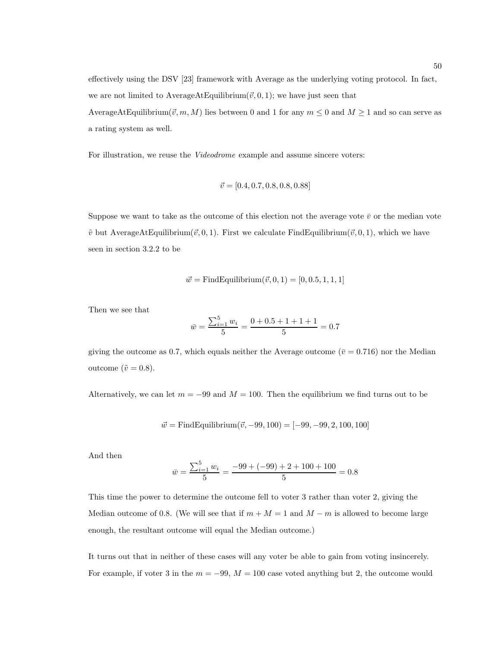effectively using the DSV [23] framework with Average as the underlying voting protocol. In fact, we are not limited to AverageAtEquilibrium $(\vec{v}, 0, 1)$ ; we have just seen that AverageAtEquilibrium $(\vec{v}, m, M)$  lies between 0 and 1 for any  $m \leq 0$  and  $M \geq 1$  and so can serve as a rating system as well.

For illustration, we reuse the Videodrome example and assume sincere voters:

$$
\vec{v} = [0.4, 0.7, 0.8, 0.8, 0.88]
$$

Suppose we want to take as the outcome of this election not the average vote  $\bar{v}$  or the median vote  $\tilde{v}$  but AverageAtEquilibrium( $\vec{v}$ , 0, 1). First we calculate FindEquilibrium( $\vec{v}$ , 0, 1), which we have seen in section 3.2.2 to be

$$
\vec{w} =
$$
 FindEquilibrium( $\vec{v}, 0, 1$ ) = [0, 0.5, 1, 1, 1]

Then we see that

$$
\bar{w} = \frac{\sum_{i=1}^{5} w_i}{5} = \frac{0 + 0.5 + 1 + 1 + 1}{5} = 0.7
$$

giving the outcome as 0.7, which equals neither the Average outcome ( $\bar{v} = 0.716$ ) nor the Median outcome ( $\tilde{v} = 0.8$ ).

Alternatively, we can let  $m = -99$  and  $M = 100$ . Then the equilibrium we find turns out to be

 $\vec{w} = \text{FindEquilibrium}(\vec{v}, -99, 100) = [-99, -99, 2, 100, 100]$ 

And then

$$
\bar{w} = \frac{\sum_{i=1}^{5} w_i}{5} = \frac{-99 + (-99) + 2 + 100 + 100}{5} = 0.8
$$

This time the power to determine the outcome fell to voter 3 rather than voter 2, giving the Median outcome of 0.8. (We will see that if  $m + M = 1$  and  $M - m$  is allowed to become large enough, the resultant outcome will equal the Median outcome.)

It turns out that in neither of these cases will any voter be able to gain from voting insincerely. For example, if voter 3 in the  $m = -99$ ,  $M = 100$  case voted anything but 2, the outcome would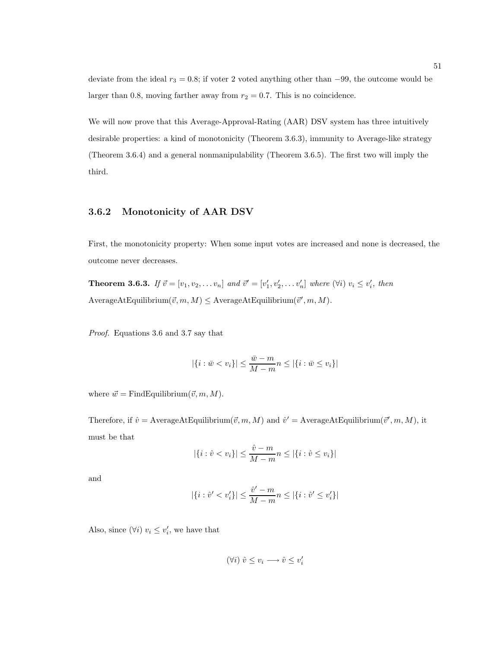deviate from the ideal  $r_3 = 0.8$ ; if voter 2 voted anything other than  $-99$ , the outcome would be larger than 0.8, moving farther away from  $r_2 = 0.7$ . This is no coincidence.

We will now prove that this Average-Approval-Rating (AAR) DSV system has three intuitively desirable properties: a kind of monotonicity (Theorem 3.6.3), immunity to Average-like strategy (Theorem 3.6.4) and a general nonmanipulability (Theorem 3.6.5). The first two will imply the third.

### 3.6.2 Monotonicity of AAR DSV

First, the monotonicity property: When some input votes are increased and none is decreased, the outcome never decreases.

**Theorem 3.6.3.** If  $\vec{v} = [v_1, v_2, \dots v_n]$  and  $\vec{v}' = [v'_1, v'_2, \dots v'_n]$  where  $(\forall i) v_i \leq v'_i$ , then  $\text{AverageAtEquilibrium}(\vec{v}, m, M) \leq \text{AverageAtEquilibrium}(\vec{v}', m, M).$ 

Proof. Equations 3.6 and 3.7 say that

$$
|\{i:\bar{w}< v_i\}|\leq \frac{\bar{w}-m}{M-m}n\leq |\{i:\bar{w}\leq v_i\}|
$$

where  $\vec{w} = \text{FindEquilibrium}(\vec{v}, m, M).$ 

Therefore, if  $\hat{v} = \text{AverageAtEquilibrium}(\vec{v}, m, M)$  and  $\hat{v}' = \text{AverageAtEquilibrium}(\vec{v}', m, M)$ , it must be that

$$
|\{i : \hat{v} < v_i\}| \leq \frac{\hat{v} - m}{M - m} n \leq |\{i : \hat{v} \leq v_i\}|
$$

and

$$
|\{i: \hat{v}' < v'_i\}| \leq \frac{\hat{v}' - m}{M - m} n \leq |\{i: \hat{v}' \leq v'_i\}|
$$

Also, since  $(\forall i)$   $v_i \leq v'_i$ , we have that

$$
(\forall i) \hat{v} \le v_i \longrightarrow \hat{v} \le v'_i
$$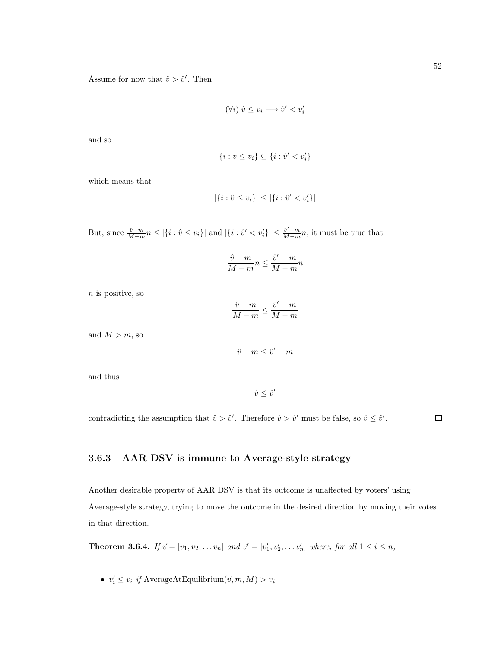Assume for now that  $\hat{v} > \hat{v}'$ . Then

$$
(\forall i)\ \hat{v} \leq v_i \longrightarrow \hat{v}' < v'_i
$$

and so

$$
\{i : \hat{v} \le v_i\} \subseteq \{i : \hat{v}' < v'_i\}
$$

which means that

$$
|\{i : \hat{v} \le v_i\}| \le |\{i : \hat{v}' < v'_i\}|
$$

But, since  $\frac{\hat{v}-m}{M-m}n \leq |\{i : \hat{v} \leq v_i\}|$  and  $|\{i : \hat{v}' < v'_i\}| \leq \frac{\hat{v}'-m}{M-m}n$ , it must be true that

$$
\frac{\hat{v} - m}{M - m} n \le \frac{\hat{v}' - m}{M - m} n
$$

 $n$  is positive, so

$$
\frac{\hat{v}-m}{M-m}\leq \frac{\hat{v}^\prime-m}{M-m}
$$

and  $M > m$ , so

$$
\hat{v}-m\leq \hat{v}'-m
$$

and thus

 $\hat{v} \leq \hat{v}'$ 

contradicting the assumption that  $\hat{v} > \hat{v}'$ . Therefore  $\hat{v} > \hat{v}'$  must be false, so  $\hat{v} \leq \hat{v}'$ .

#### $\Box$

## 3.6.3 AAR DSV is immune to Average-style strategy

Another desirable property of AAR DSV is that its outcome is unaffected by voters' using Average-style strategy, trying to move the outcome in the desired direction by moving their votes in that direction.

**Theorem 3.6.4.** If  $\vec{v} = [v_1, v_2, \dots v_n]$  and  $\vec{v}' = [v'_1, v'_2, \dots v'_n]$  where, for all  $1 \le i \le n$ ,

•  $v'_i \leq v_i$  if AverageAtEquilibrium $(\vec{v}, m, M) > v_i$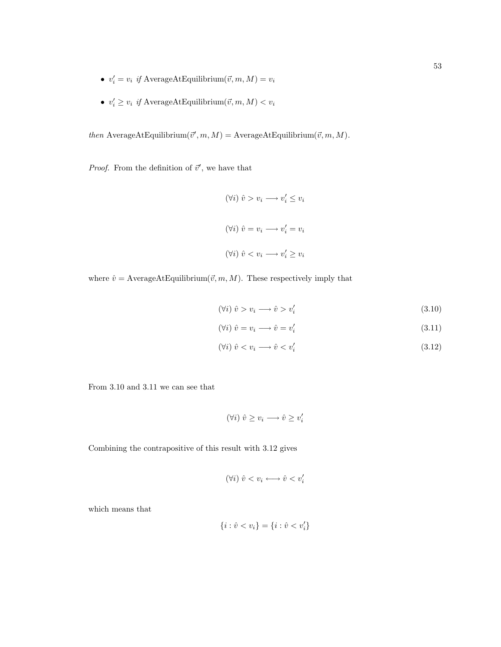- $v_i' = v_i$  if AverageAtEquilibrium $(\vec{v}, m, M) = v_i$
- $v'_i \geq v_i$  if AverageAtEquilibrium $(\vec{v}, m, M) < v_i$

then AverageAtEquilibrium $(\vec{v}', m, M) =$ AverageAtEquilibrium $(\vec{v}, m, M)$ .

*Proof.* From the definition of  $\vec{v}'$ , we have that

 $(\forall i) \hat{v} > v_i \longrightarrow v'_i \leq v_i$  $(\forall i) \hat{v} = v_i \longrightarrow v'_i = v_i$  $(\forall i) \hat{v} < v_i \longrightarrow v'_i \geq v_i$ 

where  $\hat{v} = \text{AverageAtEquilibrium}(\vec{v}, m, M)$ . These respectively imply that

$$
(\forall i)\ \hat{v} > v_i \longrightarrow \hat{v} > v'_i \tag{3.10}
$$

$$
(\forall i) \ \hat{v} = v_i \longrightarrow \hat{v} = v'_i \tag{3.11}
$$

$$
(\forall i) \ \hat{v} < v_i \longrightarrow \hat{v} < v'_i \tag{3.12}
$$

From 3.10 and 3.11 we can see that

$$
(\forall i)\ \hat{v}\geq v_i\longrightarrow \hat{v}\geq v'_i
$$

Combining the contrapositive of this result with 3.12 gives

$$
(\forall i)\ \hat{v} < v_i \longleftrightarrow \hat{v} < v'_i
$$

which means that

$$
\{i: \hat{v} < v_i\} = \{i: \hat{v} < v'_i\}
$$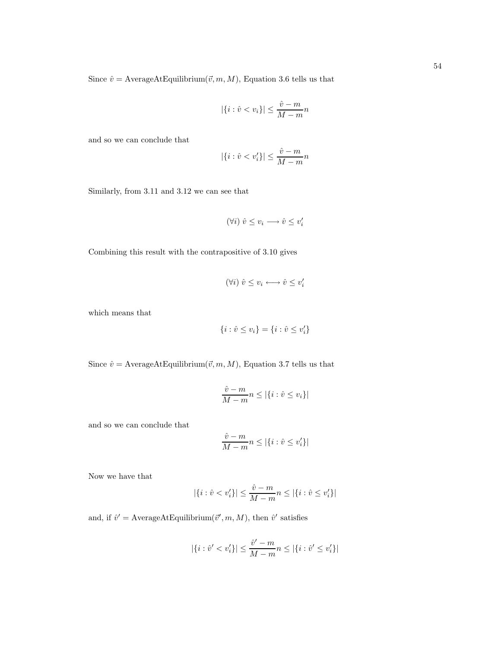Since  $\hat{v} = \text{AverageAtEquilibrium}(\vec{v}, m, M)$ , Equation 3.6 tells us that

$$
|\{i : \hat{v} < v_i\}| \le \frac{\hat{v} - m}{M - m}n
$$

and so we can conclude that

$$
|\{i : \hat{v} < v_i'\}| \le \frac{\hat{v} - m}{M - m}n
$$

Similarly, from 3.11 and 3.12 we can see that

$$
(\forall i)\ \hat{v} \leq v_i \longrightarrow \hat{v} \leq v'_i
$$

Combining this result with the contrapositive of 3.10 gives

$$
(\forall i)\ \hat{v} \leq v_i \longleftrightarrow \hat{v} \leq v'_i
$$

which means that

$$
\{i : \hat{v} \le v_i\} = \{i : \hat{v} \le v'_i\}
$$

Since  $\hat{v} = \text{AverageAtEquilibrium}(\vec{v}, m, M)$ , Equation 3.7 tells us that

$$
\frac{\hat{v}-m}{M-m}n\leq |\{i:\hat{v}\leq v_i\}|
$$

and so we can conclude that

$$
\frac{\hat{v}-m}{M-m}n\leq |\{i:\hat{v}\leq v_i'\}|
$$

Now we have that

$$
|\{i: \hat{v} < v'_i\}| \leq \frac{\hat{v} - m}{M - m} n \leq |\{i: \hat{v} \leq v'_i\}|
$$

and, if  $\hat{v}' = \text{AverageAtEquilibrium}(\vec{v}', m, M)$ , then  $\hat{v}'$  satisfies

$$
|\{i:\hat{v}'
$$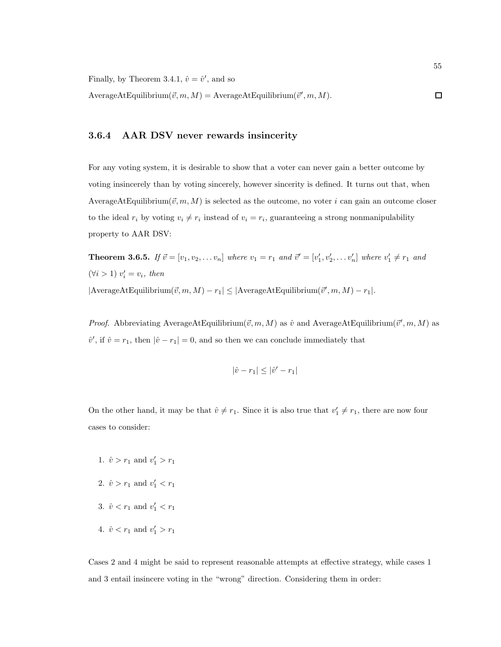Finally, by Theorem 3.4.1,  $\hat{v} = \hat{v}'$ , and so AverageAtEquilibrium $(\vec{v}, m, M) =$  AverageAtEquilibrium $(\vec{v}', m, M)$ .  $\Box$ 

55

## 3.6.4 AAR DSV never rewards insincerity

For any voting system, it is desirable to show that a voter can never gain a better outcome by voting insincerely than by voting sincerely, however sincerity is defined. It turns out that, when AverageAtEquilibrium $(\vec{v}, m, M)$  is selected as the outcome, no voter i can gain an outcome closer to the ideal  $r_i$  by voting  $v_i \neq r_i$  instead of  $v_i = r_i$ , guaranteeing a strong nonmanipulability property to AAR DSV:

**Theorem 3.6.5.** If  $\vec{v} = [v_1, v_2, \dots v_n]$  where  $v_1 = r_1$  and  $\vec{v}' = [v'_1, v'_2, \dots v'_n]$  where  $v'_1 \neq r_1$  and  $(\forall i > 1) v'_i = v_i$ , then  $|\text{AverageAtEquilibrium}(\vec{v}, m, M) - r_1| \leq |\text{AverageAtEquilibrium}(\vec{v}', m, M) - r_1|.$ 

*Proof.* Abbreviating AverageAtEquilibrium $(\vec{v}, m, M)$  as  $\hat{v}$  and AverageAtEquilibrium $(\vec{v}', m, M)$  as  $\hat{v}'$ , if  $\hat{v} = r_1$ , then  $|\hat{v} - r_1| = 0$ , and so then we can conclude immediately that

$$
|\hat{v} - r_1| \le |\hat{v}' - r_1|
$$

On the other hand, it may be that  $\hat{v} \neq r_1$ . Since it is also true that  $v'_1 \neq r_1$ , there are now four cases to consider:

- 1.  $\hat{v} > r_1$  and  $v'_1 > r_1$
- 2.  $\hat{v} > r_1$  and  $v'_1 < r_1$
- 3.  $\hat{v} < r_1$  and  $v'_1 < r_1$
- 4.  $\hat{v} < r_1$  and  $v'_1 > r_1$

Cases 2 and 4 might be said to represent reasonable attempts at effective strategy, while cases 1 and 3 entail insincere voting in the "wrong" direction. Considering them in order: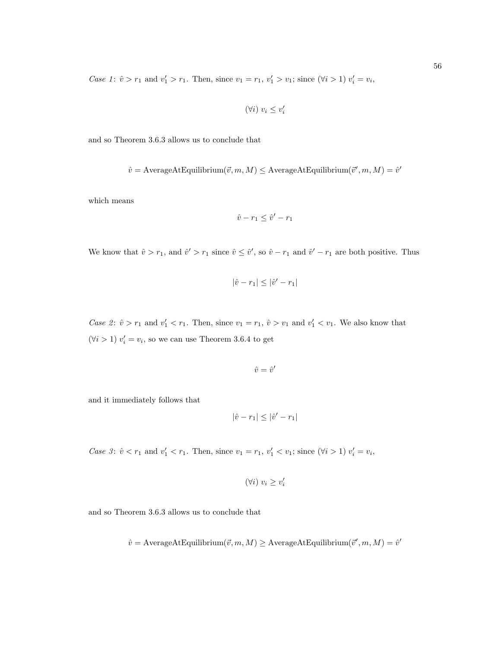*Case 1*:  $\hat{v} > r_1$  and  $v'_1 > r_1$ . Then, since  $v_1 = r_1$ ,  $v'_1 > v_1$ ; since  $(\forall i > 1) v'_i = v_i$ ,

$$
(\forall i)\ v_i \leq v'_i
$$

and so Theorem 3.6.3 allows us to conclude that

$$
\hat{v} = \text{AverageAtEquilibrium}(\vec{v}, m, M) \leq \text{AverageAtEquilibrium}(\vec{v}', m, M) = \hat{v}'
$$

which means

$$
\hat{v} - r_1 \leq \hat{v}' - r_1
$$

We know that  $\hat{v} > r_1$ , and  $\hat{v} > r_1$  since  $\hat{v} \leq \hat{v}'$ , so  $\hat{v} - r_1$  and  $\hat{v}' - r_1$  are both positive. Thus

$$
|\hat{v} - r_1| \le |\hat{v}' - r_1|
$$

Case 2:  $\hat{v} > r_1$  and  $v'_1 < r_1$ . Then, since  $v_1 = r_1$ ,  $\hat{v} > v_1$  and  $v'_1 < v_1$ . We also know that  $(\forall i > 1)$   $v'_i = v_i$ , so we can use Theorem 3.6.4 to get

$$
\hat{v}=\hat{v}'
$$

and it immediately follows that

$$
|\hat{v} - r_1| \le |\hat{v}' - r_1|
$$

*Case 3*:  $\hat{v} < r_1$  and  $v'_1 < r_1$ . Then, since  $v_1 = r_1$ ,  $v'_1 < v_1$ ; since  $(\forall i > 1) v'_i = v_i$ ,

$$
(\forall i)\ v_i \geq v'_i
$$

and so Theorem 3.6.3 allows us to conclude that

$$
\hat{v} = \text{AverageAtEquilibrium}(\vec{v}, m, M) \ge \text{AverageAtEquilibrium}(\vec{v}', m, M) = \hat{v}'
$$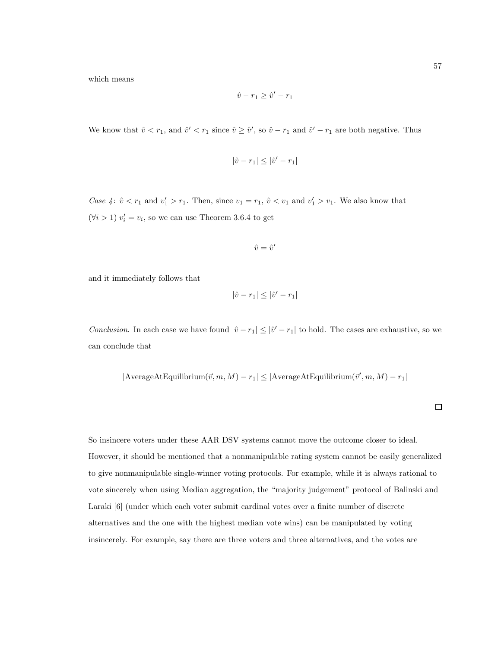which means

$$
\hat{v} - r_1 \ge \hat{v}' - r_1
$$

We know that  $\hat{v} < r_1$ , and  $\hat{v}' < r_1$  since  $\hat{v} \geq \hat{v}'$ , so  $\hat{v} - r_1$  and  $\hat{v}' - r_1$  are both negative. Thus

$$
|\hat{v} - r_1| \le |\hat{v}' - r_1|
$$

Case 4:  $\hat{v} < r_1$  and  $v'_1 > r_1$ . Then, since  $v_1 = r_1$ ,  $\hat{v} < v_1$  and  $v'_1 > v_1$ . We also know that  $(\forall i > 1)$   $v'_i = v_i$ , so we can use Theorem 3.6.4 to get

$$
\hat{v}=\hat{v}'
$$

and it immediately follows that

$$
|\hat{v} - r_1| \le |\hat{v}' - r_1|
$$

Conclusion. In each case we have found  $|\hat{v} - r_1| \leq |\hat{v}' - r_1|$  to hold. The cases are exhaustive, so we can conclude that

$$
|\text{AverageAtEquilibrium}(\vec{v},m,M)-r_1|\leq|\text{AverageAtEquilibrium}(\vec{v}',m,M)-r_1|
$$

So insincere voters under these AAR DSV systems cannot move the outcome closer to ideal. However, it should be mentioned that a nonmanipulable rating system cannot be easily generalized to give nonmanipulable single-winner voting protocols. For example, while it is always rational to vote sincerely when using Median aggregation, the "majority judgement" protocol of Balinski and Laraki [6] (under which each voter submit cardinal votes over a finite number of discrete alternatives and the one with the highest median vote wins) can be manipulated by voting insincerely. For example, say there are three voters and three alternatives, and the votes are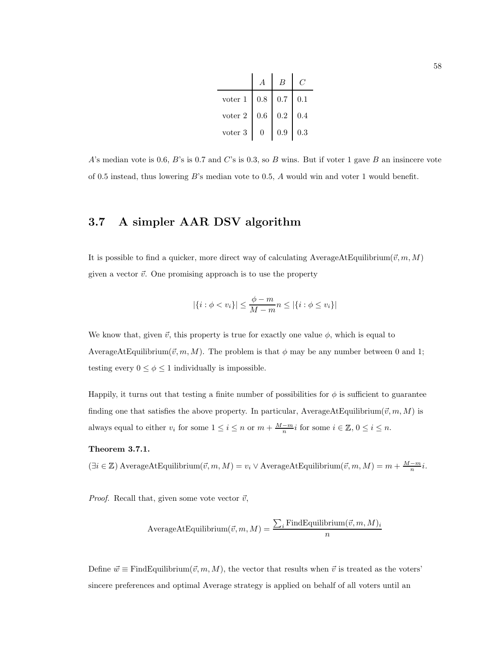|           |          | $\boldsymbol{B}$ |     |
|-----------|----------|------------------|-----|
| voter 1   | $0.8\,$  | 0.7              | 0.1 |
| voter $2$ | $0.6\,$  | $\rm 0.2$        | 0.4 |
| voter 3   | $\theta$ | 0.9              | 0.3 |

A's median vote is 0.6, B's is 0.7 and C's is 0.3, so B wins. But if voter 1 gave B an insincere vote of 0.5 instead, thus lowering B's median vote to 0.5, A would win and voter 1 would benefit.

## 3.7 A simpler AAR DSV algorithm

It is possible to find a quicker, more direct way of calculating AverageAtEquilibrium( $\vec{v}, m, M$ ) given a vector  $\vec{v}$ . One promising approach is to use the property

$$
|\{i : \phi < v_i\}| \le \frac{\phi - m}{M - m} n \le |\{i : \phi \le v_i\}|
$$

We know that, given  $\vec{v}$ , this property is true for exactly one value  $\phi$ , which is equal to AverageAtEquilibrium( $\vec{v}, m, M$ ). The problem is that  $\phi$  may be any number between 0 and 1; testing every  $0 \le \phi \le 1$  individually is impossible.

Happily, it turns out that testing a finite number of possibilities for  $\phi$  is sufficient to guarantee finding one that satisfies the above property. In particular, AverageAtEquilibrium( $\vec{v}, m, M$ ) is always equal to either  $v_i$  for some  $1 \leq i \leq n$  or  $m + \frac{M-m}{n}i$  for some  $i \in \mathbb{Z}$ ,  $0 \leq i \leq n$ .

#### Theorem 3.7.1.

 $(\exists i \in \mathbb{Z})$  AverageAtEquilibrium $(\vec{v}, m, M) = v_i \vee$  AverageAtEquilibrium $(\vec{v}, m, M) = m + \frac{M-m}{n}i$ .

*Proof.* Recall that, given some vote vector  $\vec{v}$ ,

$$
AverageAtEquilibrium(\vec{v},m,M) = \frac{\sum_{i} FindEquilibrium(\vec{v},m,M)_{i}}{n}
$$

Define  $\vec{w} \equiv \text{FindEquilibrium}(\vec{v}, m, M)$ , the vector that results when  $\vec{v}$  is treated as the voters' sincere preferences and optimal Average strategy is applied on behalf of all voters until an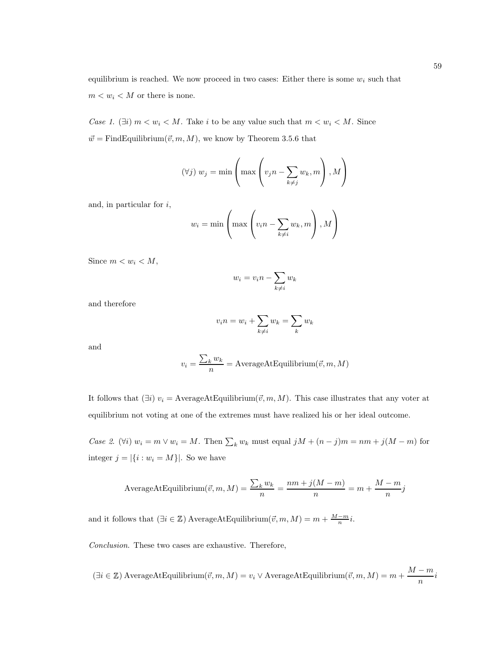equilibrium is reached. We now proceed in two cases: Either there is some  $w_i$  such that  $m < w_i < M$  or there is none.

Case 1. ( $\exists i$ )  $m < w_i < M$ . Take i to be any value such that  $m < w_i < M$ . Since  $\vec{w} =$  FindEquilibrium $(\vec{v}, m, M)$ , we know by Theorem 3.5.6 that

$$
(\forall j) \ w_j = \min\left(\max\left(v_j n - \sum_{k \neq j} w_k, m\right), M\right)
$$

and, in particular for  $i$ ,

$$
w_i = \min \left( \max \left( v_i n - \sum_{k \neq i} w_k, m \right), M \right)
$$

Since  $m < w_i < M$ ,

$$
w_i = v_i n - \sum_{k \neq i} w_k
$$

and therefore

$$
v_i n = w_i + \sum_{k \neq i} w_k = \sum_k w_k
$$

and

$$
v_i = \frac{\sum_k w_k}{n} = \text{AverageAtEquilibrium}(\vec{v}, m, M)
$$

It follows that  $(\exists i)$   $v_i = \text{AverageAtEquilibrium}(\vec{v}, m, M)$ . This case illustrates that any voter at equilibrium not voting at one of the extremes must have realized his or her ideal outcome.

Case 2. (∀i)  $w_i = m \vee w_i = M$ . Then  $\sum_k w_k$  must equal  $jM + (n - j)m = nm + j(M - m)$  for integer  $j = |\{i : w_i = M\}|$ . So we have

AverageAtEquilibrium(
$$
\vec{v}, m, M
$$
) =  $\frac{\sum_k w_k}{n} = \frac{nm + j(M - m)}{n} = m + \frac{M - m}{n}j$ 

and it follows that  $(\exists i \in \mathbb{Z})$  AverageAtEquilibrium $(\vec{v}, m, M) = m + \frac{M - m}{n}i$ .

Conclusion. These two cases are exhaustive. Therefore,

$$
(\exists i \in \mathbb{Z}) \text{ AverageAtEquilibrium}(\vec{v}, m, M) = v_i \vee \text{ AverageAtEquilibrium}(\vec{v}, m, M) = m + \frac{M - m}{n}i
$$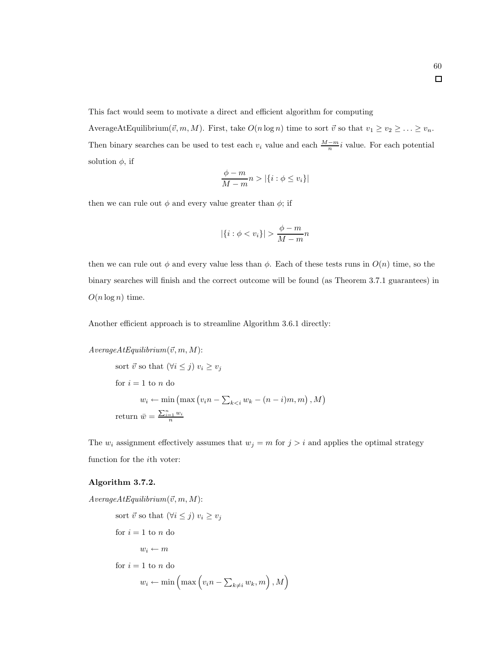This fact would seem to motivate a direct and efficient algorithm for computing

AverageAtEquilibrium( $\vec{v}, m, M$ ). First, take  $O(n \log n)$  time to sort  $\vec{v}$  so that  $v_1 \ge v_2 \ge ... \ge v_n$ . Then binary searches can be used to test each  $v_i$  value and each  $\frac{M-m}{n}i$  value. For each potential solution  $\phi$ , if

$$
\frac{\phi - m}{M - m}n > |\{i : \phi \le v_i\}|
$$

then we can rule out  $\phi$  and every value greater than  $\phi$ ; if

$$
|\{i : \phi < v_i\}| > \frac{\phi - m}{M - m}n
$$

then we can rule out  $\phi$  and every value less than  $\phi$ . Each of these tests runs in  $O(n)$  time, so the binary searches will finish and the correct outcome will be found (as Theorem 3.7.1 guarantees) in  $O(n \log n)$  time.

Another efficient approach is to streamline Algorithm 3.6.1 directly:

 $AverageAtEquilibrium( $\vec{v}, m, M$ ):$ sort  $\vec{v}$  so that  $(\forall i \leq j) v_i \geq v_j$ for  $i = 1$  to n do  $w_i \leftarrow \min\left(\max\left(v_i n - \sum_{k < i} w_k - (n - i)m, m\right), M\right)$ return  $\bar{w} = \frac{\sum_{i=1}^{n} w_i}{n}$ 

The  $w_i$  assignment effectively assumes that  $w_j = m$  for  $j > i$  and applies the optimal strategy function for the ith voter:

#### Algorithm 3.7.2.

$$
AverageAtEquilibrium (\vec{v}, m, M):
$$
\n
$$
sort\ \vec{v} \text{ so that } (\forall i \leq j) \ v_i \geq v_j
$$
\n
$$
\text{for } i = 1 \text{ to } n \text{ do}
$$
\n
$$
w_i \leftarrow m
$$
\n
$$
\text{for } i = 1 \text{ to } n \text{ do}
$$
\n
$$
w_i \leftarrow \min \left( \max \left( v_i n - \sum_{k \neq i} w_k, m \right), M \right)
$$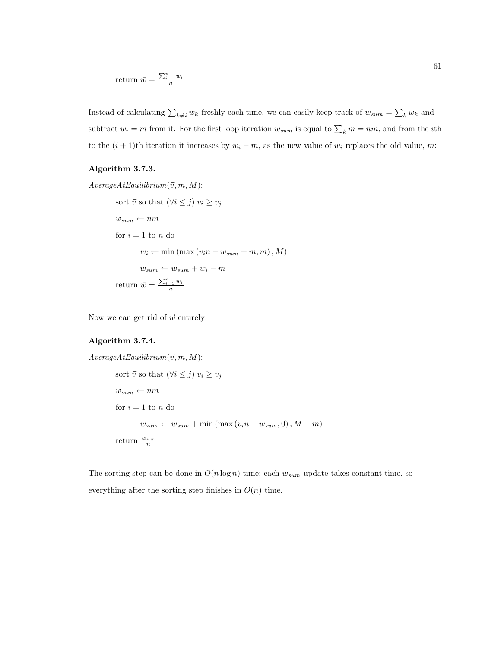$$
\text{return } \bar{w} = \frac{\sum_{i=1}^{n} w_i}{n}
$$

Instead of calculating  $\sum_{k\neq i} w_k$  freshly each time, we can easily keep track of  $w_{sum} = \sum_k w_k$  and subtract  $w_i = m$  from it. For the first loop iteration  $w_{sum}$  is equal to  $\sum_k m = nm$ , and from the *i*th to the  $(i + 1)$ th iteration it increases by  $w_i - m$ , as the new value of  $w_i$  replaces the old value, m:

#### Algorithm 3.7.3.

```
AverageAtEquilibrium(<math>\vec{v}, m, M</math>):sort \vec{v} so that (\forall i \leq j) v_i \geq v_jw_{sum} \leftarrow nmfor i = 1 to n do
         w_i \leftarrow \min(\max(v_i n - w_{sum} + m, m), M)w_{sum} \leftarrow w_{sum} + w_i - mreturn \bar{w} = \frac{\sum_{i=1}^{n} w_i}{n}
```
Now we can get rid of  $\vec{w}$  entirely:

#### Algorithm 3.7.4.

```
AverageAtEquilibrium(<math>\vec{v}, m, M</math>):sort \vec{v} so that (\forall i \leq j) v_i \geq v_jw_{sum} \leftarrow nmfor i = 1 to n do
           w_{sum} \leftarrow w_{sum} + \min \left( \max \left( v_i n - w_{sum}, 0 \right), M - m \right)return \frac{w_{sum}}{n}
```
The sorting step can be done in  $O(n \log n)$  time; each  $w_{sum}$  update takes constant time, so everything after the sorting step finishes in  $O(n)$  time.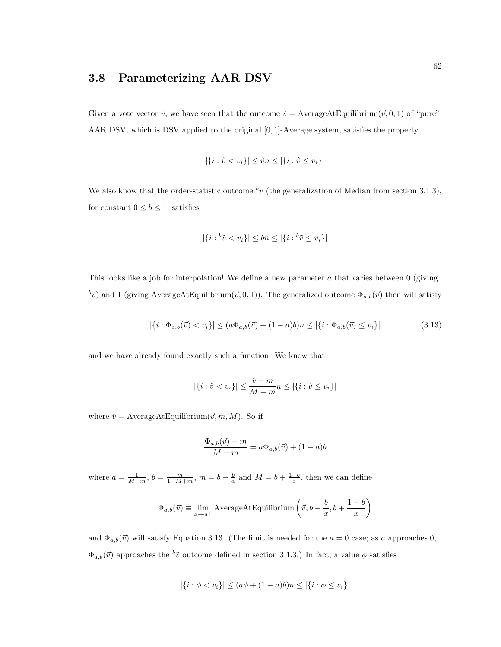# 3.8 Parameterizing AAR DSV

Given a vote vector  $\vec{v}$ , we have seen that the outcome  $\hat{v} = \text{AverageAtEquilibrium}(\vec{v}, 0, 1)$  of "pure" AAR DSV, which is DSV applied to the original [0, 1]-Average system, satisfies the property

$$
|\{i : \hat{v} < v_i\}| \le \hat{v}n \le |\{i : \hat{v} \le v_i\}|
$$

We also know that the order-statistic outcome  ${}^b\tilde{v}$  (the generalization of Median from section 3.1.3), for constant  $0 \leq b \leq 1$ , satisfies

$$
|\{i : {}^b\tilde{v} < v_i\}| \le bn \le |\{i : {}^b\tilde{v} \le v_i\}|
$$

This looks like a job for interpolation! We define a new parameter  $a$  that varies between  $0$  (giving  ${}^b\tilde{v}$ ) and 1 (giving AverageAtEquilibrium( $\vec{v}$ , 0, 1)). The generalized outcome  $\Phi_{a,b}(\vec{v})$  then will satisfy

$$
|\{i : \Phi_{a,b}(\vec{v}) < v_i\}| \le (a\Phi_{a,b}(\vec{v}) + (1-a)b)n \le |\{i : \Phi_{a,b}(\vec{v}) \le v_i\}| \tag{3.13}
$$

and we have already found exactly such a function. We know that

$$
|\{i : \hat{v} < v_i\}| \le \frac{\hat{v} - m}{M - m} n \le |\{i : \hat{v} \le v_i\}|
$$

where  $\hat{v} = \text{AverageAtEquilibrium}(\vec{v}, m, M)$ . So if

$$
\frac{\Phi_{a,b}(\vec{v}) - m}{M - m} = a\Phi_{a,b}(\vec{v}) + (1 - a)b
$$

where  $a = \frac{1}{M-m}$ ,  $b = \frac{m}{1-M+m}$ ,  $m = b - \frac{b}{a}$  and  $M = b + \frac{1-b}{a}$ , then we can define

$$
\Phi_{a,b}(\vec{v}) \equiv \lim_{x \to a^{+}} \text{AverageAtEquilibrium} \left( \vec{v}, b - \frac{b}{x}, b + \frac{1-b}{x} \right)
$$

and  $\Phi_{a,b}(\vec{v})$  will satisfy Equation 3.13. (The limit is needed for the  $a = 0$  case; as a approaches 0,  $\Phi_{a,b}(\vec{v})$  approaches the  ${}^b\tilde{v}$  outcome defined in section 3.1.3.) In fact, a value  $\phi$  satisfies

$$
|\{i : \phi < v_i\}| \le (a\phi + (1 - a)b)n \le |\{i : \phi \le v_i\}|
$$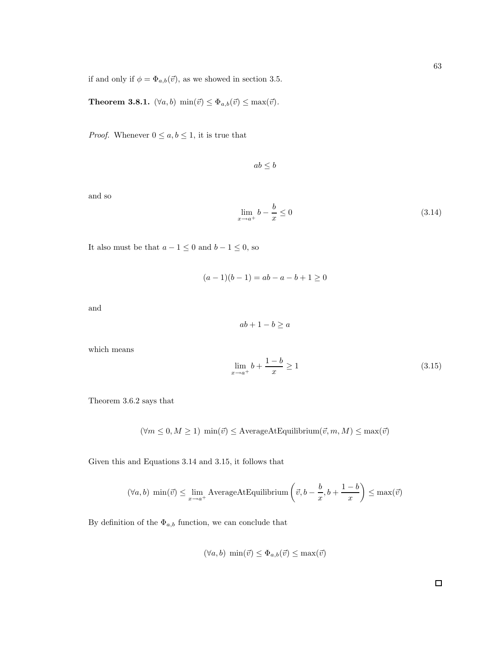if and only if  $\phi = \Phi_{a,b}(\vec{v})$ , as we showed in section 3.5.

**Theorem 3.8.1.**  $(\forall a, b) \min(\vec{v}) \leq \Phi_{a,b}(\vec{v}) \leq \max(\vec{v})$ .

*Proof.* Whenever  $0 \le a, b \le 1$ , it is true that

 $ab \leq b$ 

and so

$$
\lim_{x \to a^{+}} b - \frac{b}{x} \le 0 \tag{3.14}
$$

It also must be that  $a-1\leq 0$  and  $b-1\leq 0,$  so

 $(a-1)(b-1) = ab - a - b + 1 \ge 0$ 

and

$$
ab + 1 - b \ge a
$$

which means

$$
\lim_{x \to a^{+}} b + \frac{1 - b}{x} \ge 1
$$
\n(3.15)

Theorem 3.6.2 says that

 $(\forall m \leq 0, M \geq 1)$  min $(\vec{v}) \leq$  AverageAtEquilibrium $(\vec{v}, m, M) \leq$ max $(\vec{v})$ 

Given this and Equations 3.14 and 3.15, it follows that

$$
(\forall a, b) \ \min(\vec{v}) \le \lim_{x \to a^+} \text{AverageAtEquilibrium} \left( \vec{v}, b - \frac{b}{x}, b + \frac{1 - b}{x} \right) \le \max(\vec{v})
$$

By definition of the  $\Phi_{a,b}$  function, we can conclude that

$$
(\forall a, b) \ \min(\vec{v}) \le \Phi_{a,b}(\vec{v}) \le \max(\vec{v})
$$

 $\Box$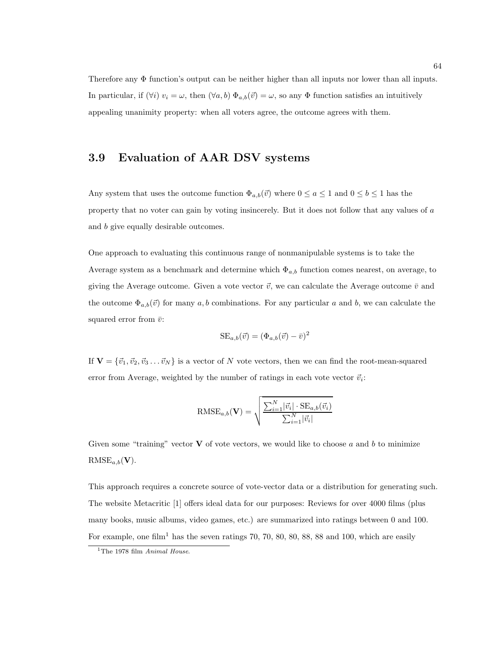Therefore any Φ function's output can be neither higher than all inputs nor lower than all inputs. In particular, if  $(\forall i)$   $v_i = \omega$ , then  $(\forall a, b)$   $\Phi_{a,b}(\vec{v}) = \omega$ , so any  $\Phi$  function satisfies an intuitively appealing unanimity property: when all voters agree, the outcome agrees with them.

## 3.9 Evaluation of AAR DSV systems

Any system that uses the outcome function  $\Phi_{a,b}(\vec{v})$  where  $0 \le a \le 1$  and  $0 \le b \le 1$  has the property that no voter can gain by voting insincerely. But it does not follow that any values of a and b give equally desirable outcomes.

One approach to evaluating this continuous range of nonmanipulable systems is to take the Average system as a benchmark and determine which  $\Phi_{a,b}$  function comes nearest, on average, to giving the Average outcome. Given a vote vector  $\vec{v}$ , we can calculate the Average outcome  $\vec{v}$  and the outcome  $\Phi_{a,b}(\vec{v})$  for many a, b combinations. For any particular a and b, we can calculate the squared error from  $\bar{v}$ :

$$
SE_{a,b}(\vec{v}) = (\Phi_{a,b}(\vec{v}) - \bar{v})^2
$$

If  $\mathbf{V} = {\vec{v_1}, \vec{v_2}, \vec{v_3} \dots \vec{v_N}}$  is a vector of N vote vectors, then we can find the root-mean-squared error from Average, weighted by the number of ratings in each vote vector  $\vec{v}_i$ :

RMSE<sub>a,b</sub>(**V**) = 
$$
\sqrt{\frac{\sum_{i=1}^{N} |\vec{v}_i| \cdot \text{SE}_{a,b}(\vec{v}_i)}{\sum_{i=1}^{N} |\vec{v}_i|}}
$$

Given some "training" vector  $V$  of vote vectors, we would like to choose a and b to minimize  $RMSE_{a,b}(\mathbf{V}).$ 

This approach requires a concrete source of vote-vector data or a distribution for generating such. The website Metacritic [1] offers ideal data for our purposes: Reviews for over 4000 films (plus many books, music albums, video games, etc.) are summarized into ratings between 0 and 100. For example, one film<sup>1</sup> has the seven ratings 70, 70, 80, 80, 88, 88 and 100, which are easily

<sup>&</sup>lt;sup>1</sup>The 1978 film  $Animal$  House.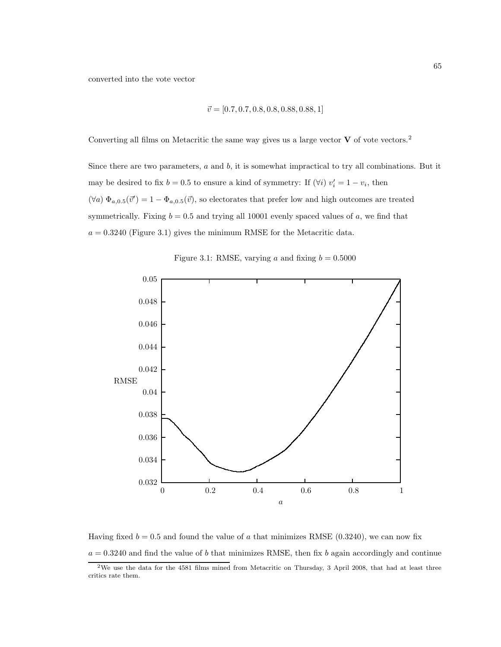converted into the vote vector

$$
\vec{v} = [0.7, 0.7, 0.8, 0.8, 0.88, 0.88, 1]
$$

Converting all films on Metacritic the same way gives us a large vector  $V$  of vote vectors.<sup>2</sup>

Since there are two parameters,  $a$  and  $b$ , it is somewhat impractical to try all combinations. But it may be desired to fix  $b = 0.5$  to ensure a kind of symmetry: If  $(\forall i)$   $v'_i = 1 - v_i$ , then  $(\forall a) \ \Phi_{a,0.5}(\vec{v}') = 1 - \Phi_{a,0.5}(\vec{v})$ , so electorates that prefer low and high outcomes are treated symmetrically. Fixing  $b = 0.5$  and trying all 10001 evenly spaced values of a, we find that  $a = 0.3240$  (Figure 3.1) gives the minimum RMSE for the Metacritic data.



Figure 3.1: RMSE, varying a and fixing  $b = 0.5000$ 

Having fixed  $b = 0.5$  and found the value of a that minimizes RMSE (0.3240), we can now fix

 $a = 0.3240$  and find the value of b that minimizes RMSE, then fix b again accordingly and continue

 $2$ We use the data for the 4581 films mined from Metacritic on Thursday, 3 April 2008, that had at least three critics rate them.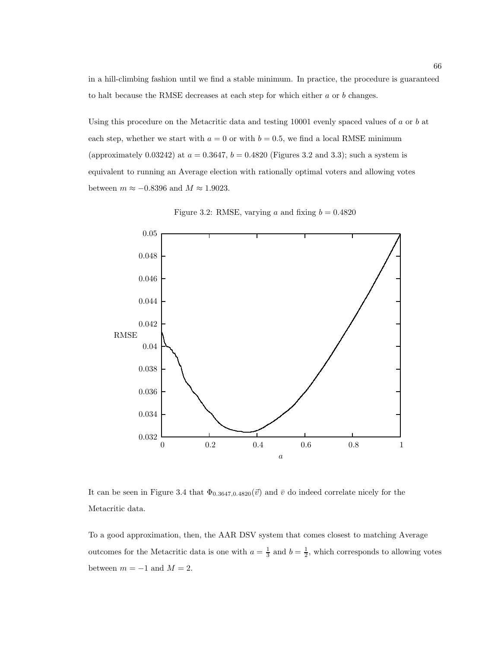in a hill-climbing fashion until we find a stable minimum. In practice, the procedure is guaranteed to halt because the RMSE decreases at each step for which either a or b changes.

Using this procedure on the Metacritic data and testing 10001 evenly spaced values of a or b at each step, whether we start with  $a = 0$  or with  $b = 0.5$ , we find a local RMSE minimum (approximately 0.03242) at  $a = 0.3647$ ,  $b = 0.4820$  (Figures 3.2 and 3.3); such a system is equivalent to running an Average election with rationally optimal voters and allowing votes between  $m \approx -0.8396$  and  $M \approx 1.9023$ .



Figure 3.2: RMSE, varying a and fixing  $b = 0.4820$ 

It can be seen in Figure 3.4 that  $\Phi_{0.3647,0.4820}(\vec{v})$  and  $\vec{v}$  do indeed correlate nicely for the Metacritic data.

To a good approximation, then, the AAR DSV system that comes closest to matching Average outcomes for the Metacritic data is one with  $a = \frac{1}{3}$  and  $b = \frac{1}{2}$ , which corresponds to allowing votes between  $m = -1$  and  $M = 2$ .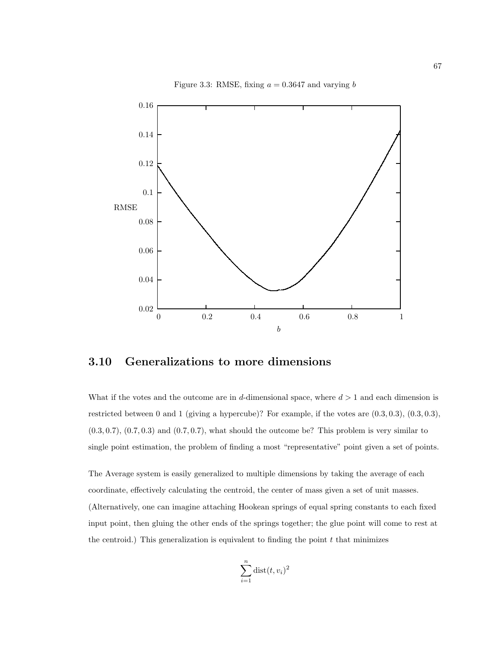

Figure 3.3: RMSE, fixing  $a = 0.3647$  and varying b

## 3.10 Generalizations to more dimensions

What if the votes and the outcome are in d-dimensional space, where  $d > 1$  and each dimension is restricted between 0 and 1 (giving a hypercube)? For example, if the votes are (0.3, 0.3), (0.3, 0.3),  $(0.3, 0.7), (0.7, 0.3)$  and  $(0.7, 0.7)$ , what should the outcome be? This problem is very similar to single point estimation, the problem of finding a most "representative" point given a set of points.

The Average system is easily generalized to multiple dimensions by taking the average of each coordinate, effectively calculating the centroid, the center of mass given a set of unit masses. (Alternatively, one can imagine attaching Hookean springs of equal spring constants to each fixed input point, then gluing the other ends of the springs together; the glue point will come to rest at the centroid.) This generalization is equivalent to finding the point  $t$  that minimizes

$$
\sum_{i=1}^{n} \text{dist}(t, v_i)^2
$$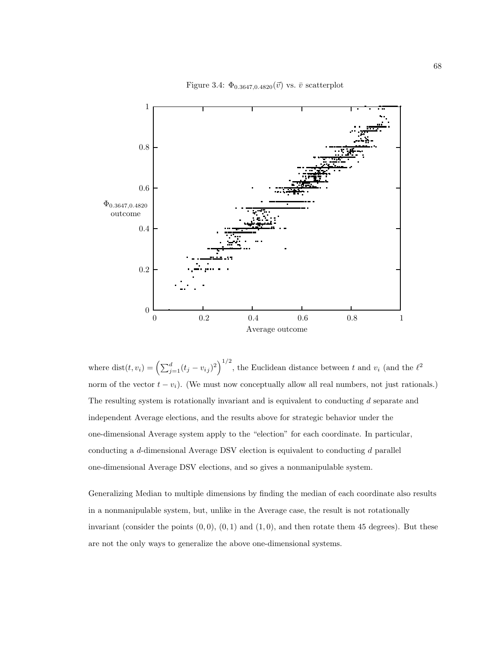

### Figure 3.4:  $\Phi_{0.3647,0.4820}(\vec{v})$  vs.  $\bar{v}$  scatterplot

where dist $(t, v_i) = \left(\sum_{j=1}^d (t_j - v_{ij})^2\right)^{1/2}$ , the Euclidean distance between t and  $v_i$  (and the  $\ell^2$ norm of the vector  $t - v_i$ ). (We must now conceptually allow all real numbers, not just rationals.) The resulting system is rotationally invariant and is equivalent to conducting d separate and independent Average elections, and the results above for strategic behavior under the one-dimensional Average system apply to the "election" for each coordinate. In particular, conducting a d-dimensional Average DSV election is equivalent to conducting  $d$  parallel one-dimensional Average DSV elections, and so gives a nonmanipulable system.

Generalizing Median to multiple dimensions by finding the median of each coordinate also results in a nonmanipulable system, but, unlike in the Average case, the result is not rotationally invariant (consider the points  $(0, 0)$ ,  $(0, 1)$  and  $(1, 0)$ , and then rotate them 45 degrees). But these are not the only ways to generalize the above one-dimensional systems.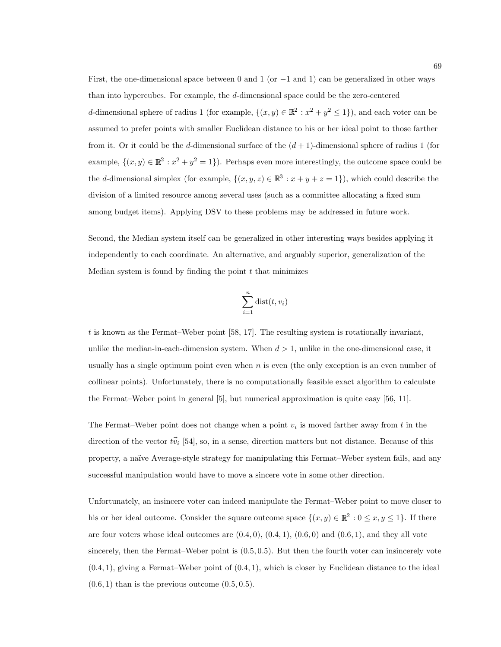First, the one-dimensional space between 0 and 1 (or  $-1$  and 1) can be generalized in other ways than into hypercubes. For example, the d-dimensional space could be the zero-centered d-dimensional sphere of radius 1 (for example,  $\{(x, y) \in \mathbb{R}^2 : x^2 + y^2 \le 1\}$ ), and each voter can be assumed to prefer points with smaller Euclidean distance to his or her ideal point to those farther from it. Or it could be the d-dimensional surface of the  $(d+1)$ -dimensional sphere of radius 1 (for example,  $\{(x, y) \in \mathbb{R}^2 : x^2 + y^2 = 1\}$ . Perhaps even more interestingly, the outcome space could be the *d*-dimensional simplex (for example,  $\{(x, y, z) \in \mathbb{R}^3 : x + y + z = 1\}$ ), which could describe the division of a limited resource among several uses (such as a committee allocating a fixed sum among budget items). Applying DSV to these problems may be addressed in future work.

Second, the Median system itself can be generalized in other interesting ways besides applying it independently to each coordinate. An alternative, and arguably superior, generalization of the Median system is found by finding the point  $t$  that minimizes

$$
\sum_{i=1}^{n} \text{dist}(t, v_i)
$$

t is known as the Fermat–Weber point [58, 17]. The resulting system is rotationally invariant, unlike the median-in-each-dimension system. When  $d > 1$ , unlike in the one-dimensional case, it usually has a single optimum point even when  $n$  is even (the only exception is an even number of collinear points). Unfortunately, there is no computationally feasible exact algorithm to calculate the Fermat–Weber point in general [5], but numerical approximation is quite easy [56, 11].

The Fermat–Weber point does not change when a point  $v_i$  is moved farther away from t in the direction of the vector  $\vec{tv}_i$  [54], so, in a sense, direction matters but not distance. Because of this property, a naïve Average-style strategy for manipulating this Fermat–Weber system fails, and any successful manipulation would have to move a sincere vote in some other direction.

Unfortunately, an insincere voter can indeed manipulate the Fermat–Weber point to move closer to his or her ideal outcome. Consider the square outcome space  $\{(x, y) \in \mathbb{R}^2 : 0 \le x, y \le 1\}$ . If there are four voters whose ideal outcomes are  $(0.4, 0)$ ,  $(0.4, 1)$ ,  $(0.6, 0)$  and  $(0.6, 1)$ , and they all vote sincerely, then the Fermat–Weber point is (0.5, 0.5). But then the fourth voter can insincerely vote  $(0.4, 1)$ , giving a Fermat–Weber point of  $(0.4, 1)$ , which is closer by Euclidean distance to the ideal  $(0.6, 1)$  than is the previous outcome  $(0.5, 0.5)$ .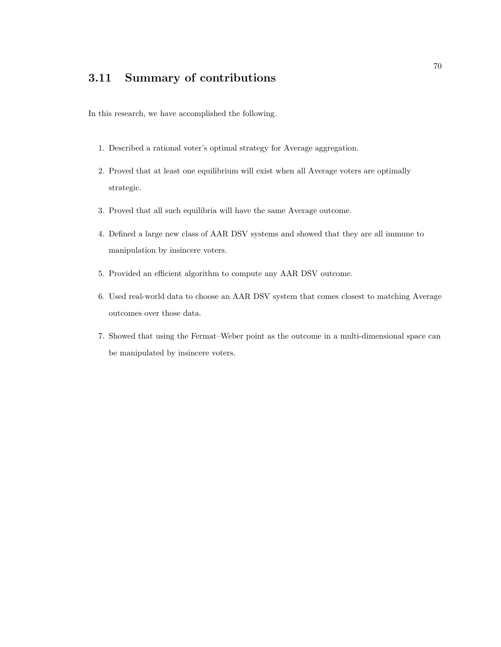# 3.11 Summary of contributions

In this research, we have accomplished the following.

- 1. Described a rational voter's optimal strategy for Average aggregation.
- 2. Proved that at least one equilibrium will exist when all Average voters are optimally strategic.
- 3. Proved that all such equilibria will have the same Average outcome.
- 4. Defined a large new class of AAR DSV systems and showed that they are all immune to manipulation by insincere voters.
- 5. Provided an efficient algorithm to compute any AAR DSV outcome.
- 6. Used real-world data to choose an AAR DSV system that comes closest to matching Average outcomes over those data.
- 7. Showed that using the Fermat–Weber point as the outcome in a multi-dimensional space can be manipulated by insincere voters.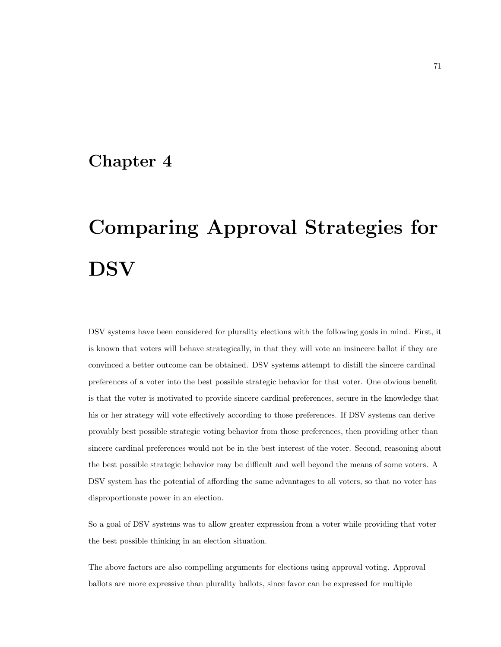# Chapter 4

# Comparing Approval Strategies for DSV

DSV systems have been considered for plurality elections with the following goals in mind. First, it is known that voters will behave strategically, in that they will vote an insincere ballot if they are convinced a better outcome can be obtained. DSV systems attempt to distill the sincere cardinal preferences of a voter into the best possible strategic behavior for that voter. One obvious benefit is that the voter is motivated to provide sincere cardinal preferences, secure in the knowledge that his or her strategy will vote effectively according to those preferences. If DSV systems can derive provably best possible strategic voting behavior from those preferences, then providing other than sincere cardinal preferences would not be in the best interest of the voter. Second, reasoning about the best possible strategic behavior may be difficult and well beyond the means of some voters. A DSV system has the potential of affording the same advantages to all voters, so that no voter has disproportionate power in an election.

So a goal of DSV systems was to allow greater expression from a voter while providing that voter the best possible thinking in an election situation.

The above factors are also compelling arguments for elections using approval voting. Approval ballots are more expressive than plurality ballots, since favor can be expressed for multiple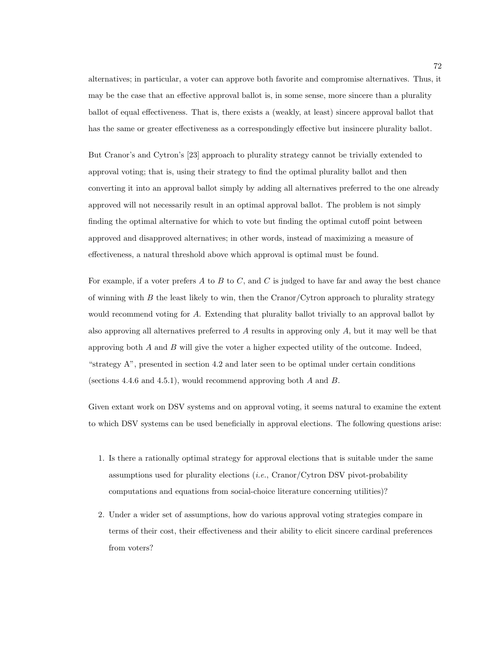alternatives; in particular, a voter can approve both favorite and compromise alternatives. Thus, it may be the case that an effective approval ballot is, in some sense, more sincere than a plurality ballot of equal effectiveness. That is, there exists a (weakly, at least) sincere approval ballot that has the same or greater effectiveness as a correspondingly effective but insincere plurality ballot.

But Cranor's and Cytron's [23] approach to plurality strategy cannot be trivially extended to approval voting; that is, using their strategy to find the optimal plurality ballot and then converting it into an approval ballot simply by adding all alternatives preferred to the one already approved will not necessarily result in an optimal approval ballot. The problem is not simply finding the optimal alternative for which to vote but finding the optimal cutoff point between approved and disapproved alternatives; in other words, instead of maximizing a measure of effectiveness, a natural threshold above which approval is optimal must be found.

For example, if a voter prefers  $A$  to  $B$  to  $C$ , and  $C$  is judged to have far and away the best chance of winning with  $B$  the least likely to win, then the Cranor/Cytron approach to plurality strategy would recommend voting for A. Extending that plurality ballot trivially to an approval ballot by also approving all alternatives preferred to A results in approving only A, but it may well be that approving both  $A$  and  $B$  will give the voter a higher expected utility of the outcome. Indeed, "strategy A", presented in section 4.2 and later seen to be optimal under certain conditions (sections 4.4.6 and 4.5.1), would recommend approving both A and B.

Given extant work on DSV systems and on approval voting, it seems natural to examine the extent to which DSV systems can be used beneficially in approval elections. The following questions arise:

- 1. Is there a rationally optimal strategy for approval elections that is suitable under the same assumptions used for plurality elections  $(i.e., \text{Cranor/Cytron DSV pivot-probability}$ computations and equations from social-choice literature concerning utilities)?
- 2. Under a wider set of assumptions, how do various approval voting strategies compare in terms of their cost, their effectiveness and their ability to elicit sincere cardinal preferences from voters?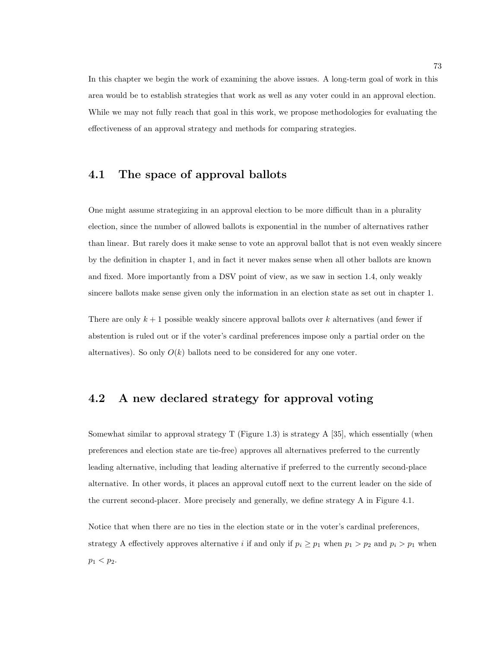In this chapter we begin the work of examining the above issues. A long-term goal of work in this area would be to establish strategies that work as well as any voter could in an approval election. While we may not fully reach that goal in this work, we propose methodologies for evaluating the effectiveness of an approval strategy and methods for comparing strategies.

## 4.1 The space of approval ballots

One might assume strategizing in an approval election to be more difficult than in a plurality election, since the number of allowed ballots is exponential in the number of alternatives rather than linear. But rarely does it make sense to vote an approval ballot that is not even weakly sincere by the definition in chapter 1, and in fact it never makes sense when all other ballots are known and fixed. More importantly from a DSV point of view, as we saw in section 1.4, only weakly sincere ballots make sense given only the information in an election state as set out in chapter 1.

There are only  $k + 1$  possible weakly sincere approval ballots over k alternatives (and fewer if abstention is ruled out or if the voter's cardinal preferences impose only a partial order on the alternatives). So only  $O(k)$  ballots need to be considered for any one voter.

## 4.2 A new declared strategy for approval voting

Somewhat similar to approval strategy T (Figure 1.3) is strategy A [35], which essentially (when preferences and election state are tie-free) approves all alternatives preferred to the currently leading alternative, including that leading alternative if preferred to the currently second-place alternative. In other words, it places an approval cutoff next to the current leader on the side of the current second-placer. More precisely and generally, we define strategy A in Figure 4.1.

Notice that when there are no ties in the election state or in the voter's cardinal preferences, strategy A effectively approves alternative i if and only if  $p_i \geq p_1$  when  $p_1 > p_2$  and  $p_i > p_1$  when  $p_1 < p_2$ .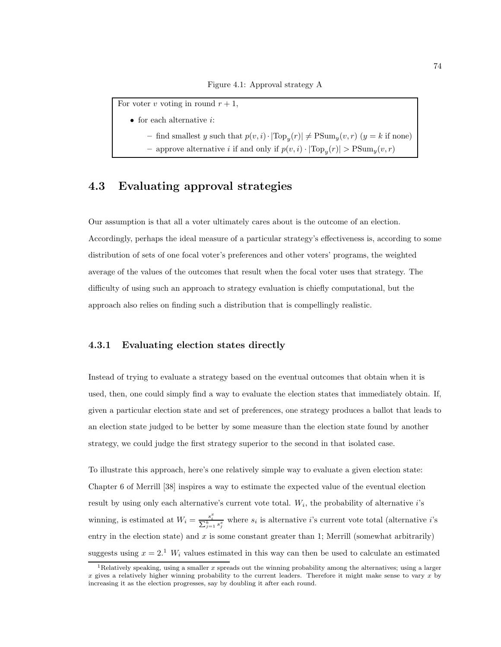For voter v voting in round  $r + 1$ ,

- $\bullet\,$  for each alternative  $i\colon$ 
	- find smallest y such that  $p(v, i) \cdot |\text{Top}_y(r)| \neq \text{PSum}_y(v, r)$   $(y = k \text{ if none})$
	- approve alternative *i* if and only if  $p(v, i) \cdot |\text{Top}_y(r)| > \text{PSum}_y(v, r)$

# 4.3 Evaluating approval strategies

Our assumption is that all a voter ultimately cares about is the outcome of an election. Accordingly, perhaps the ideal measure of a particular strategy's effectiveness is, according to some distribution of sets of one focal voter's preferences and other voters' programs, the weighted average of the values of the outcomes that result when the focal voter uses that strategy. The difficulty of using such an approach to strategy evaluation is chiefly computational, but the approach also relies on finding such a distribution that is compellingly realistic.

## 4.3.1 Evaluating election states directly

Instead of trying to evaluate a strategy based on the eventual outcomes that obtain when it is used, then, one could simply find a way to evaluate the election states that immediately obtain. If, given a particular election state and set of preferences, one strategy produces a ballot that leads to an election state judged to be better by some measure than the election state found by another strategy, we could judge the first strategy superior to the second in that isolated case.

To illustrate this approach, here's one relatively simple way to evaluate a given election state: Chapter 6 of Merrill [38] inspires a way to estimate the expected value of the eventual election result by using only each alternative's current vote total.  $W_i$ , the probability of alternative *i*'s winning, is estimated at  $W_i = \frac{s_i^x}{\sum_{j=1}^k s_j^x}$  where  $s_i$  is alternative *i*'s current vote total (alternative *i*'s entry in the election state) and x is some constant greater than 1; Merrill (somewhat arbitrarily) suggests using  $x = 2<sup>1</sup> W<sub>i</sub>$  values estimated in this way can then be used to calculate an estimated

<sup>&</sup>lt;sup>1</sup>Relatively speaking, using a smaller x spreads out the winning probability among the alternatives; using a larger  $x$  gives a relatively higher winning probability to the current leaders. Therefore it might make sense to vary  $x$  by increasing it as the election progresses, say by doubling it after each round.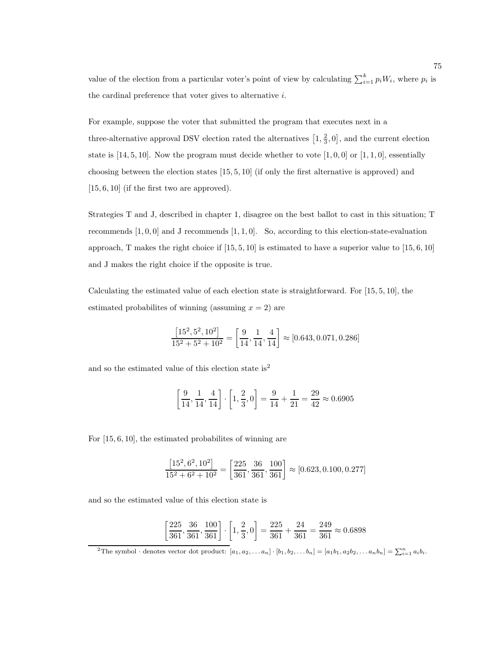value of the election from a particular voter's point of view by calculating  $\sum_{i=1}^{k} p_i W_i$ , where  $p_i$  is the cardinal preference that voter gives to alternative i.

For example, suppose the voter that submitted the program that executes next in a three-alternative approval DSV election rated the alternatives  $[1, \frac{2}{3}, 0]$ , and the current election state is  $[14, 5, 10]$ . Now the program must decide whether to vote  $[1, 0, 0]$  or  $[1, 1, 0]$ , essentially choosing between the election states [15, 5, 10] (if only the first alternative is approved) and [15, 6, 10] (if the first two are approved).

Strategies T and J, described in chapter 1, disagree on the best ballot to cast in this situation; T recommends  $[1, 0, 0]$  and J recommends  $[1, 1, 0]$ . So, according to this election-state-evaluation approach, T makes the right choice if  $[15, 5, 10]$  is estimated to have a superior value to  $[15, 6, 10]$ and J makes the right choice if the opposite is true.

Calculating the estimated value of each election state is straightforward. For [15, 5, 10], the estimated probabilites of winning (assuming  $x = 2$ ) are

$$
\frac{\left[15^2, 5^2, 10^2\right]}{15^2 + 5^2 + 10^2} = \left[\frac{9}{14}, \frac{1}{14}, \frac{4}{14}\right] \approx \left[0.643, 0.071, 0.286\right]
$$

and so the estimated value of this election state  $\rm is^2$ 

$$
\left[\frac{9}{14}, \frac{1}{14}, \frac{4}{14}\right] \cdot \left[1, \frac{2}{3}, 0\right] = \frac{9}{14} + \frac{1}{21} = \frac{29}{42} \approx 0.6905
$$

For [15, 6, 10], the estimated probabilites of winning are

$$
\frac{\left[15^2, 6^2, 10^2\right]}{15^2 + 6^2 + 10^2} = \left[\frac{225}{361}, \frac{36}{361}, \frac{100}{361}\right] \approx \left[0.623, 0.100, 0.277\right]
$$

and so the estimated value of this election state is

$$
\left[\frac{225}{361}, \frac{36}{361}, \frac{100}{361}\right] \cdot \left[1, \frac{2}{3}, 0\right] = \frac{225}{361} + \frac{24}{361} = \frac{249}{361} \approx 0.6898
$$

<sup>&</sup>lt;sup>2</sup>The symbol · denotes vector dot product:  $[a_1, a_2, \ldots a_n] \cdot [b_1, b_2, \ldots b_n] = [a_1b_1, a_2b_2, \ldots a_nb_n] = \sum_{i=1}^n a_ib_i$ .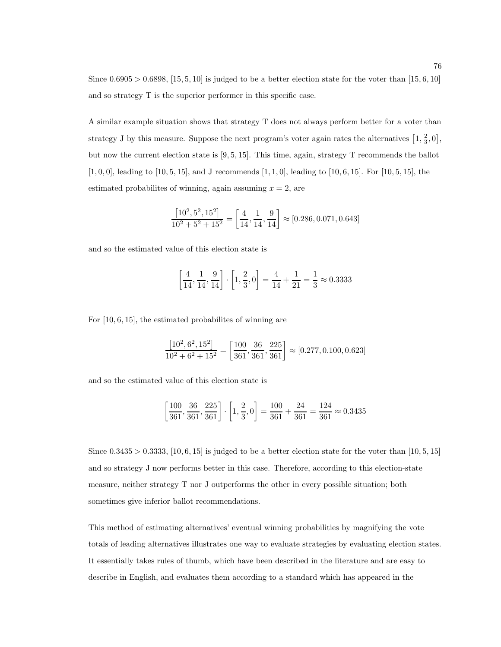Since  $0.6905 > 0.6898$ , [15, 5, 10] is judged to be a better election state for the voter than [15, 6, 10] and so strategy T is the superior performer in this specific case.

A similar example situation shows that strategy T does not always perform better for a voter than strategy J by this measure. Suppose the next program's voter again rates the alternatives  $[1, \frac{2}{3}, 0]$ , but now the current election state is [9, 5, 15]. This time, again, strategy T recommends the ballot  $[1, 0, 0]$ , leading to  $[10, 5, 15]$ , and J recommends  $[1, 1, 0]$ , leading to  $[10, 6, 15]$ . For  $[10, 5, 15]$ , the estimated probabilites of winning, again assuming  $x = 2$ , are

$$
\frac{\left[10^2, 5^2, 15^2\right]}{10^2 + 5^2 + 15^2} = \left[\frac{4}{14}, \frac{1}{14}, \frac{9}{14}\right] \approx \left[0.286, 0.071, 0.643\right]
$$

and so the estimated value of this election state is

$$
\left[\frac{4}{14}, \frac{1}{14}, \frac{9}{14}\right] \cdot \left[1, \frac{2}{3}, 0\right] = \frac{4}{14} + \frac{1}{21} = \frac{1}{3} \approx 0.3333
$$

For [10, 6, 15], the estimated probabilites of winning are

$$
\frac{\left[10^2, 6^2, 15^2\right]}{10^2 + 6^2 + 15^2} = \left[\frac{100}{361}, \frac{36}{361}, \frac{225}{361}\right] \approx \left[0.277, 0.100, 0.623\right]
$$

and so the estimated value of this election state is

$$
\left[\frac{100}{361}, \frac{36}{361}, \frac{225}{361}\right] \cdot \left[1, \frac{2}{3}, 0\right] = \frac{100}{361} + \frac{24}{361} = \frac{124}{361} \approx 0.3435
$$

Since  $0.3435 > 0.3333$ , [10, 6, 15] is judged to be a better election state for the voter than [10, 5, 15] and so strategy J now performs better in this case. Therefore, according to this election-state measure, neither strategy T nor J outperforms the other in every possible situation; both sometimes give inferior ballot recommendations.

This method of estimating alternatives' eventual winning probabilities by magnifying the vote totals of leading alternatives illustrates one way to evaluate strategies by evaluating election states. It essentially takes rules of thumb, which have been described in the literature and are easy to describe in English, and evaluates them according to a standard which has appeared in the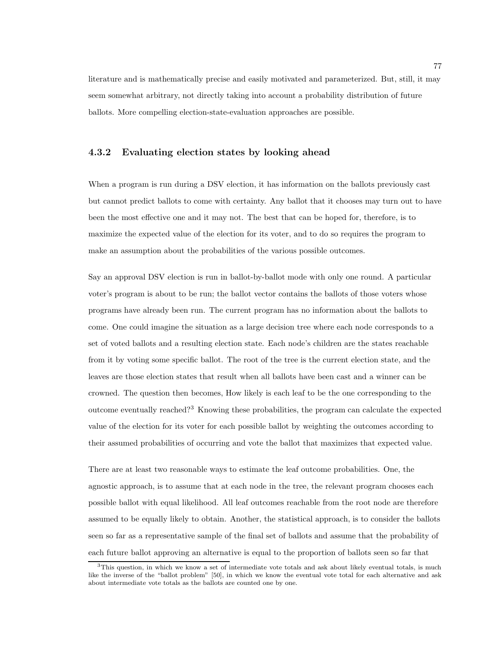literature and is mathematically precise and easily motivated and parameterized. But, still, it may seem somewhat arbitrary, not directly taking into account a probability distribution of future ballots. More compelling election-state-evaluation approaches are possible.

## 4.3.2 Evaluating election states by looking ahead

When a program is run during a DSV election, it has information on the ballots previously cast but cannot predict ballots to come with certainty. Any ballot that it chooses may turn out to have been the most effective one and it may not. The best that can be hoped for, therefore, is to maximize the expected value of the election for its voter, and to do so requires the program to make an assumption about the probabilities of the various possible outcomes.

Say an approval DSV election is run in ballot-by-ballot mode with only one round. A particular voter's program is about to be run; the ballot vector contains the ballots of those voters whose programs have already been run. The current program has no information about the ballots to come. One could imagine the situation as a large decision tree where each node corresponds to a set of voted ballots and a resulting election state. Each node's children are the states reachable from it by voting some specific ballot. The root of the tree is the current election state, and the leaves are those election states that result when all ballots have been cast and a winner can be crowned. The question then becomes, How likely is each leaf to be the one corresponding to the outcome eventually reached?<sup>3</sup> Knowing these probabilities, the program can calculate the expected value of the election for its voter for each possible ballot by weighting the outcomes according to their assumed probabilities of occurring and vote the ballot that maximizes that expected value.

There are at least two reasonable ways to estimate the leaf outcome probabilities. One, the agnostic approach, is to assume that at each node in the tree, the relevant program chooses each possible ballot with equal likelihood. All leaf outcomes reachable from the root node are therefore assumed to be equally likely to obtain. Another, the statistical approach, is to consider the ballots seen so far as a representative sample of the final set of ballots and assume that the probability of each future ballot approving an alternative is equal to the proportion of ballots seen so far that

 $3$ This question, in which we know a set of intermediate vote totals and ask about likely eventual totals, is much like the inverse of the "ballot problem" [50], in which we know the eventual vote total for each alternative and ask about intermediate vote totals as the ballots are counted one by one.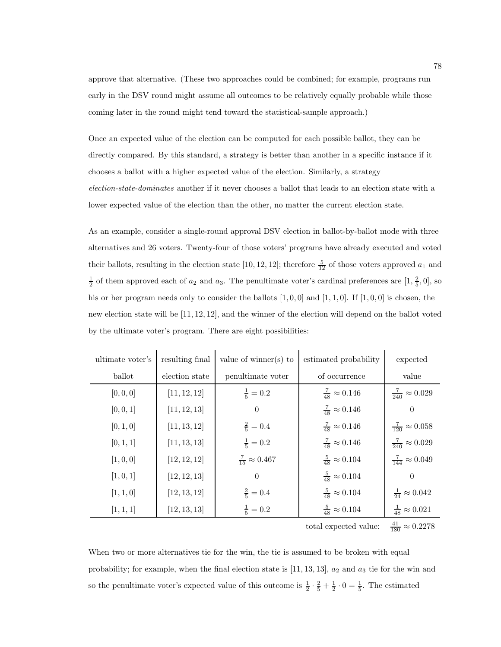approve that alternative. (These two approaches could be combined; for example, programs run early in the DSV round might assume all outcomes to be relatively equally probable while those coming later in the round might tend toward the statistical-sample approach.)

Once an expected value of the election can be computed for each possible ballot, they can be directly compared. By this standard, a strategy is better than another in a specific instance if it chooses a ballot with a higher expected value of the election. Similarly, a strategy election-state-dominates another if it never chooses a ballot that leads to an election state with a lower expected value of the election than the other, no matter the current election state.

As an example, consider a single-round approval DSV election in ballot-by-ballot mode with three alternatives and 26 voters. Twenty-four of those voters' programs have already executed and voted their ballots, resulting in the election state [10, 12, 12]; therefore  $\frac{5}{12}$  of those voters approved  $a_1$  and  $\frac{1}{2}$  of them approved each of  $a_2$  and  $a_3$ . The penultimate voter's cardinal preferences are  $[1, \frac{2}{5}, 0]$ , so his or her program needs only to consider the ballots  $[1, 0, 0]$  and  $[1, 1, 0]$ . If  $[1, 0, 0]$  is chosen, the new election state will be [11, 12, 12], and the winner of the election will depend on the ballot voted by the ultimate voter's program. There are eight possibilities:

| ultimate voter's | resulting final | value of winner(s) to        | estimated probability        | expected                      |
|------------------|-----------------|------------------------------|------------------------------|-------------------------------|
| ballot           | election state  | penultimate voter            | of occurrence                | value                         |
| [0, 0, 0]        | [11, 12, 12]    | $\frac{1}{5} = 0.2$          | $\frac{7}{48} \approx 0.146$ | $\frac{7}{240} \approx 0.029$ |
| [0, 0, 1]        | [11, 12, 13]    | $\theta$                     | $\frac{7}{48} \approx 0.146$ | $\theta$                      |
| [0, 1, 0]        | [11, 13, 12]    | $\frac{2}{5} = 0.4$          | $\frac{7}{48} \approx 0.146$ | $\frac{7}{120} \approx 0.058$ |
| [0, 1, 1]        | [11, 13, 13]    | $\frac{1}{5} = 0.2$          | $\frac{7}{48} \approx 0.146$ | $\frac{7}{240} \approx 0.029$ |
| [1, 0, 0]        | [12, 12, 12]    | $\frac{7}{15} \approx 0.467$ | $\frac{5}{48} \approx 0.104$ | $\frac{7}{144} \approx 0.049$ |
| [1, 0, 1]        | [12, 12, 13]    | $\Omega$                     | $\frac{5}{48} \approx 0.104$ | $\Omega$                      |
| [1, 1, 0]        | [12, 13, 12]    | $\frac{2}{5} = 0.4$          | $\frac{5}{48} \approx 0.104$ | $\frac{1}{24} \approx 0.042$  |
| [1, 1, 1]        | [12, 13, 13]    | $\frac{1}{5} = 0.2$          | $\frac{5}{48} \approx 0.104$ | $\frac{1}{48} \approx 0.021$  |

total expected value:  $\frac{41}{180} \approx 0.2278$ 

When two or more alternatives tie for the win, the tie is assumed to be broken with equal probability; for example, when the final election state is  $[11, 13, 13]$ ,  $a_2$  and  $a_3$  tie for the win and so the penultimate voter's expected value of this outcome is  $\frac{1}{2} \cdot \frac{2}{5} + \frac{1}{2} \cdot 0 = \frac{1}{5}$ . The estimated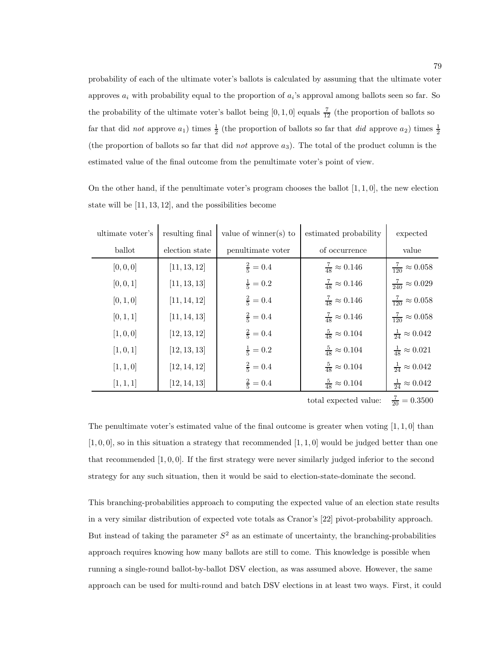probability of each of the ultimate voter's ballots is calculated by assuming that the ultimate voter approves  $a_i$  with probability equal to the proportion of  $a_i$ 's approval among ballots seen so far. So the probability of the ultimate voter's ballot being  $[0, 1, 0]$  equals  $\frac{7}{12}$  (the proportion of ballots so far that did *not* approve  $a_1$ ) times  $\frac{1}{2}$  (the proportion of ballots so far that *did* approve  $a_2$ ) times  $\frac{1}{2}$ (the proportion of ballots so far that did *not* approve  $a_3$ ). The total of the product column is the estimated value of the final outcome from the penultimate voter's point of view.

| ultimate voter's | resulting final | value of winner(s) to | estimated probability        | expected                      |
|------------------|-----------------|-----------------------|------------------------------|-------------------------------|
| ballot           | election state  | penultimate voter     | of occurrence                | value                         |
| [0, 0, 0]        | [11, 13, 12]    | $\frac{2}{5} = 0.4$   | $\frac{7}{48} \approx 0.146$ | $\frac{7}{120} \approx 0.058$ |
| [0, 0, 1]        | [11, 13, 13]    | $\frac{1}{5} = 0.2$   | $\frac{7}{48} \approx 0.146$ | $\frac{7}{240} \approx 0.029$ |
| [0, 1, 0]        | [11, 14, 12]    | $\frac{2}{5} = 0.4$   | $\frac{7}{48} \approx 0.146$ | $\frac{7}{120} \approx 0.058$ |
| [0, 1, 1]        | [11, 14, 13]    | $\frac{2}{5} = 0.4$   | $\frac{7}{48} \approx 0.146$ | $\frac{7}{120} \approx 0.058$ |
| [1, 0, 0]        | [12, 13, 12]    | $\frac{2}{5} = 0.4$   | $\frac{5}{48} \approx 0.104$ | $\frac{1}{24} \approx 0.042$  |
| [1, 0, 1]        | [12, 13, 13]    | $\frac{1}{5} = 0.2$   | $\frac{5}{48} \approx 0.104$ | $\frac{1}{48} \approx 0.021$  |
| [1, 1, 0]        | [12, 14, 12]    | $\frac{2}{5} = 0.4$   | $\frac{5}{48} \approx 0.104$ | $\frac{1}{24} \approx 0.042$  |
| [1, 1, 1]        | [12, 14, 13]    | $\frac{2}{5} = 0.4$   | $\frac{5}{48} \approx 0.104$ | $\frac{1}{24} \approx 0.042$  |
|                  |                 |                       |                              |                               |

On the other hand, if the penultimate voter's program chooses the ballot  $[1, 1, 0]$ , the new election state will be [11, 13, 12], and the possibilities become

total expected value:  $\frac{7}{20} = 0.3500$ 

The penultimate voter's estimated value of the final outcome is greater when voting  $[1, 1, 0]$  than  $[1, 0, 0]$ , so in this situation a strategy that recommended  $[1, 1, 0]$  would be judged better than one that recommended  $[1, 0, 0]$ . If the first strategy were never similarly judged inferior to the second strategy for any such situation, then it would be said to election-state-dominate the second.

This branching-probabilities approach to computing the expected value of an election state results in a very similar distribution of expected vote totals as Cranor's [22] pivot-probability approach. But instead of taking the parameter  $S<sup>2</sup>$  as an estimate of uncertainty, the branching-probabilities approach requires knowing how many ballots are still to come. This knowledge is possible when running a single-round ballot-by-ballot DSV election, as was assumed above. However, the same approach can be used for multi-round and batch DSV elections in at least two ways. First, it could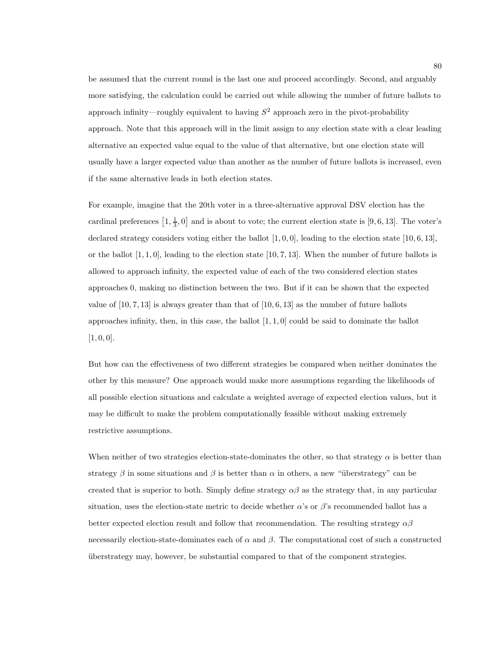be assumed that the current round is the last one and proceed accordingly. Second, and arguably more satisfying, the calculation could be carried out while allowing the number of future ballots to approach infinity—roughly equivalent to having  $S^2$  approach zero in the pivot-probability approach. Note that this approach will in the limit assign to any election state with a clear leading alternative an expected value equal to the value of that alternative, but one election state will usually have a larger expected value than another as the number of future ballots is increased, even if the same alternative leads in both election states.

For example, imagine that the 20th voter in a three-alternative approval DSV election has the cardinal preferences  $[1, \frac{1}{3}, 0]$  and is about to vote; the current election state is [9, 6, 13]. The voter's declared strategy considers voting either the ballot  $[1, 0, 0]$ , leading to the election state  $[10, 6, 13]$ , or the ballot  $[1, 1, 0]$ , leading to the election state  $[10, 7, 13]$ . When the number of future ballots is allowed to approach infinity, the expected value of each of the two considered election states approaches 0, making no distinction between the two. But if it can be shown that the expected value of  $[10, 7, 13]$  is always greater than that of  $[10, 6, 13]$  as the number of future ballots approaches infinity, then, in this case, the ballot  $[1, 1, 0]$  could be said to dominate the ballot  $[1, 0, 0].$ 

But how can the effectiveness of two different strategies be compared when neither dominates the other by this measure? One approach would make more assumptions regarding the likelihoods of all possible election situations and calculate a weighted average of expected election values, but it may be difficult to make the problem computationally feasible without making extremely restrictive assumptions.

When neither of two strategies election-state-dominates the other, so that strategy  $\alpha$  is better than strategy  $\beta$  in some situations and  $\beta$  is better than  $\alpha$  in others, a new "uberstrategy" can be created that is superior to both. Simply define strategy  $\alpha\beta$  as the strategy that, in any particular situation, uses the election-state metric to decide whether  $\alpha$ 's or  $\beta$ 's recommended ballot has a better expected election result and follow that recommendation. The resulting strategy  $\alpha\beta$ necessarily election-state-dominates each of  $\alpha$  and  $\beta$ . The computational cost of such a constructed uberstrategy may, however, be substantial compared to that of the component strategies.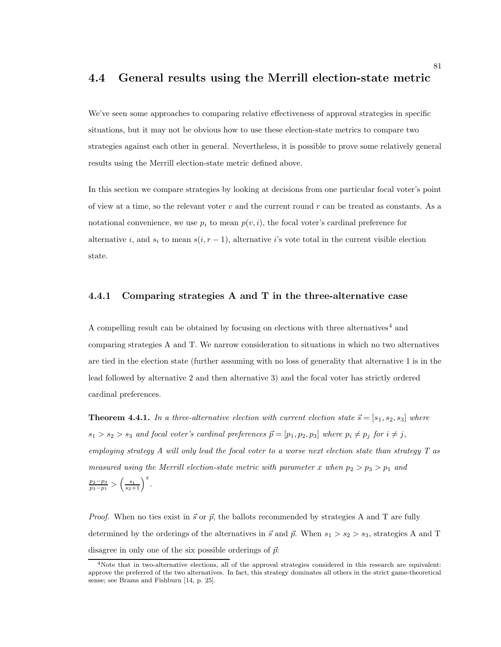## 4.4 General results using the Merrill election-state metric

We've seen some approaches to comparing relative effectiveness of approval strategies in specific situations, but it may not be obvious how to use these election-state metrics to compare two strategies against each other in general. Nevertheless, it is possible to prove some relatively general results using the Merrill election-state metric defined above.

In this section we compare strategies by looking at decisions from one particular focal voter's point of view at a time, so the relevant voter  $v$  and the current round  $r$  can be treated as constants. As a notational convenience, we use  $p_i$  to mean  $p(v,i)$ , the focal voter's cardinal preference for alternative i, and  $s_i$  to mean  $s(i, r - 1)$ , alternative i's vote total in the current visible election state.

## 4.4.1 Comparing strategies A and T in the three-alternative case

A compelling result can be obtained by focusing on elections with three alternatives<sup>4</sup> and comparing strategies A and T. We narrow consideration to situations in which no two alternatives are tied in the election state (further assuming with no loss of generality that alternative 1 is in the lead followed by alternative 2 and then alternative 3) and the focal voter has strictly ordered cardinal preferences.

**Theorem 4.4.1.** In a three-alternative election with current election state  $\vec{s} = [s_1, s_2, s_3]$  where  $s_1 > s_2 > s_3$  and focal voter's cardinal preferences  $\vec{p} = [p_1, p_2, p_3]$  where  $p_i \neq p_j$  for  $i \neq j$ , employing strategy A will only lead the focal voter to a worse next election state than strategy T as measured using the Merrill election-state metric with parameter x when  $p_2 > p_3 > p_1$  and  $\frac{p_2-p_3}{p_3-p_1} > \left(\frac{s_1}{s_2+1}\right)^x.$ 

*Proof.* When no ties exist in  $\vec{s}$  or  $\vec{p}$ , the ballots recommended by strategies A and T are fully determined by the orderings of the alternatives in  $\vec{s}$  and  $\vec{p}$ . When  $s_1 > s_2 > s_3$ , strategies A and T disagree in only one of the six possible orderings of  $\vec{p}$ :

<sup>&</sup>lt;sup>4</sup>Note that in two-alternative elections, all of the approval strategies considered in this research are equivalent: approve the preferred of the two alternatives. In fact, this strategy dominates all others in the strict game-theoretical sense; see Brams and Fishburn [14, p. 25].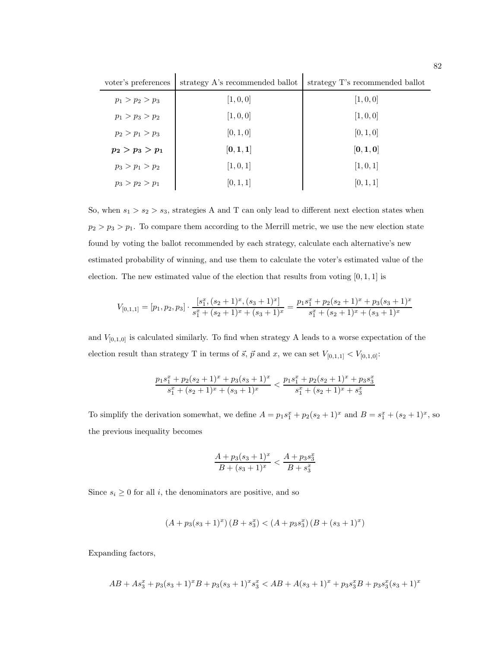| voter's preferences | strategy A's recommended ballot | strategy T's recommended ballot |
|---------------------|---------------------------------|---------------------------------|
| $p_1 > p_2 > p_3$   | [1, 0, 0]                       | [1, 0, 0]                       |
| $p_1 > p_3 > p_2$   | [1, 0, 0]                       | [1, 0, 0]                       |
| $p_2 > p_1 > p_3$   | [0, 1, 0]                       | [0, 1, 0]                       |
| $p_2 > p_3 > p_1$   | [0, 1, 1]                       | [0, 1, 0]                       |
| $p_3 > p_1 > p_2$   | [1, 0, 1]                       | [1, 0, 1]                       |
| $p_3 > p_2 > p_1$   | [0, 1, 1]                       | [0, 1, 1]                       |

So, when  $s_1 > s_2 > s_3$ , strategies A and T can only lead to different next election states when  $p_2 > p_3 > p_1$ . To compare them according to the Merrill metric, we use the new election state found by voting the ballot recommended by each strategy, calculate each alternative's new estimated probability of winning, and use them to calculate the voter's estimated value of the election. The new estimated value of the election that results from voting  $[0, 1, 1]$  is

$$
V_{[0,1,1]} = [p_1, p_2, p_3] \cdot \frac{[s_1^x, (s_2+1)^x, (s_3+1)^x]}{s_1^x + (s_2+1)^x + (s_3+1)^x} = \frac{p_1s_1^x + p_2(s_2+1)^x + p_3(s_3+1)^x}{s_1^x + (s_2+1)^x + (s_3+1)^x}
$$

and  $V_{[0,1,0]}$  is calculated similarly. To find when strategy A leads to a worse expectation of the election result than strategy T in terms of  $\vec{s}$ ,  $\vec{p}$  and x, we can set  $V_{[0,1,1]} < V_{[0,1,0]}$ :

$$
\frac{p_1s_1^x + p_2(s_2+1)^x + p_3(s_3+1)^x}{s_1^x + (s_2+1)^x + (s_3+1)^x} < \frac{p_1s_1^x + p_2(s_2+1)^x + p_3s_3^x}{s_1^x + (s_2+1)^x + s_3^x}
$$

To simplify the derivation somewhat, we define  $A = p_1 s_1^x + p_2(s_2 + 1)^x$  and  $B = s_1^x + (s_2 + 1)^x$ , so the previous inequality becomes

$$
\frac{A+p_3(s_3+1)^x}{B+(s_3+1)^x} < \frac{A+p_3 s_3^x}{B+s_3^x}
$$

Since  $s_i \geq 0$  for all *i*, the denominators are positive, and so

$$
(A + p_3(s_3 + 1)^x) (B + s_3^x) < (A + p_3 s_3^x) (B + (s_3 + 1)^x)
$$

Expanding factors,

$$
AB + As_3^x + p_3(s_3 + 1)^x B + p_3(s_3 + 1)^x s_3^x < AB + A(s_3 + 1)^x + p_3 s_3^x B + p_3 s_3^x (s_3 + 1)^x
$$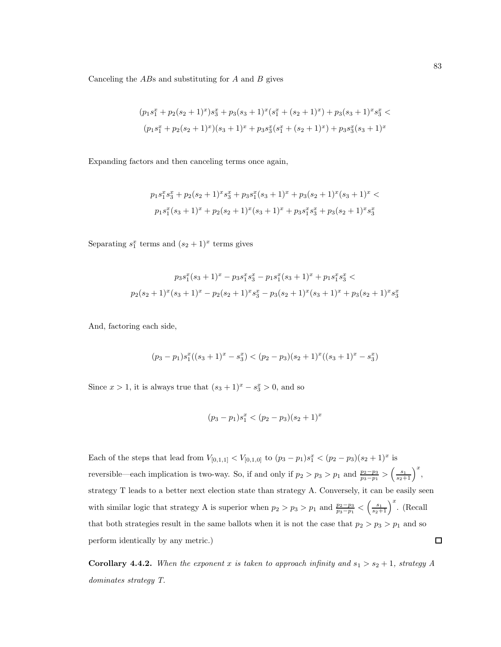Canceling the  $ABs$  and substituting for  $A$  and  $B$  gives

$$
(p_1s_1^x + p_2(s_2+1)^x)s_3^x + p_3(s_3+1)^x(s_1^x + (s_2+1)^x) + p_3(s_3+1)^x s_3^x <
$$
  

$$
(p_1s_1^x + p_2(s_2+1)^x)(s_3+1)^x + p_3s_3^x(s_1^x + (s_2+1)^x) + p_3s_3^x(s_3+1)^x
$$

Expanding factors and then canceling terms once again,

$$
p_1s_1^x s_3^x + p_2(s_2+1)^x s_3^x + p_3s_1^x(s_3+1)^x + p_3(s_2+1)^x(s_3+1)^x <
$$
  

$$
p_1s_1^x(s_3+1)^x + p_2(s_2+1)^x(s_3+1)^x + p_3s_1^x s_3^x + p_3(s_2+1)^x s_3^x
$$

Separating  $s_1^x$  terms and  $(s_2 + 1)^x$  terms gives

$$
p_3s_1^x(s_3+1)^x - p_3s_1^xs_3^x - p_1s_1^x(s_3+1)^x + p_1s_1^xs_3^x <
$$
  

$$
p_2(s_2+1)^x(s_3+1)^x - p_2(s_2+1)^xs_3^x - p_3(s_2+1)^x(s_3+1)^x + p_3(s_2+1)^xs_3^x
$$

And, factoring each side,

$$
(p_3-p_1)s_1^x((s_3+1)^x-s_3^x)<(p_2-p_3)(s_2+1)^x((s_3+1)^x-s_3^x)\\
$$

Since  $x > 1$ , it is always true that  $(s_3 + 1)^x - s_3^x > 0$ , and so

$$
(p_3 - p_1)s_1^x < (p_2 - p_3)(s_2 + 1)^x
$$

Each of the steps that lead from  $V_{[0,1,1]} < V_{[0,1,0]}$  to  $(p_3 - p_1)s_1^x < (p_2 - p_3)(s_2 + 1)^x$  is reversible—each implication is two-way. So, if and only if  $p_2 > p_3 > p_1$  and  $\frac{p_2-p_3}{p_3-p_1} > \left(\frac{s_1}{s_2+1}\right)^x$ , strategy T leads to a better next election state than strategy A. Conversely, it can be easily seen with similar logic that strategy A is superior when  $p_2 > p_3 > p_1$  and  $\frac{p_2-p_3}{p_3-p_1} < \left(\frac{s_1}{s_2+1}\right)^x$ . (Recall that both strategies result in the same ballots when it is not the case that  $p_2 > p_3 > p_1$  and so  $\Box$ perform identically by any metric.)

Corollary 4.4.2. When the exponent x is taken to approach infinity and  $s_1 > s_2 + 1$ , strategy A dominates strategy T.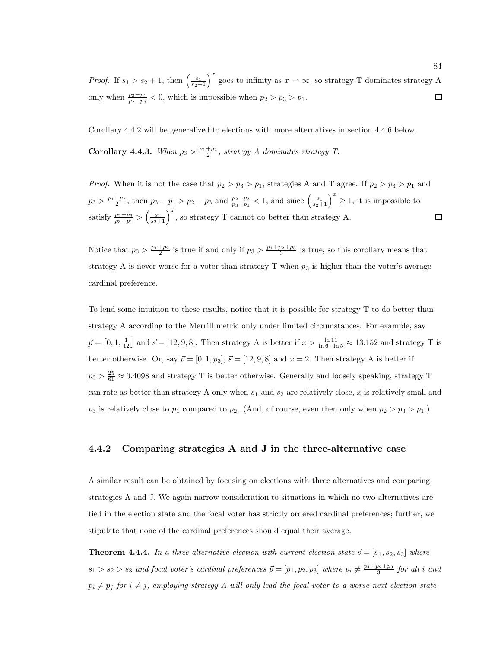*Proof.* If  $s_1 > s_2 + 1$ , then  $\left(\frac{s_1}{s_2+1}\right)^x$  goes to infinity as  $x \to \infty$ , so strategy T dominates strategy A only when  $\frac{p_3-p_1}{p_2-p_3} < 0$ , which is impossible when  $p_2 > p_3 > p_1$ . 口

Corollary 4.4.2 will be generalized to elections with more alternatives in section 4.4.6 below. **Corollary 4.4.3.** When  $p_3 > \frac{p_1+p_2}{2}$ , strategy A dominates strategy T.

*Proof.* When it is not the case that  $p_2 > p_3 > p_1$ , strategies A and T agree. If  $p_2 > p_3 > p_1$  and  $p_3 > \frac{p_1+p_2}{2}$ , then  $p_3 - p_1 > p_2 - p_3$  and  $\frac{p_2-p_3}{p_3-p_1} < 1$ , and since  $\left(\frac{s_1}{s_2+1}\right)^x \ge 1$ , it is impossible to satisfy  $\frac{p_2-p_3}{p_3-p_1} > \left(\frac{s_1}{s_2+1}\right)^x$ , so strategy T cannot do better than strategy A.  $\Box$ 

Notice that  $p_3 > \frac{p_1+p_2}{2}$  is true if and only if  $p_3 > \frac{p_1+p_2+p_3}{3}$  is true, so this corollary means that strategy A is never worse for a voter than strategy T when  $p_3$  is higher than the voter's average cardinal preference.

To lend some intuition to these results, notice that it is possible for strategy T to do better than strategy A according to the Merrill metric only under limited circumstances. For example, say  $\vec{p} = [0, 1, \frac{1}{12}]$  and  $\vec{s} = [12, 9, 8]$ . Then strategy A is better if  $x > \frac{\ln 11}{\ln 6 - \ln 5} \approx 13.152$  and strategy T is better otherwise. Or, say  $\vec{p} = [0, 1, p_3], \vec{s} = [12, 9, 8]$  and  $x = 2$ . Then strategy A is better if  $p_3 > \frac{25}{61} \approx 0.4098$  and strategy T is better otherwise. Generally and loosely speaking, strategy T can rate as better than strategy A only when  $s_1$  and  $s_2$  are relatively close, x is relatively small and  $p_3$  is relatively close to  $p_1$  compared to  $p_2$ . (And, of course, even then only when  $p_2 > p_3 > p_1$ .)

## 4.4.2 Comparing strategies A and J in the three-alternative case

A similar result can be obtained by focusing on elections with three alternatives and comparing strategies A and J. We again narrow consideration to situations in which no two alternatives are tied in the election state and the focal voter has strictly ordered cardinal preferences; further, we stipulate that none of the cardinal preferences should equal their average.

**Theorem 4.4.4.** In a three-alternative election with current election state  $\vec{s} = [s_1, s_2, s_3]$  where  $s_1 > s_2 > s_3$  and focal voter's cardinal preferences  $\vec{p} = [p_1, p_2, p_3]$  where  $p_i \neq \frac{p_1+p_2+p_3}{3}$  for all i and  $p_i \neq p_j$  for  $i \neq j$ , employing strategy A will only lead the focal voter to a worse next election state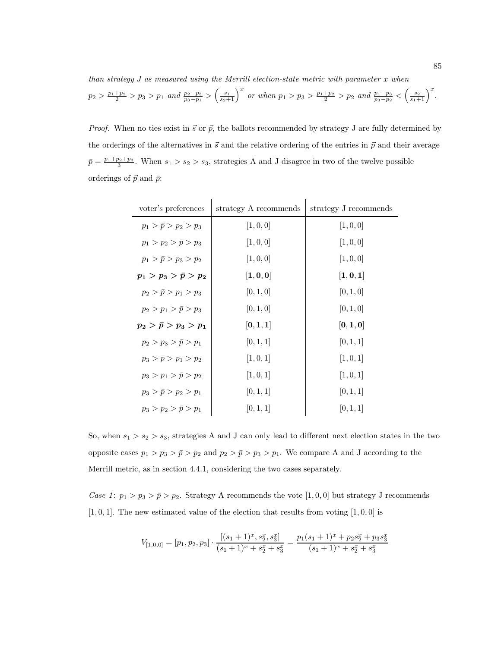than strategy  $J$  as measured using the Merrill election-state metric with parameter  $x$  when  $p_2 > \frac{p_1+p_2}{2} > p_3 > p_1$  and  $\frac{p_2-p_3}{p_3-p_1} > \left(\frac{s_1}{s_2+1}\right)^x$  or when  $p_1 > p_3 > \frac{p_1+p_2}{2} > p_2$  and  $\frac{p_1-p_3}{p_3-p_2} < \left(\frac{s_2}{s_1+1}\right)^x$ .

*Proof.* When no ties exist in  $\vec{s}$  or  $\vec{p}$ , the ballots recommended by strategy J are fully determined by the orderings of the alternatives in  $\vec{s}$  and the relative ordering of the entries in  $\vec{p}$  and their average  $\bar{p} = \frac{p_1+p_2+p_3}{3}$ . When  $s_1 > s_2 > s_3$ , strategies A and J disagree in two of the twelve possible orderings of  $\vec{p}$  and  $\vec{p}$ :

| voter's preferences         | strategy A recommends | strategy J recommends |
|-----------------------------|-----------------------|-----------------------|
| $p_1 > \bar{p} > p_2 > p_3$ | [1, 0, 0]             | [1, 0, 0]             |
| $p_1 > p_2 > \bar{p} > p_3$ | [1, 0, 0]             | [1, 0, 0]             |
| $p_1 > \bar{p} > p_3 > p_2$ | [1, 0, 0]             | [1, 0, 0]             |
| $p_1 > p_3 > \bar{p} > p_2$ | $\bm{[1,0,0]}$        | $\bm{[1,0,1]}$        |
| $p_2 > \bar{p} > p_1 > p_3$ | [0, 1, 0]             | [0, 1, 0]             |
| $p_2 > p_1 > \bar{p} > p_3$ | [0, 1, 0]             | [0, 1, 0]             |
| $p_2 > \bar{p} > p_3 > p_1$ | [0, 1, 1]             | [0, 1, 0]             |
| $p_2 > p_3 > \bar{p} > p_1$ | [0, 1, 1]             | [0, 1, 1]             |
| $p_3 > \bar{p} > p_1 > p_2$ | [1, 0, 1]             | [1, 0, 1]             |
| $p_3 > p_1 > \bar{p} > p_2$ | [1, 0, 1]             | [1, 0, 1]             |
| $p_3 > \bar{p} > p_2 > p_1$ | [0, 1, 1]             | [0, 1, 1]             |
| $p_3 > p_2 > \bar{p} > p_1$ | [0, 1, 1]             | [0, 1, 1]             |

So, when  $s_1 > s_2 > s_3$ , strategies A and J can only lead to different next election states in the two opposite cases  $p_1 > p_3 > \bar{p} > p_2$  and  $p_2 > \bar{p} > p_3 > p_1$ . We compare A and J according to the Merrill metric, as in section 4.4.1, considering the two cases separately.

Case 1:  $p_1 > p_3 > \bar{p} > p_2$ . Strategy A recommends the vote  $[1, 0, 0]$  but strategy J recommends  $[1, 0, 1]$ . The new estimated value of the election that results from voting  $[1, 0, 0]$  is

$$
V_{[1,0,0]} = [p_1,p_2,p_3] \cdot \frac{[(s_1+1)^x,s_2^x,s_3^x]}{(s_1+1)^x+s_2^x+s_3^x} = \frac{p_1(s_1+1)^x+p_2s_2^x+p_3s_3^x}{(s_1+1)^x+s_2^x+s_3^x}
$$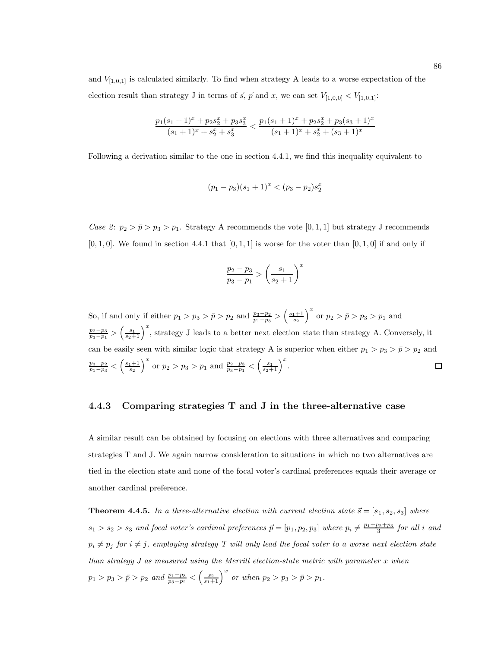and  $V_{[1,0,1]}$  is calculated similarly. To find when strategy A leads to a worse expectation of the election result than strategy J in terms of  $\vec{s}$ ,  $\vec{p}$  and x, we can set  $V_{[1,0,0]} < V_{[1,0,1]}$ :

$$
\frac{p_1(s_1+1)^x + p_2s_2^x + p_3s_3^x}{(s_1+1)^x + s_2^x + s_3^x} < \frac{p_1(s_1+1)^x + p_2s_2^x + p_3(s_3+1)^x}{(s_1+1)^x + s_2^x + (s_3+1)^x}
$$

Following a derivation similar to the one in section 4.4.1, we find this inequality equivalent to

$$
(p_1 - p_3)(s_1 + 1)^x < (p_3 - p_2)s_2^x
$$

Case 2:  $p_2 > \bar{p} > p_3 > p_1$ . Strategy A recommends the vote [0, 1, 1] but strategy J recommends  $[0, 1, 0]$ . We found in section 4.4.1 that  $[0, 1, 1]$  is worse for the voter than  $[0, 1, 0]$  if and only if

$$
\frac{p_2 - p_3}{p_3 - p_1} > \left(\frac{s_1}{s_2 + 1}\right)^x
$$

So, if and only if either  $p_1 > p_3 > \bar{p} > p_2$  and  $\frac{p_3-p_2}{p_1-p_3} > \left(\frac{s_1+1}{s_2}\right)^x$  or  $p_2 > \bar{p} > p_3 > p_1$  and  $\frac{p_2-p_3}{p_3-p_1}$  >  $\left(\frac{s_1}{s_2+1}\right)^x$ , strategy J leads to a better next election state than strategy A. Conversely, it can be easily seen with similar logic that strategy A is superior when either  $p_1 > p_3 > \bar{p} > p_2$  and  $\frac{p_3-p_2}{p_1-p_3} < \left(\frac{s_1+1}{s_2}\right)^x$  or  $p_2 > p_3 > p_1$  and  $\frac{p_2-p_3}{p_3-p_1} < \left(\frac{s_1}{s_2+1}\right)^x$ . □

#### 4.4.3 Comparing strategies T and J in the three-alternative case

A similar result can be obtained by focusing on elections with three alternatives and comparing strategies T and J. We again narrow consideration to situations in which no two alternatives are tied in the election state and none of the focal voter's cardinal preferences equals their average or another cardinal preference.

**Theorem 4.4.5.** In a three-alternative election with current election state  $\vec{s} = [s_1, s_2, s_3]$  where  $s_1 > s_2 > s_3$  and focal voter's cardinal preferences  $\vec{p} = [p_1, p_2, p_3]$  where  $p_i \neq \frac{p_1+p_2+p_3}{3}$  for all i and  $p_i \neq p_j$  for  $i \neq j$ , employing strategy T will only lead the focal voter to a worse next election state than strategy J as measured using the Merrill election-state metric with parameter x when  $p_1 > p_3 > \bar{p} > p_2$  and  $\frac{p_1-p_3}{p_3-p_2} < \left(\frac{s_2}{s_1+1}\right)^x$  or when  $p_2 > p_3 > \bar{p} > p_1$ .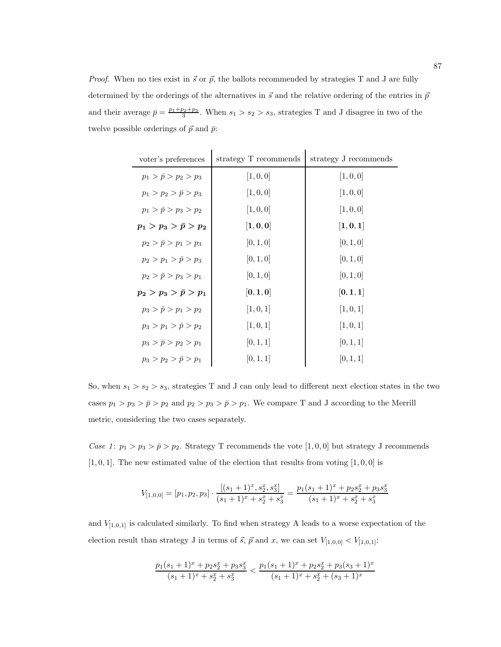*Proof.* When no ties exist in  $\vec{s}$  or  $\vec{p}$ , the ballots recommended by strategies T and J are fully determined by the orderings of the alternatives in  $\vec{s}$  and the relative ordering of the entries in  $\vec{p}$ and their average  $\bar{p} = \frac{p_1+p_2+p_3}{3}$ . When  $s_1 > s_2 > s_3$ , strategies T and J disagree in two of the twelve possible orderings of  $\vec{p}$  and  $\vec{p}$ :

| strategy T recommends | strategy J recommends |
|-----------------------|-----------------------|
| [1, 0, 0]             | [1, 0, 0]             |
| [1, 0, 0]             | [1, 0, 0]             |
| [1, 0, 0]             | [1, 0, 0]             |
| $\bm{[1,0,0]}$        | [1, 0, 1]             |
| [0, 1, 0]             | [0, 1, 0]             |
| [0, 1, 0]             | [0, 1, 0]             |
| [0, 1, 0]             | [0, 1, 0]             |
| [0,1,0]               | $\bm{[0,1,1]}$        |
| [1, 0, 1]             | [1, 0, 1]             |
| [1, 0, 1]             | [1, 0, 1]             |
| [0, 1, 1]             | [0, 1, 1]             |
| [0, 1, 1]             | [0, 1, 1]             |
|                       |                       |

So, when  $s_1 > s_2 > s_3$ , strategies T and J can only lead to different next election states in the two cases  $p_1 > p_3 > \bar{p} > p_2$  and  $p_2 > p_3 > \bar{p} > p_1$ . We compare T and J according to the Merrill metric, considering the two cases separately.

Case 1:  $p_1 > p_3 > \bar{p} > p_2$ . Strategy T recommends the vote  $[1, 0, 0]$  but strategy J recommends  $[1, 0, 1]$ . The new estimated value of the election that results from voting  $[1, 0, 0]$  is

$$
V_{[1,0,0]} = [p_1, p_2, p_3] \cdot \frac{[(s_1+1)^x, s_2^x, s_3^x]}{(s_1+1)^x + s_2^x + s_3^x} = \frac{p_1(s_1+1)^x + p_2s_2^x + p_3s_3^x}{(s_1+1)^x + s_2^x + s_3^x}
$$

and  $V_{[1,0,1]}$  is calculated similarly. To find when strategy A leads to a worse expectation of the election result than strategy J in terms of  $\vec{s}$ ,  $\vec{p}$  and x, we can set  $V_{[1,0,0]} < V_{[1,0,1]}$ :

$$
\frac{p_1(s_1+1)^x + p_2s_2^x + p_3s_3^x}{(s_1+1)^x + s_2^x + s_3^x} < \frac{p_1(s_1+1)^x + p_2s_2^x + p_3(s_3+1)^x}{(s_1+1)^x + s_2^x + (s_3+1)^x}
$$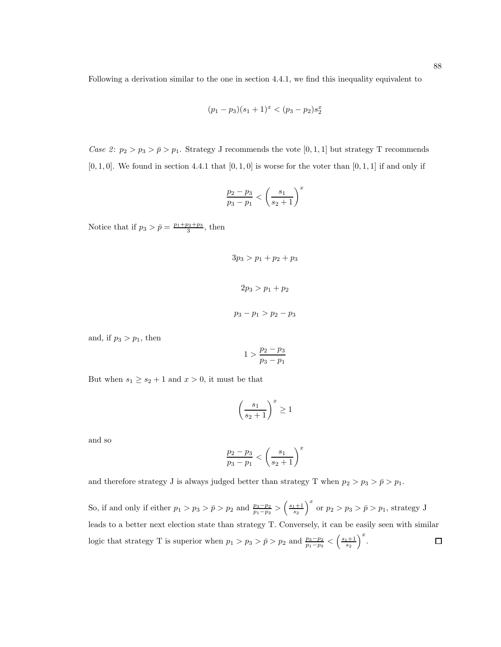Following a derivation similar to the one in section 4.4.1, we find this inequality equivalent to

$$
(p_1 - p_3)(s_1 + 1)^x < (p_3 - p_2)s_2^x
$$

Case 2:  $p_2 > p_3 > \bar{p} > p_1$ . Strategy J recommends the vote [0, 1, 1] but strategy T recommends  $[0, 1, 0]$ . We found in section 4.4.1 that  $[0, 1, 0]$  is worse for the voter than  $[0, 1, 1]$  if and only if

$$
\frac{p_2 - p_3}{p_3 - p_1} < \left(\frac{s_1}{s_2 + 1}\right)^x
$$

Notice that if  $p_3 > \bar{p} = \frac{p_1 + p_2 + p_3}{3}$ , then

$$
3p_3 > p_1 + p_2 + p_3
$$

$$
2p_3 > p_1 + p_2
$$

$$
p_3 - p_1 > p_2 - p_3
$$

and, if  $p_3 > p_1$ , then

$$
1 > \frac{p_2 - p_3}{p_3 - p_1}
$$

But when  $s_1 \geq s_2 + 1$  and  $x > 0$ , it must be that

$$
\left(\frac{s_1}{s_2+1}\right)^x \ge 1
$$

and so

$$
\frac{p_2 - p_3}{p_3 - p_1} < \left(\frac{s_1}{s_2 + 1}\right)^x
$$

and therefore strategy J is always judged better than strategy T when  $p_2 > p_3 > \bar{p} > p_1$ .

So, if and only if either  $p_1 > p_3 > \bar{p} > p_2$  and  $\frac{p_3-p_2}{p_1-p_3} > \left(\frac{s_1+1}{s_2}\right)^x$  or  $p_2 > p_3 > \bar{p} > p_1$ , strategy J leads to a better next election state than strategy T. Conversely, it can be easily seen with similar logic that strategy T is superior when  $p_1 > p_3 > \bar{p} > p_2$  and  $\frac{p_3-p_2}{p_1-p_3} < \left(\frac{s_1+1}{s_2}\right)^x$ .  $\Box$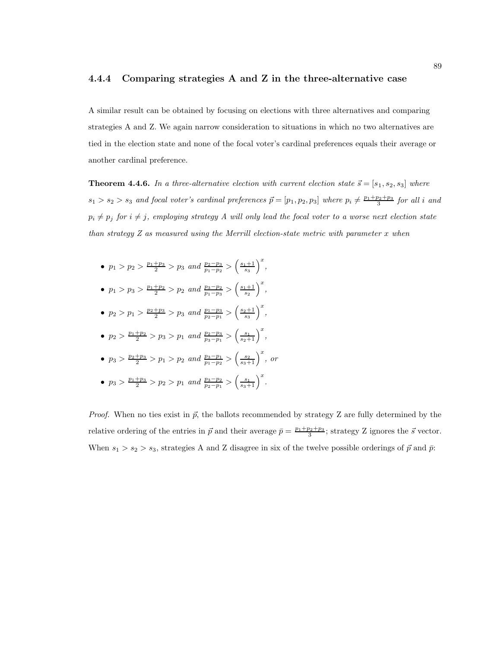#### 4.4.4 Comparing strategies A and Z in the three-alternative case

A similar result can be obtained by focusing on elections with three alternatives and comparing strategies A and Z. We again narrow consideration to situations in which no two alternatives are tied in the election state and none of the focal voter's cardinal preferences equals their average or another cardinal preference.

**Theorem 4.4.6.** In a three-alternative election with current election state  $\vec{s} = [s_1, s_2, s_3]$  where  $s_1 > s_2 > s_3$  and focal voter's cardinal preferences  $\vec{p} = [p_1, p_2, p_3]$  where  $p_i \neq \frac{p_1+p_2+p_3}{3}$  for all i and  $p_i \neq p_j$  for  $i \neq j$ , employing strategy A will only lead the focal voter to a worse next election state than strategy  $Z$  as measured using the Merrill election-state metric with parameter  $x$  when

•  $p_1 > p_2 > \frac{p_1+p_3}{2} > p_3$  and  $\frac{p_2-p_3}{p_1-p_2} > \left(\frac{s_1+1}{s_3}\right)^x$ , •  $p_1 > p_3 > \frac{p_1+p_2}{2} > p_2$  and  $\frac{p_3-p_2}{p_1-p_3} > \left(\frac{s_1+1}{s_2}\right)^x$ , •  $p_2 > p_1 > \frac{p_2+p_3}{2} > p_3$  and  $\frac{p_1-p_3}{p_2-p_1} > \left(\frac{s_2+1}{s_3}\right)^x$ , •  $p_2 > \frac{p_1+p_2}{2} > p_3 > p_1$  and  $\frac{p_2-p_3}{p_3-p_1} > \left(\frac{s_1}{s_2+1}\right)^x$ , •  $p_3 > \frac{p_2+p_3}{2} > p_1 > p_2$  and  $\frac{p_3-p_1}{p_1-p_2} > \left(\frac{s_2}{s_3+1}\right)^x$ , or •  $p_3 > \frac{p_1+p_3}{2} > p_2 > p_1$  and  $\frac{p_3-p_2}{p_2-p_1} > \left(\frac{s_1}{s_3+1}\right)^x$ .

*Proof.* When no ties exist in  $\vec{p}$ , the ballots recommended by strategy Z are fully determined by the relative ordering of the entries in  $\vec{p}$  and their average  $\bar{p} = \frac{p_1+p_2+p_3}{3}$ ; strategy Z ignores the  $\vec{s}$  vector. When  $s_1 > s_2 > s_3$ , strategies A and Z disagree in six of the twelve possible orderings of  $\vec{p}$  and  $\vec{p}$ :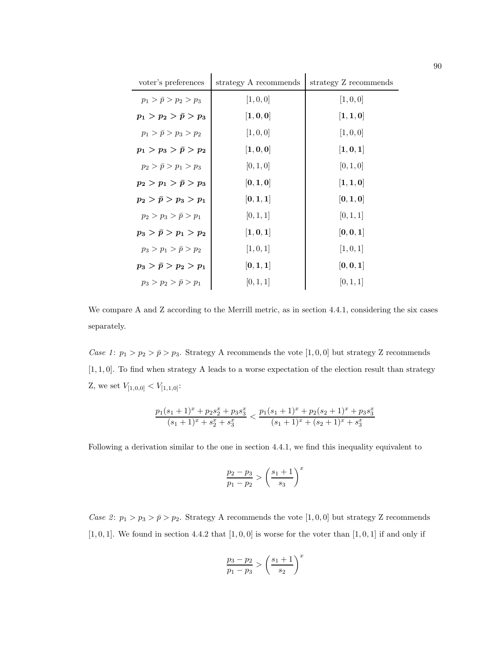| voter's preferences         | strategy A recommends | strategy Z recommends |
|-----------------------------|-----------------------|-----------------------|
| $p_1 > \bar{p} > p_2 > p_3$ | [1, 0, 0]             | [1, 0, 0]             |
| $p_1 > p_2 > \bar{p} > p_3$ | [1, 0, 0]             | [1, 1, 0]             |
| $p_1 > \bar{p} > p_3 > p_2$ | [1, 0, 0]             | [1, 0, 0]             |
| $p_1 > p_3 > \bar{p} > p_2$ | [1, 0, 0]             | [1, 0, 1]             |
| $p_2 > \bar{p} > p_1 > p_3$ | [0, 1, 0]             | [0, 1, 0]             |
| $p_2 > p_1 > \bar{p} > p_3$ | [0, 1, 0]             | [1, 1, 0]             |
| $p_2 > \bar{p} > p_3 > p_1$ | [0, 1, 1]             | [0, 1, 0]             |
| $p_2 > p_3 > \bar{p} > p_1$ | [0,1,1]               | [0, 1, 1]             |
| $p_3 > \bar{p} > p_1 > p_2$ | [1, 0, 1]             | [0, 0, 1]             |
| $p_3 > p_1 > \bar{p} > p_2$ | [1, 0, 1]             | [1, 0, 1]             |
| $p_3 > \bar{p} > p_2 > p_1$ | [0, 1, 1]             | [0, 0, 1]             |
| $p_3 > p_2 > \bar{p} > p_1$ | [0,1,1]               | [0, 1, 1]             |
|                             |                       |                       |

We compare A and Z according to the Merrill metric, as in section 4.4.1, considering the six cases separately.

Case 1:  $p_1 > p_2 > \bar{p} > p_3$ . Strategy A recommends the vote [1,0,0] but strategy Z recommends [1, 1, 0]. To find when strategy A leads to a worse expectation of the election result than strategy Z, we set  $V_{[1,0,0]} < V_{[1,1,0]}$ :

$$
\frac{p_1(s_1+1)^x+p_2s_2^x+p_3s_3^x}{(s_1+1)^x+s_2^x+s_3^x}<\frac{p_1(s_1+1)^x+p_2(s_2+1)^x+p_3s_3^x}{(s_1+1)^x+(s_2+1)^x+s_3^x}
$$

Following a derivation similar to the one in section 4.4.1, we find this inequality equivalent to

$$
\frac{p_2 - p_3}{p_1 - p_2} > \left(\frac{s_1 + 1}{s_3}\right)^x
$$

Case 2:  $p_1 > p_3 > \bar{p} > p_2$ . Strategy A recommends the vote  $[1, 0, 0]$  but strategy Z recommends  $[1, 0, 1]$ . We found in section 4.4.2 that  $[1, 0, 0]$  is worse for the voter than  $[1, 0, 1]$  if and only if

$$
\frac{p_3 - p_2}{p_1 - p_3} > \left(\frac{s_1 + 1}{s_2}\right)^x
$$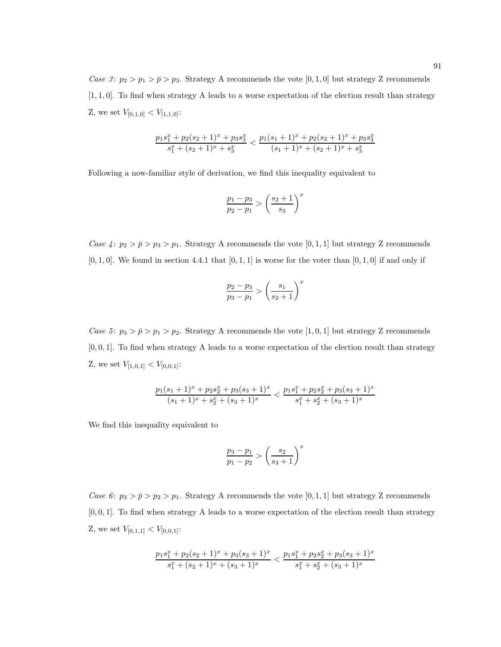Case 3:  $p_2 > p_1 > \bar{p} > p_3$ . Strategy A recommends the vote  $[0, 1, 0]$  but strategy Z recommends [1, 1, 0]. To find when strategy A leads to a worse expectation of the election result than strategy Z, we set  $V_{[0,1,0]} < V_{[1,1,0]}$ :

$$
\frac{p_1s_1^x + p_2(s_2+1)^x + p_3s_3^x}{s_1^x + (s_2+1)^x + s_3^x} < \frac{p_1(s_1+1)^x + p_2(s_2+1)^x + p_3s_3^x}{(s_1+1)^x + (s_2+1)^x + s_3^x}
$$

Following a now-familiar style of derivation, we find this inequality equivalent to

$$
\frac{p_1 - p_3}{p_2 - p_1} > \left(\frac{s_2 + 1}{s_3}\right)^x
$$

Case  $4: p_2 > \bar{p} > p_3 > p_1$ . Strategy A recommends the vote  $[0, 1, 1]$  but strategy Z recommends  $[0, 1, 0]$ . We found in section 4.4.1 that  $[0, 1, 1]$  is worse for the voter than  $[0, 1, 0]$  if and only if

$$
\frac{p_2 - p_3}{p_3 - p_1} > \left(\frac{s_1}{s_2 + 1}\right)^x
$$

Case 5:  $p_3 > \bar{p} > p_1 > p_2$ . Strategy A recommends the vote [1,0,1] but strategy Z recommends  $[0, 0, 1]$ . To find when strategy A leads to a worse expectation of the election result than strategy Z, we set  $V_{[1,0,1]} < V_{[0,0,1]}$ :

$$
\frac{p_1(s_1+1)^x + p_2s_2^x + p_3(s_3+1)^x}{(s_1+1)^x + s_2^x + (s_3+1)^x} < \frac{p_1s_1^x + p_2s_2^x + p_3(s_3+1)^x}{s_1^x + s_2^x + (s_3+1)^x}
$$

We find this inequality equivalent to

$$
\frac{p_3 - p_1}{p_1 - p_2} > \left(\frac{s_2}{s_3 + 1}\right)^x
$$

Case 6:  $p_3 > \bar{p} > p_2 > p_1$ . Strategy A recommends the vote [0, 1, 1] but strategy Z recommends  $[0, 0, 1]$ . To find when strategy A leads to a worse expectation of the election result than strategy Z, we set  $V_{[0,1,1]} < V_{[0,0,1]}$ :

$$
\frac{p_1s_1^x + p_2(s_2+1)^x + p_3(s_3+1)^x}{s_1^x + (s_2+1)^x + (s_3+1)^x} < \frac{p_1s_1^x + p_2s_2^x + p_3(s_3+1)^x}{s_1^x + s_2^x + (s_3+1)^x}
$$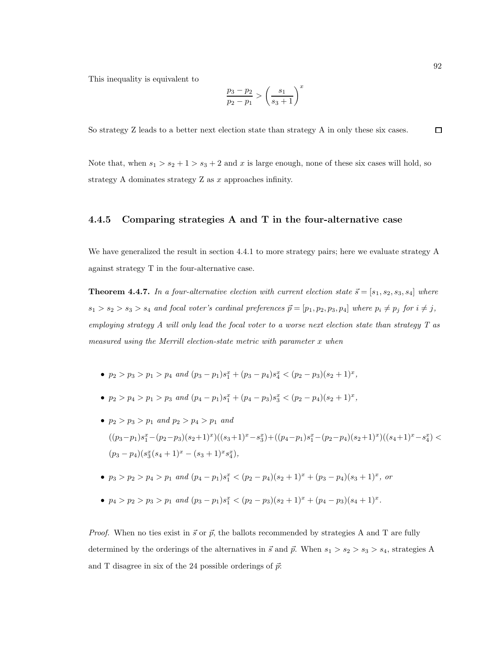This inequality is equivalent to

$$
\frac{p_3 - p_2}{p_2 - p_1} > \left(\frac{s_1}{s_3 + 1}\right)^x
$$

 $\Box$ So strategy Z leads to a better next election state than strategy A in only these six cases.

Note that, when  $s_1 > s_2 + 1 > s_3 + 2$  and x is large enough, none of these six cases will hold, so strategy A dominates strategy  $Z$  as  $x$  approaches infinity.

### 4.4.5 Comparing strategies A and T in the four-alternative case

We have generalized the result in section 4.4.1 to more strategy pairs; here we evaluate strategy A against strategy T in the four-alternative case.

**Theorem 4.4.7.** In a four-alternative election with current election state  $\vec{s} = [s_1, s_2, s_3, s_4]$  where  $s_1 > s_2 > s_3 > s_4$  and focal voter's cardinal preferences  $\vec{p} = [p_1, p_2, p_3, p_4]$  where  $p_i \neq p_j$  for  $i \neq j$ , employing strategy A will only lead the focal voter to a worse next election state than strategy  $T$  as measured using the Merrill election-state metric with parameter x when

- $p_2 > p_3 > p_1 > p_4$  and  $(p_3 p_1)s_1^x + (p_3 p_4)s_4^x < (p_2 p_3)(s_2 + 1)^x$ ,
- $p_2 > p_4 > p_1 > p_3$  and  $(p_4 p_1)s_1^x + (p_4 p_3)s_3^x < (p_2 p_4)(s_2 + 1)^x$ ,
- $p_2 > p_3 > p_1$  and  $p_2 > p_4 > p_1$  and  $((p_3-p_1)s_1^x-(p_2-p_3)(s_2+1)^x)((s_3+1)^x-s_3^x)+((p_4-p_1)s_1^x-(p_2-p_4)(s_2+1)^x)((s_4+1)^x-s_4^x)<\infty.$  $(p_3-p_4)(s_3^x(s_4+1)^x-(s_3+1)^x s_4^x),$
- $p_3 > p_2 > p_4 > p_1$  and  $(p_4 p_1)s_1^x < (p_2 p_4)(s_2 + 1)^x + (p_3 p_4)(s_3 + 1)^x$ , or
- $p_4 > p_2 > p_3 > p_1$  and  $(p_3 p_1)s_1^x < (p_2 p_3)(s_2 + 1)^x + (p_4 p_3)(s_4 + 1)^x$ .

*Proof.* When no ties exist in  $\vec{s}$  or  $\vec{p}$ , the ballots recommended by strategies A and T are fully determined by the orderings of the alternatives in  $\vec{s}$  and  $\vec{p}$ . When  $s_1 > s_2 > s_3 > s_4$ , strategies A and T disagree in six of the 24 possible orderings of  $\vec{p}$ :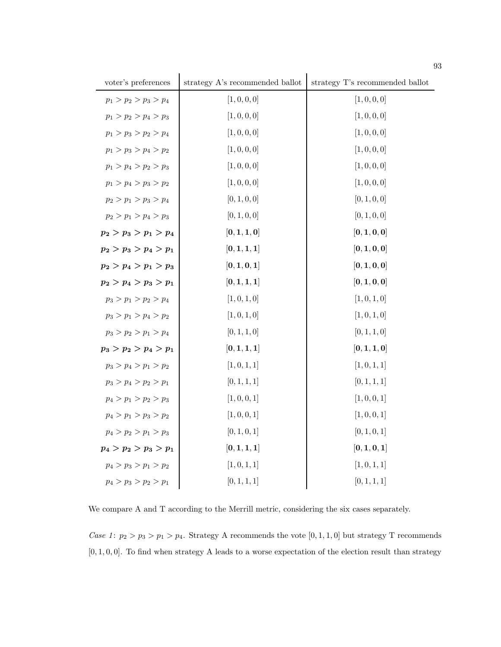| voter's preferences     | strategy A's recommended ballot | strategy T's recommended ballot |
|-------------------------|---------------------------------|---------------------------------|
| $p_1 > p_2 > p_3 > p_4$ | [1, 0, 0, 0]                    | [1, 0, 0, 0]                    |
| $p_1 > p_2 > p_4 > p_3$ | [1, 0, 0, 0]                    | [1, 0, 0, 0]                    |
| $p_1 > p_3 > p_2 > p_4$ | [1, 0, 0, 0]                    | [1, 0, 0, 0]                    |
| $p_1 > p_3 > p_4 > p_2$ | [1, 0, 0, 0]                    | [1, 0, 0, 0]                    |
| $p_1 > p_4 > p_2 > p_3$ | [1, 0, 0, 0]                    | [1, 0, 0, 0]                    |
| $p_1 > p_4 > p_3 > p_2$ | [1, 0, 0, 0]                    | [1, 0, 0, 0]                    |
| $p_2 > p_1 > p_3 > p_4$ | [0, 1, 0, 0]                    | [0, 1, 0, 0]                    |
| $p_2 > p_1 > p_4 > p_3$ | [0, 1, 0, 0]                    | [0, 1, 0, 0]                    |
| $p_2 > p_3 > p_1 > p_4$ | [0, 1, 1, 0]                    | [0, 1, 0, 0]                    |
| $p_2 > p_3 > p_4 > p_1$ | [0, 1, 1, 1]                    | [0, 1, 0, 0]                    |
| $p_2 > p_4 > p_1 > p_3$ | [0, 1, 0, 1]                    | $\bm{[0,1,0,0]}$                |
| $p_2 > p_4 > p_3 > p_1$ | [0, 1, 1, 1]                    | [0, 1, 0, 0]                    |
| $p_3 > p_1 > p_2 > p_4$ | [1, 0, 1, 0]                    | [1, 0, 1, 0]                    |
| $p_3 > p_1 > p_4 > p_2$ | [1, 0, 1, 0]                    | [1, 0, 1, 0]                    |
| $p_3 > p_2 > p_1 > p_4$ | [0, 1, 1, 0]                    | [0, 1, 1, 0]                    |
| $p_3 > p_2 > p_4 > p_1$ | [0, 1, 1, 1]                    | [0, 1, 1, 0]                    |
| $p_3 > p_4 > p_1 > p_2$ | [1, 0, 1, 1]                    | [1, 0, 1, 1]                    |
| $p_3 > p_4 > p_2 > p_1$ | [0, 1, 1, 1]                    | [0, 1, 1, 1]                    |
| $p_4 > p_1 > p_2 > p_3$ | [1, 0, 0, 1]                    | [1, 0, 0, 1]                    |
| $p_4 > p_1 > p_3 > p_2$ | [1, 0, 0, 1]                    | [1, 0, 0, 1]                    |
| $p_4 > p_2 > p_1 > p_3$ | [0, 1, 0, 1]                    | [0, 1, 0, 1]                    |
| $p_4 > p_2 > p_3 > p_1$ | [0, 1, 1, 1]                    | [0, 1, 0, 1]                    |
| $p_4 > p_3 > p_1 > p_2$ | [1, 0, 1, 1]                    | [1, 0, 1, 1]                    |
| $p_4 > p_3 > p_2 > p_1$ | [0, 1, 1, 1]                    | [0, 1, 1, 1]                    |

We compare A and T according to the Merrill metric, considering the six cases separately.

*Case 1*:  $p_2 > p_3 > p_1 > p_4$ . Strategy A recommends the vote  $[0, 1, 1, 0]$  but strategy T recommends  $[0, 1, 0, 0]$ . To find when strategy A leads to a worse expectation of the election result than strategy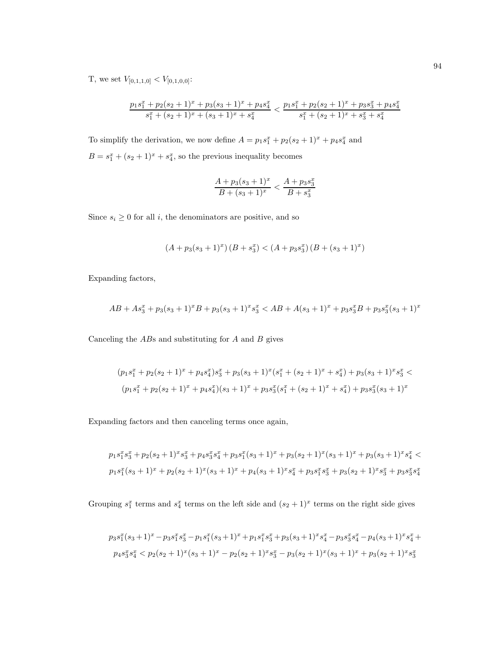T, we set  $V_{[0,1,1,0]} < V_{[0,1,0,0]}$ :

$$
\frac{p_1s_1^x + p_2(s_2+1)^x + p_3(s_3+1)^x + p_4s_4^x}{s_1^x + (s_2+1)^x + (s_3+1)^x + s_4^x} < \frac{p_1s_1^x + p_2(s_2+1)^x + p_3s_3^x + p_4s_4^x}{s_1^x + (s_2+1)^x + s_3^x + s_4^x}
$$

To simplify the derivation, we now define  $A = p_1 s_1^x + p_2(s_2 + 1)^x + p_4 s_4^x$  and  $B = s_1^x + (s_2 + 1)^x + s_4^x$ , so the previous inequality becomes

$$
\frac{A + p_3(s_3 + 1)^x}{B + (s_3 + 1)^x} < \frac{A + p_3 s_3^x}{B + s_3^x}
$$

Since  $s_i\geq 0$  for all  $i,$  the denominators are positive, and so

$$
(A + p3(s3 + 1)x) (B + s3x) < (A + p3s3x) (B + (s3 + 1)x)
$$

Expanding factors,

$$
AB + As_3^x + p_3(s_3 + 1)^x B + p_3(s_3 + 1)^x s_3^x < AB + A(s_3 + 1)^x + p_3 s_3^x B + p_3 s_3^x (s_3 + 1)^x
$$

Canceling the  $ABs$  and substituting for  $A$  and  $B$  gives

$$
(p_1s_1^x + p_2(s_2+1)^x + p_4s_4^x)s_3^x + p_3(s_3+1)^x(s_1^x + (s_2+1)^x + s_4^x) + p_3(s_3+1)^x s_3^x <
$$
  

$$
(p_1s_1^x + p_2(s_2+1)^x + p_4s_4^x)(s_3+1)^x + p_3s_3^x(s_1^x + (s_2+1)^x + s_4^x) + p_3s_3^x(s_3+1)^x
$$

Expanding factors and then canceling terms once again,

$$
p_1s_1^xs_3^x + p_2(s_2+1)^xs_3^x + p_4s_3^xs_4^x + p_3s_1^x(s_3+1)^x + p_3(s_2+1)^x(s_3+1)^x + p_3(s_3+1)^xs_4^x \n p_1s_1^x(s_3+1)^x + p_2(s_2+1)^x(s_3+1)^x + p_4(s_3+1)^xs_4^x + p_3s_1^xs_3^x + p_3(s_2+1)^xs_3^x + p_3s_3^xs_4^x
$$

Grouping  $s_1^x$  terms and  $s_4^x$  terms on the left side and  $(s_2 + 1)^x$  terms on the right side gives

$$
p_3s_1^x(s_3+1)^x - p_3s_1^xs_3^x - p_1s_1^x(s_3+1)^x + p_1s_1^xs_3^x + p_3(s_3+1)^xs_4^x - p_3s_3^xs_4^x - p_4(s_3+1)^xs_4^x +
$$
  

$$
p_4s_3^xs_4^x < p_2(s_2+1)^x(s_3+1)^x - p_2(s_2+1)^xs_3^x - p_3(s_2+1)^x(s_3+1)^x + p_3(s_2+1)^xs_3^x
$$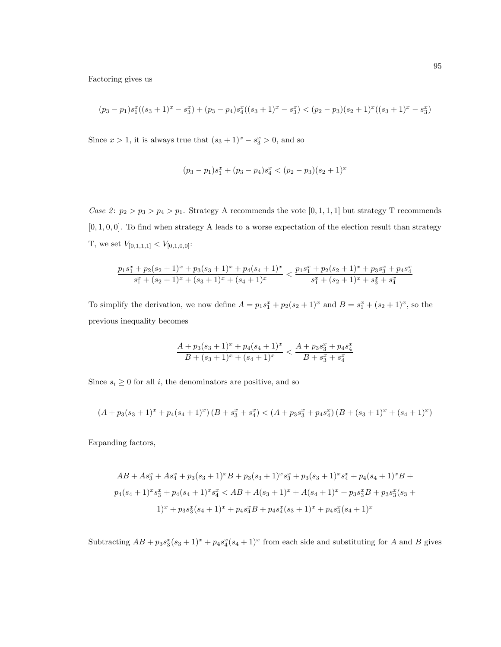Factoring gives us

$$
(p_3-p_1)s_1^x((s_3+1)^x-s_3^x)+(p_3-p_4)s_4^x((s_3+1)^x-s_3^x) < (p_2-p_3)(s_2+1)^x((s_3+1)^x-s_3^x)
$$

Since  $x > 1$ , it is always true that  $(s_3 + 1)^x - s_3^x > 0$ , and so

$$
(p_3 - p_1)s_1^x + (p_3 - p_4)s_4^x < (p_2 - p_3)(s_2 + 1)^x
$$

Case 2:  $p_2 > p_3 > p_4 > p_1$ . Strategy A recommends the vote  $[0, 1, 1, 1]$  but strategy T recommends  $[0, 1, 0, 0]$ . To find when strategy A leads to a worse expectation of the election result than strategy T, we set  $V_{[0,1,1,1]} < V_{[0,1,0,0]}$ :

$$
\frac{p_1s_1^x+p_2(s_2+1)^x+p_3(s_3+1)^x+p_4(s_4+1)^x}{s_1^x+(s_2+1)^x+(s_3+1)^x+(s_4+1)^x}<\frac{p_1s_1^x+p_2(s_2+1)^x+p_3s_3^x+p_4s_4^x}{s_1^x+(s_2+1)^x+s_3^x+s_4^x}
$$

To simplify the derivation, we now define  $A = p_1 s_1^x + p_2(s_2 + 1)^x$  and  $B = s_1^x + (s_2 + 1)^x$ , so the previous inequality becomes

$$
\frac{A+p_3(s_3+1)^x+p_4(s_4+1)^x}{B+(s_3+1)^x+(s_4+1)^x} < \frac{A+p_3s_3^x+p_4s_4^x}{B+s_3^x+s_4^x}
$$

Since  $s_i \geq 0$  for all *i*, the denominators are positive, and so

$$
\left(A+p_3(s_3+1)^x+p_4(s_4+1)^x\right)\left(B+s_3^x+s_4^x\right)<\left(A+p_3s_3^x+p_4s_4^x\right)\left(B+(s_3+1)^x+(s_4+1)^x\right)
$$

Expanding factors,

$$
AB + As_3^x + As_4^x + p_3(s_3 + 1)^x B + p_3(s_3 + 1)^x s_3^x + p_3(s_3 + 1)^x s_4^x + p_4(s_4 + 1)^x B +
$$
  
\n
$$
p_4(s_4 + 1)^x s_3^x + p_4(s_4 + 1)^x s_4^x < AB + A(s_3 + 1)^x + A(s_4 + 1)^x + p_3 s_3^x B + p_3 s_3^x (s_3 + 1)^x
$$
  
\n
$$
+ p_3 s_3^x (s_4 + 1)^x + p_4 s_4^x B + p_4 s_4^x (s_3 + 1)^x + p_4 s_4^x (s_4 + 1)^x
$$

Subtracting  $AB + p_3s_3^x(s_3 + 1)^x + p_4s_4^x(s_4 + 1)^x$  from each side and substituting for A and B gives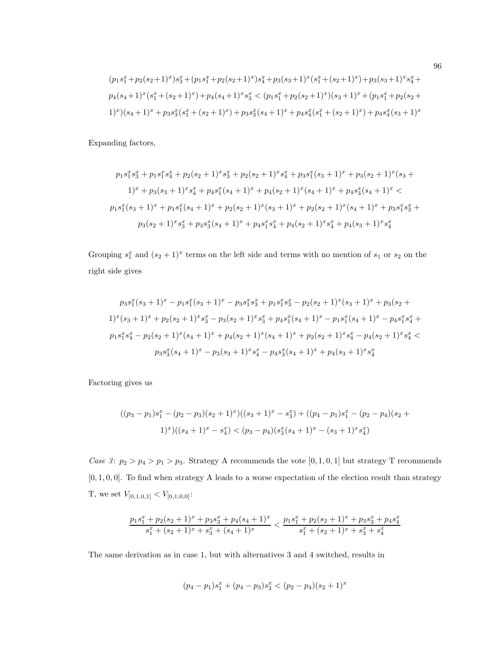$$
(p_1s_1^x+p_2(s_2+1)^x)s_3^x+(p_1s_1^x+p_2(s_2+1)^x)s_4^x+p_3(s_3+1)^x(s_1^x+(s_2+1)^x)+p_3(s_3+1)^xs_4^x+\\p_4(s_4+1)^x(s_1^x+(s_2+1)^x)+p_4(s_4+1)^xs_3^x<(p_1s_1^x+p_2(s_2+1)^x)(s_3+1)^x+(p_1s_1^x+p_2(s_2+1)^x)(s_4+1)^x+p_3s_3^x(s_1^x+(s_2+1)^x)+p_3s_3^x(s_4+1)^x+p_4s_4^x(s_1^x+(s_2+1)^x)+p_4s_4^x(s_3+1)^x
$$

Expanding factors,

$$
p_1s_1^xs_3^x + p_1s_1^xs_4^x + p_2(s_2+1)^xs_3^x + p_2(s_2+1)^xs_4^x + p_3s_1^x(s_3+1)^x + p_3(s_2+1)^x(s_3+1)^x + p_3(s_3+1)^xs_4^x + p_4s_1^x(s_4+1)^x + p_4(s_2+1)^x(s_4+1)^x + p_4s_3^x(s_4+1)^x \n p_1s_1^x(s_3+1)^x + p_1s_1^x(s_4+1)^x + p_2(s_2+1)^x(s_3+1)^x + p_2(s_2+1)^x(s_4+1)^x + p_3s_1^xs_3^x +\n p_3(s_2+1)^xs_3^x + p_3s_3^x(s_4+1)^x + p_4s_1^xs_4^x + p_4(s_2+1)^xs_4^x + p_4(s_3+1)^xs_4^x
$$

Grouping  $s_1^x$  and  $(s_2 + 1)^x$  terms on the left side and terms with no mention of  $s_1$  or  $s_2$  on the right side gives

$$
p_3s_1^x(s_3+1)^x - p_1s_1^x(s_3+1)^x - p_3s_1^xs_3^x + p_1s_1^xs_3^x - p_2(s_2+1)^x(s_3+1)^x + p_3(s_2+1)^x(s_3+1)^x + p_2(s_2+1)^xs_3^x - p_3(s_2+1)^xs_3^x + p_4s_1^x(s_4+1)^x - p_1s_1^x(s_4+1)^x - p_4s_1^xs_4^x + p_1s_1^xs_4^x - p_2(s_2+1)^x(s_4+1)^x + p_4(s_2+1)^x(s_4+1)^x + p_2(s_2+1)^xs_4^x - p_4(s_2+1)^xs_4^x p_3s_3^x(s_4+1)^x - p_3(s_3+1)^xs_4^x - p_4s_3^x(s_4+1)^x + p_4(s_3+1)^xs_4^x
$$

Factoring gives us

$$
((p_3 - p_1)s_1^x - (p_2 - p_3)(s_2 + 1)^x)((s_3 + 1)^x - s_3^x) + ((p_4 - p_1)s_1^x - (p_2 - p_4)(s_2 + 1)^x)((s_4 + 1)^x - s_4^x) < (p_3 - p_4)(s_3^x(s_4 + 1)^x - (s_3 + 1)^x s_4^x)
$$

Case 3:  $p_2 > p_4 > p_1 > p_3$ . Strategy A recommends the vote  $[0, 1, 0, 1]$  but strategy T recommends  $[0, 1, 0, 0]$ . To find when strategy A leads to a worse expectation of the election result than strategy T, we set  $V_{[0,1,0,1]} < V_{[0,1,0,0]}$ :

$$
\frac{p_1s_1^x + p_2(s_2 + 1)^x + p_3s_3^x + p_4(s_4 + 1)^x}{s_1^x + (s_2 + 1)^x + s_3^x + (s_4 + 1)^x} < \frac{p_1s_1^x + p_2(s_2 + 1)^x + p_3s_3^x + p_4s_4^x}{s_1^x + (s_2 + 1)^x + s_3^x + s_4^x}
$$

The same derivation as in case 1, but with alternatives 3 and 4 switched, results in

$$
(p_4 - p_1)s_1^x + (p_4 - p_3)s_3^x < (p_2 - p_4)(s_2 + 1)^x
$$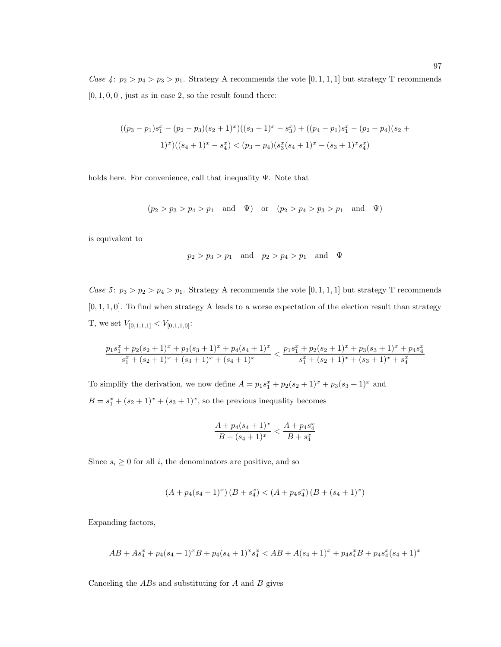Case 4:  $p_2 > p_4 > p_3 > p_1$ . Strategy A recommends the vote  $[0, 1, 1, 1]$  but strategy T recommends  $[0, 1, 0, 0]$ , just as in case 2, so the result found there:

$$
((p_3 - p_1)s_1^x - (p_2 - p_3)(s_2 + 1)^x)((s_3 + 1)^x - s_3^x) + ((p_4 - p_1)s_1^x - (p_2 - p_4)(s_2 + 1)^x)((s_4 + 1)^x - s_4^x) < (p_3 - p_4)(s_3^x(s_4 + 1)^x - (s_3 + 1)^x s_4^x)
$$

holds here. For convenience, call that inequality Ψ. Note that

 $(p_2 > p_3 > p_4 > p_1$  and  $\Psi)$  or  $(p_2 > p_4 > p_3 > p_1$  and  $\Psi)$ 

is equivalent to

$$
p_2 > p_3 > p_1
$$
 and  $p_2 > p_4 > p_1$  and  $\Psi$ 

Case 5:  $p_3 > p_2 > p_4 > p_1$ . Strategy A recommends the vote  $[0, 1, 1, 1]$  but strategy T recommends  $[0, 1, 1, 0]$ . To find when strategy A leads to a worse expectation of the election result than strategy T, we set  $V_{[0,1,1,1]} < V_{[0,1,1,0]}$ :

$$
\frac{p_1s_1^x+p_2(s_2+1)^x+p_3(s_3+1)^x+p_4(s_4+1)^x}{s_1^x+(s_2+1)^x+(s_3+1)^x+(s_4+1)^x}<\frac{p_1s_1^x+p_2(s_2+1)^x+p_3(s_3+1)^x+p_4s_4^x}{s_1^x+(s_2+1)^x+(s_3+1)^x+s_4^x}
$$

To simplify the derivation, we now define  $A = p_1 s_1^x + p_2(s_2 + 1)^x + p_3(s_3 + 1)^x$  and  $B = s_1^x + (s_2 + 1)^x + (s_3 + 1)^x$ , so the previous inequality becomes

$$
\frac{A+p_4(s_4+1)^x}{B+(s_4+1)^x} < \frac{A+p_4s_4^x}{B+s_4^x}
$$

Since  $s_i \geq 0$  for all i, the denominators are positive, and so

$$
(A + p_4(s_4 + 1)^x) (B + s_4^x) < (A + p_4 s_4^x) (B + (s_4 + 1)^x)
$$

Expanding factors,

$$
AB+As_4^x+p_4(s_4+1)^xB+p_4(s_4+1)^xs_4^x
$$

Canceling the  $ABs$  and substituting for  $A$  and  $B$  gives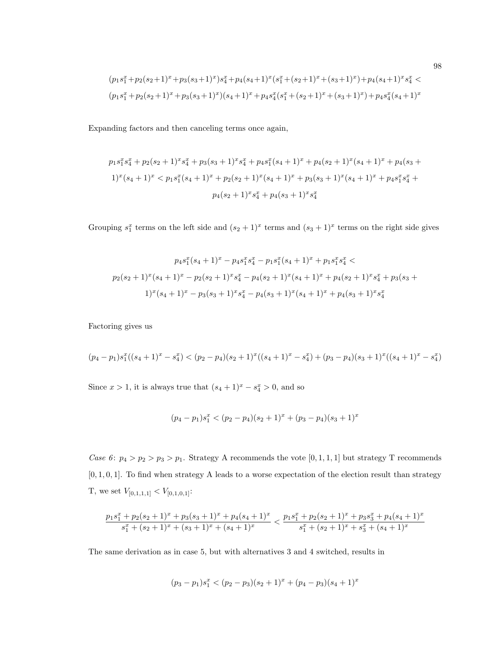$$
(p_1s_1^x+p_2(s_2+1)^x+p_3(s_3+1)^x)s_4^x+p_4(s_4+1)^x(s_1^x+(s_2+1)^x+(s_3+1)^x)+p_4(s_4+1)^xs_4^x< \\ (p_1s_1^x+p_2(s_2+1)^x+p_3(s_3+1)^x)(s_4+1)^x+p_4s_4^x(s_1^x+(s_2+1)^x+(s_3+1)^x)+p_4s_4^x(s_4+1)^x
$$

Expanding factors and then canceling terms once again,

$$
p_1s_1^xs_4^x + p_2(s_2+1)^xs_4^x + p_3(s_3+1)^xs_4^x + p_4s_1^x(s_4+1)^x + p_4(s_2+1)^x(s_4+1)^x + p_4(s_3+1)^x(s_4+1)^x < p_1s_1^x(s_4+1)^x + p_2(s_2+1)^x(s_4+1)^x + p_3(s_3+1)^x(s_4+1)^x + p_4s_1^xs_4^x + p_4(s_2+1)^xs_4^x + p_4(s_3+1)^xs_4^x
$$

Grouping  $s_1^x$  terms on the left side and  $(s_2 + 1)^x$  terms and  $(s_3 + 1)^x$  terms on the right side gives

$$
p_4s_1^x(s_4+1)^x - p_4s_1^xs_4^x - p_1s_1^x(s_4+1)^x + p_1s_1^xs_4^x p_2(s_2+1)^x(s_4+1)^x - p_2(s_2+1)^xs_4^x - p_4(s_2+1)^x(s_4+1)^x + p_4(s_2+1)^xs_4^x + p_3(s_3+1)^x(s_4+1)^x - p_3(s_3+1)^xs_4^x - p_4(s_3+1)^x(s_4+1)^x + p_4(s_3+1)^xs_4^x
$$

Factoring gives us

$$
(p_4-p_1)s_1^x((s_4+1)^x-s_4^x) < (p_2-p_4)(s_2+1)^x((s_4+1)^x-s_4^x) + (p_3-p_4)(s_3+1)^x((s_4+1)^x-s_4^x)
$$

Since  $x > 1$ , it is always true that  $(s_4 + 1)^x - s_4^x > 0$ , and so

$$
(p_4 - p_1)s_1^x < (p_2 - p_4)(s_2 + 1)^x + (p_3 - p_4)(s_3 + 1)^x
$$

Case 6:  $p_4 > p_2 > p_3 > p_1$ . Strategy A recommends the vote  $[0, 1, 1, 1]$  but strategy T recommends  $[0, 1, 0, 1]$ . To find when strategy A leads to a worse expectation of the election result than strategy T, we set  $V_{[0,1,1,1]} < V_{[0,1,0,1]}$ :

$$
\frac{p_1s_1^x + p_2(s_2+1)^x + p_3(s_3+1)^x + p_4(s_4+1)^x}{s_1^x + (s_2+1)^x + (s_3+1)^x + (s_4+1)^x} < \frac{p_1s_1^x + p_2(s_2+1)^x + p_3s_3^x + p_4(s_4+1)^x}{s_1^x + (s_2+1)^x + s_3^x + (s_4+1)^x}
$$

The same derivation as in case 5, but with alternatives 3 and 4 switched, results in

$$
(p_3 - p_1)s_1^x < (p_2 - p_3)(s_2 + 1)^x + (p_4 - p_3)(s_4 + 1)^x
$$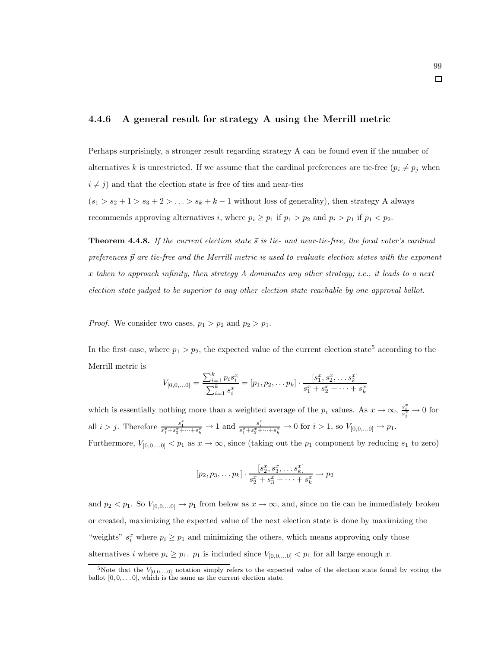### 4.4.6 A general result for strategy A using the Merrill metric

Perhaps surprisingly, a stronger result regarding strategy A can be found even if the number of alternatives k is unrestricted. If we assume that the cardinal preferences are tie-free  $(p_i \neq p_j)$  when  $i \neq j$  and that the election state is free of ties and near-ties  $(s_1 > s_2 + 1 > s_3 + 2 > \ldots > s_k + k - 1$  without loss of generality), then strategy A always recommends approving alternatives i, where  $p_i \geq p_1$  if  $p_1 > p_2$  and  $p_i > p_1$  if  $p_1 < p_2$ .

**Theorem 4.4.8.** If the current election state  $\vec{s}$  is tie- and near-tie-free, the focal voter's cardinal preferences  $\vec{p}$  are tie-free and the Merrill metric is used to evaluate election states with the exponent x taken to approach infinity, then strategy A dominates any other strategy; i.e., it leads to a next election state judged to be superior to any other election state reachable by one approval ballot.

*Proof.* We consider two cases,  $p_1 > p_2$  and  $p_2 > p_1$ .

In the first case, where  $p_1 > p_2$ , the expected value of the current election state<sup>5</sup> according to the Merrill metric is

$$
V_{[0,0,...0]} = \frac{\sum_{i=1}^{k} p_i s_i^x}{\sum_{i=1}^{k} s_i^x} = [p_1, p_2,... p_k] \cdot \frac{[s_1^x, s_2^x,... s_k^x]}{s_1^x + s_2^x + \dots + s_k^x}
$$

which is essentially nothing more than a weighted average of the  $p_i$  values. As  $x \to \infty$ ,  $\frac{s_i^x}{s_j^x} \to 0$  for all  $i > j$ . Therefore  $\frac{s_1^x}{s_1^x + s_2^x + \dots + s_k^x} \to 1$  and  $\frac{s_i^x}{s_1^x + s_2^x + \dots + s_k^x} \to 0$  for  $i > 1$ , so  $V_{[0,0,\dots 0]} \to p_1$ .

Furthermore,  $V_{[0,0,...0]} < p_1$  as  $x \to \infty$ , since (taking out the  $p_1$  component by reducing  $s_1$  to zero)

$$
[p_2, p_3, \dots p_k] \cdot \frac{[s_2^x, s_3^x, \dots s_k^x]}{s_2^x + s_3^x + \dots + s_k^x} \to p_2
$$

and  $p_2 < p_1$ . So  $V_{[0,0,...0]} \to p_1$  from below as  $x \to \infty$ , and, since no tie can be immediately broken or created, maximizing the expected value of the next election state is done by maximizing the "weights"  $s_i^x$  where  $p_i \geq p_1$  and minimizing the others, which means approving only those alternatives i where  $p_i \geq p_1$ .  $p_1$  is included since  $V_{[0,0,...0]} < p_1$  for all large enough x.

<sup>&</sup>lt;sup>5</sup>Note that the  $V_{[0,0,...0]}$  notation simply refers to the expected value of the election state found by voting the ballot  $[0, 0, \ldots 0]$ , which is the same as the current election state.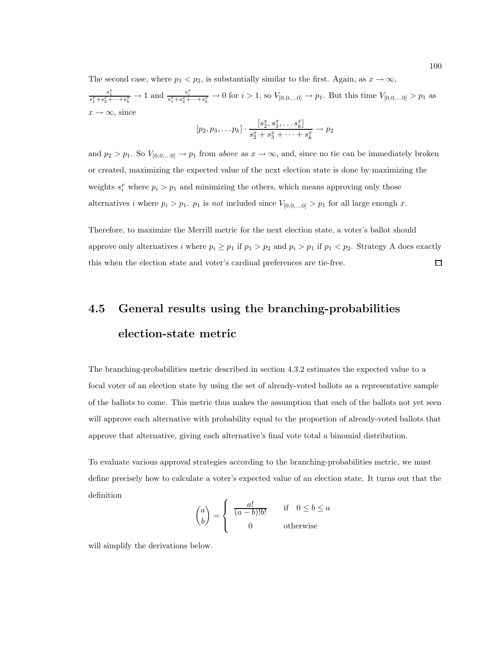The second case, where  $p_1 < p_2$ , is substantially similar to the first. Again, as  $x \to \infty$ ,  $\frac{s_1^x}{s_1^x+s_2^x+\cdots+s_k^x} \to 1$  and  $\frac{s_i^x}{s_1^x+s_2^x+\cdots+s_k^x} \to 0$  for  $i>1$ , so  $V_{[0,0,...0]} \to p_1$ . But this time  $V_{[0,0,...0]} > p_1$  as  $x \to \infty$ , since

$$
[p_2, p_3, \dots p_k] \cdot \frac{[s_2^x, s_3^x, \dots s_k^x]}{s_2^x + s_3^x + \dots + s_k^x} \to p_2
$$

and  $p_2 > p_1$ . So  $V_{[0,0,...0]} \to p_1$  from above as  $x \to \infty$ , and, since no tie can be immediately broken or created, maximizing the expected value of the next election state is done by maximizing the weights  $s_i^x$  where  $p_i > p_1$  and minimizing the others, which means approving only those alternatives i where  $p_i > p_1$ .  $p_1$  is not included since  $V_{[0,0,...0]} > p_1$  for all large enough x.

Therefore, to maximize the Merrill metric for the next election state, a voter's ballot should approve only alternatives i where  $p_i \geq p_1$  if  $p_1 > p_2$  and  $p_i > p_1$  if  $p_1 < p_2$ . Strategy A does exactly this when the election state and voter's cardinal preferences are tie-free.  $\Box$ 

# 4.5 General results using the branching-probabilities election-state metric

The branching-probabilities metric described in section 4.3.2 estimates the expected value to a focal voter of an election state by using the set of already-voted ballots as a representative sample of the ballots to come. This metric thus makes the assumption that each of the ballots not yet seen will approve each alternative with probability equal to the proportion of already-voted ballots that approve that alternative, giving each alternative's final vote total a binomial distribution.

To evaluate various approval strategies according to the branching-probabilities metric, we must define precisely how to calculate a voter's expected value of an election state. It turns out that the definition

$$
\binom{a}{b} = \begin{cases} \frac{a!}{(a-b)!b!} & \text{if } 0 \le b \le a\\ 0 & \text{otherwise} \end{cases}
$$

will simplify the derivations below.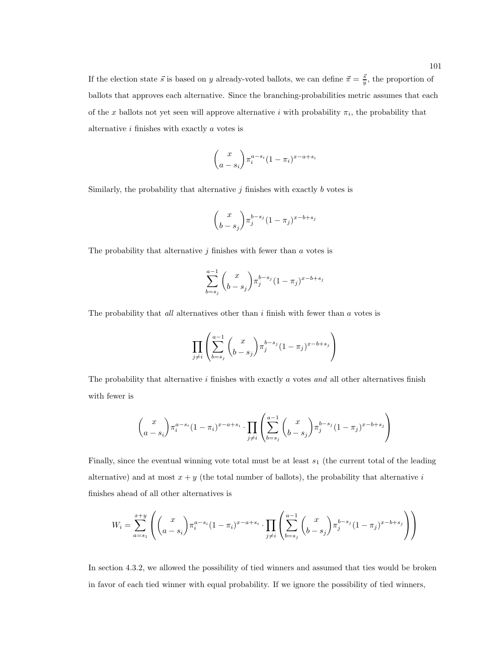If the election state  $\vec{s}$  is based on y already-voted ballots, we can define  $\vec{\pi} = \frac{\vec{s}}{y}$ , the proportion of ballots that approves each alternative. Since the branching-probabilities metric assumes that each of the x ballots not yet seen will approve alternative i with probability  $\pi_i$ , the probability that alternative i finishes with exactly a votes is

$$
\binom{x}{a-s_i} \pi_i^{a-s_i} (1-\pi_i)^{x-a+s_i}
$$

Similarly, the probability that alternative  $j$  finishes with exactly  $b$  votes is

$$
\binom{x}{b-s_j}\pi_j^{b-s_j}(1-\pi_j)^{x-b+s_j}
$$

The probability that alternative  $j$  finishes with fewer than  $a$  votes is

$$
\sum_{b=s_j}^{a-1} {x \choose b-s_j} \pi_j^{b-s_j} (1-\pi_j)^{x-b+s_j}
$$

The probability that *all* alternatives other than  $i$  finish with fewer than  $a$  votes is

$$
\prod_{j\neq i}\left(\sum_{b=s_j}^{a-1}\binom{x}{b-s_j}\pi_j^{b-s_j}(1-\pi_j)^{x-b+s_j}\right)
$$

The probability that alternative  $i$  finishes with exactly  $a$  votes and all other alternatives finish with fewer is

$$
\binom{x}{a-s_i} \pi_i^{a-s_i} (1-\pi_i)^{x-a+s_i} \cdot \prod_{j \neq i} \left( \sum_{b=s_j}^{a-1} \binom{x}{b-s_j} \pi_j^{b-s_j} (1-\pi_j)^{x-b+s_j} \right)
$$

Finally, since the eventual winning vote total must be at least  $s_1$  (the current total of the leading alternative) and at most  $x + y$  (the total number of ballots), the probability that alternative  $i$ finishes ahead of all other alternatives is

$$
W_i = \sum_{a=s_1}^{x+y} \left( \binom{x}{a-s_i} \pi_i^{a-s_i} (1-\pi_i)^{x-a+s_i} \cdot \prod_{j \neq i} \left( \sum_{b=s_j}^{a-1} \binom{x}{b-s_j} \pi_j^{b-s_j} (1-\pi_j)^{x-b+s_j} \right) \right)
$$

In section 4.3.2, we allowed the possibility of tied winners and assumed that ties would be broken in favor of each tied winner with equal probability. If we ignore the possibility of tied winners,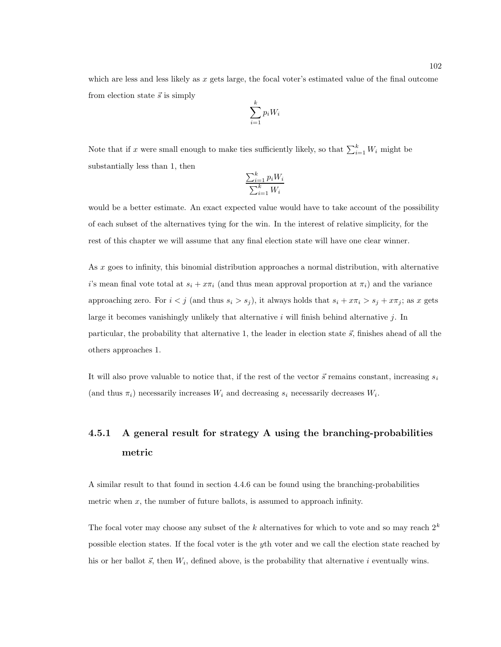which are less and less likely as x gets large, the focal voter's estimated value of the final outcome from election state  $\vec{s}$  is simply

$$
\sum_{i=1}^{k} p_i W_i
$$

Note that if x were small enough to make ties sufficiently likely, so that  $\sum_{i=1}^{k} W_i$  might be substantially less than 1, then

$$
\frac{\sum_{i=1}^{k} p_i W_i}{\sum_{i=1}^{k} W_i}
$$

would be a better estimate. An exact expected value would have to take account of the possibility of each subset of the alternatives tying for the win. In the interest of relative simplicity, for the rest of this chapter we will assume that any final election state will have one clear winner.

As x goes to infinity, this binomial distribution approaches a normal distribution, with alternative i's mean final vote total at  $s_i + x\pi_i$  (and thus mean approval proportion at  $\pi_i$ ) and the variance approaching zero. For  $i < j$  (and thus  $s_i > s_j$ ), it always holds that  $s_i + x\pi_i > s_j + x\pi_j$ ; as x gets large it becomes vanishingly unlikely that alternative  $i$  will finish behind alternative  $j$ . In particular, the probability that alternative 1, the leader in election state  $\vec{s}$ , finishes ahead of all the others approaches 1.

It will also prove valuable to notice that, if the rest of the vector  $\vec{s}$  remains constant, increasing  $s_i$ (and thus  $\pi_i$ ) necessarily increases  $W_i$  and decreasing  $s_i$  necessarily decreases  $W_i$ .

# 4.5.1 A general result for strategy A using the branching-probabilities metric

A similar result to that found in section 4.4.6 can be found using the branching-probabilities metric when  $x$ , the number of future ballots, is assumed to approach infinity.

The focal voter may choose any subset of the k alternatives for which to vote and so may reach  $2^k$ possible election states. If the focal voter is the yth voter and we call the election state reached by his or her ballot  $\vec{s}$ , then  $W_i$ , defined above, is the probability that alternative i eventually wins.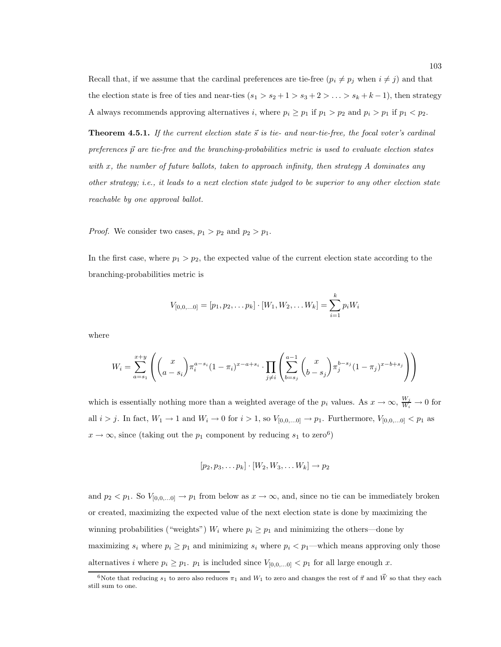Recall that, if we assume that the cardinal preferences are tie-free  $(p_i \neq p_j$  when  $i \neq j)$  and that the election state is free of ties and near-ties  $(s_1 > s_2 + 1 > s_3 + 2 > \ldots > s_k + k - 1)$ , then strategy A always recommends approving alternatives i, where  $p_i \geq p_1$  if  $p_1 > p_2$  and  $p_i > p_1$  if  $p_1 < p_2$ .

**Theorem 4.5.1.** If the current election state  $\vec{s}$  is tie- and near-tie-free, the focal voter's cardinal preferences  $\vec{p}$  are tie-free and the branching-probabilities metric is used to evaluate election states with x, the number of future ballots, taken to approach infinity, then strategy  $A$  dominates any other strategy; i.e., it leads to a next election state judged to be superior to any other election state reachable by one approval ballot.

*Proof.* We consider two cases,  $p_1 > p_2$  and  $p_2 > p_1$ .

In the first case, where  $p_1 > p_2$ , the expected value of the current election state according to the branching-probabilities metric is

$$
V_{[0,0,...0]} = [p_1, p_2,... p_k] \cdot [W_1, W_2,... W_k] = \sum_{i=1}^k p_i W_i
$$

where

$$
W_i = \sum_{a=s_1}^{x+y} \left( \binom{x}{a-s_i} \pi_i^{a-s_i} (1-\pi_i)^{x-a+s_i} \cdot \prod_{j \neq i} \left( \sum_{b=s_j}^{a-1} \binom{x}{b-s_j} \pi_j^{b-s_j} (1-\pi_j)^{x-b+s_j} \right) \right)
$$

which is essentially nothing more than a weighted average of the  $p_i$  values. As  $x \to \infty$ ,  $\frac{W_j}{W_i} \to 0$  for all  $i > j$ . In fact,  $W_1 \rightarrow 1$  and  $W_i \rightarrow 0$  for  $i > 1$ , so  $V_{[0,0,...0]} \rightarrow p_1$ . Furthermore,  $V_{[0,0,...0]} < p_1$  as  $x \to \infty$ , since (taking out the  $p_1$  component by reducing  $s_1$  to zero<sup>6</sup>)

$$
[p_2, p_3, \ldots p_k] \cdot [W_2, W_3, \ldots W_k] \rightarrow p_2
$$

and  $p_2 < p_1$ . So  $V_{[0,0,...0]} \to p_1$  from below as  $x \to \infty$ , and, since no tie can be immediately broken or created, maximizing the expected value of the next election state is done by maximizing the winning probabilities ("weights")  $W_i$  where  $p_i \geq p_1$  and minimizing the others—done by maximizing  $s_i$  where  $p_i \geq p_1$  and minimizing  $s_i$  where  $p_i < p_1$ —which means approving only those alternatives i where  $p_i \geq p_1$ .  $p_1$  is included since  $V_{[0,0,...0]} < p_1$  for all large enough x.

<sup>&</sup>lt;sup>6</sup>Note that reducing s<sub>1</sub> to zero also reduces  $\pi_1$  and  $W_1$  to zero and changes the rest of  $\vec{\pi}$  and  $\vec{W}$  so that they each still sum to one.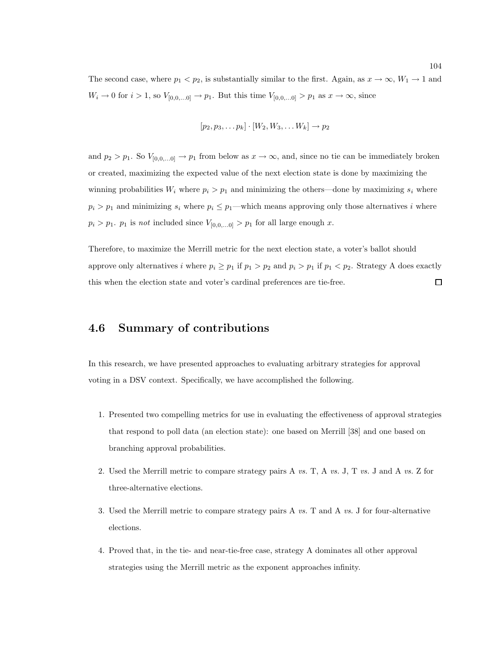The second case, where  $p_1 < p_2$ , is substantially similar to the first. Again, as  $x \to \infty$ ,  $W_1 \to 1$  and  $W_i \to 0$  for  $i > 1$ , so  $V_{[0,0,...0]} \to p_1$ . But this time  $V_{[0,0,...0]} > p_1$  as  $x \to \infty$ , since

$$
[p_2, p_3, \ldots p_k] \cdot [W_2, W_3, \ldots W_k] \rightarrow p_2
$$

and  $p_2 > p_1$ . So  $V_{[0,0,...0]} \to p_1$  from below as  $x \to \infty$ , and, since no tie can be immediately broken or created, maximizing the expected value of the next election state is done by maximizing the winning probabilities  $W_i$  where  $p_i > p_1$  and minimizing the others—done by maximizing  $s_i$  where  $p_i > p_1$  and minimizing  $s_i$  where  $p_i \leq p_1$ —which means approving only those alternatives i where  $p_i > p_1$ .  $p_1$  is not included since  $V_{[0,0,...0]} > p_1$  for all large enough x.

Therefore, to maximize the Merrill metric for the next election state, a voter's ballot should approve only alternatives i where  $p_i \geq p_1$  if  $p_1 > p_2$  and  $p_i > p_1$  if  $p_1 < p_2$ . Strategy A does exactly this when the election state and voter's cardinal preferences are tie-free.  $\Box$ 

## 4.6 Summary of contributions

In this research, we have presented approaches to evaluating arbitrary strategies for approval voting in a DSV context. Specifically, we have accomplished the following.

- 1. Presented two compelling metrics for use in evaluating the effectiveness of approval strategies that respond to poll data (an election state): one based on Merrill [38] and one based on branching approval probabilities.
- 2. Used the Merrill metric to compare strategy pairs A vs. T, A vs. J, T vs. J and A vs. Z for three-alternative elections.
- 3. Used the Merrill metric to compare strategy pairs A vs. T and A vs. J for four-alternative elections.
- 4. Proved that, in the tie- and near-tie-free case, strategy A dominates all other approval strategies using the Merrill metric as the exponent approaches infinity.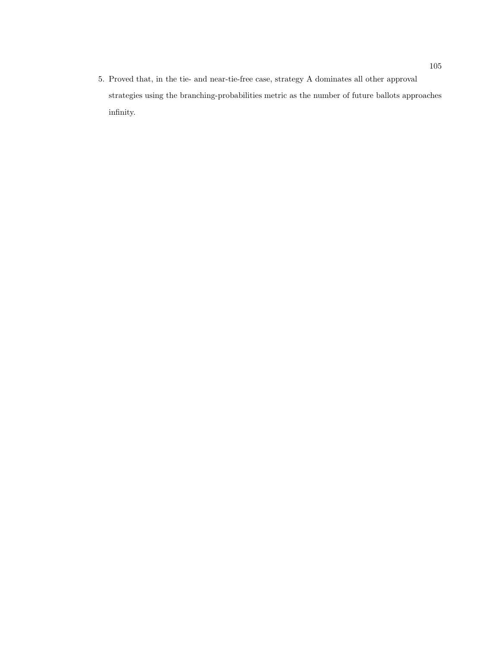5. Proved that, in the tie- and near-tie-free case, strategy A dominates all other approval strategies using the branching-probabilities metric as the number of future ballots approaches infinity.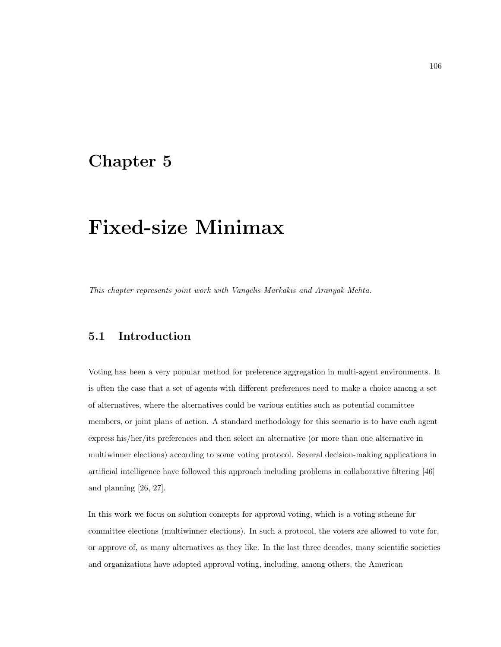# Chapter 5

# Fixed-size Minimax

This chapter represents joint work with Vangelis Markakis and Aranyak Mehta.

## 5.1 Introduction

Voting has been a very popular method for preference aggregation in multi-agent environments. It is often the case that a set of agents with different preferences need to make a choice among a set of alternatives, where the alternatives could be various entities such as potential committee members, or joint plans of action. A standard methodology for this scenario is to have each agent express his/her/its preferences and then select an alternative (or more than one alternative in multiwinner elections) according to some voting protocol. Several decision-making applications in artificial intelligence have followed this approach including problems in collaborative filtering [46] and planning [26, 27].

In this work we focus on solution concepts for approval voting, which is a voting scheme for committee elections (multiwinner elections). In such a protocol, the voters are allowed to vote for, or approve of, as many alternatives as they like. In the last three decades, many scientific societies and organizations have adopted approval voting, including, among others, the American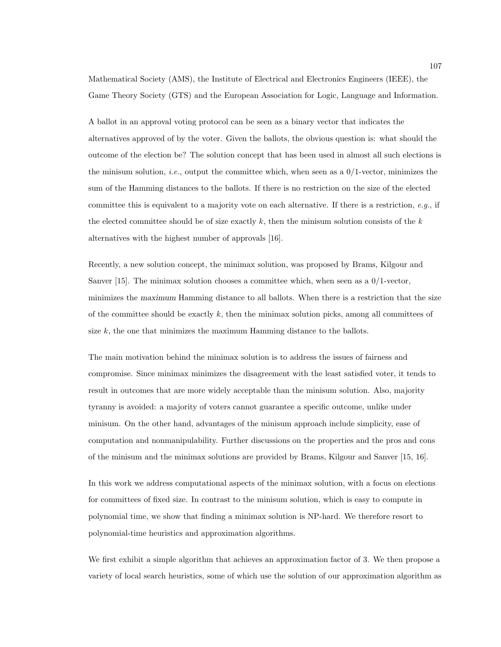Mathematical Society (AMS), the Institute of Electrical and Electronics Engineers (IEEE), the Game Theory Society (GTS) and the European Association for Logic, Language and Information.

A ballot in an approval voting protocol can be seen as a binary vector that indicates the alternatives approved of by the voter. Given the ballots, the obvious question is: what should the outcome of the election be? The solution concept that has been used in almost all such elections is the minisum solution, *i.e.*, output the committee which, when seen as a  $0/1$ -vector, minimizes the sum of the Hamming distances to the ballots. If there is no restriction on the size of the elected committee this is equivalent to a majority vote on each alternative. If there is a restriction,  $e.g.,$  if the elected committee should be of size exactly k, then the minisum solution consists of the  $k$ alternatives with the highest number of approvals [16].

Recently, a new solution concept, the minimax solution, was proposed by Brams, Kilgour and Sanver [15]. The minimax solution chooses a committee which, when seen as a  $0/1$ -vector, minimizes the maximum Hamming distance to all ballots. When there is a restriction that the size of the committee should be exactly  $k$ , then the minimax solution picks, among all committees of size  $k$ , the one that minimizes the maximum Hamming distance to the ballots.

The main motivation behind the minimax solution is to address the issues of fairness and compromise. Since minimax minimizes the disagreement with the least satisfied voter, it tends to result in outcomes that are more widely acceptable than the minisum solution. Also, majority tyranny is avoided: a majority of voters cannot guarantee a specific outcome, unlike under minisum. On the other hand, advantages of the minisum approach include simplicity, ease of computation and nonmanipulability. Further discussions on the properties and the pros and cons of the minisum and the minimax solutions are provided by Brams, Kilgour and Sanver [15, 16].

In this work we address computational aspects of the minimax solution, with a focus on elections for committees of fixed size. In contrast to the minisum solution, which is easy to compute in polynomial time, we show that finding a minimax solution is NP-hard. We therefore resort to polynomial-time heuristics and approximation algorithms.

We first exhibit a simple algorithm that achieves an approximation factor of 3. We then propose a variety of local search heuristics, some of which use the solution of our approximation algorithm as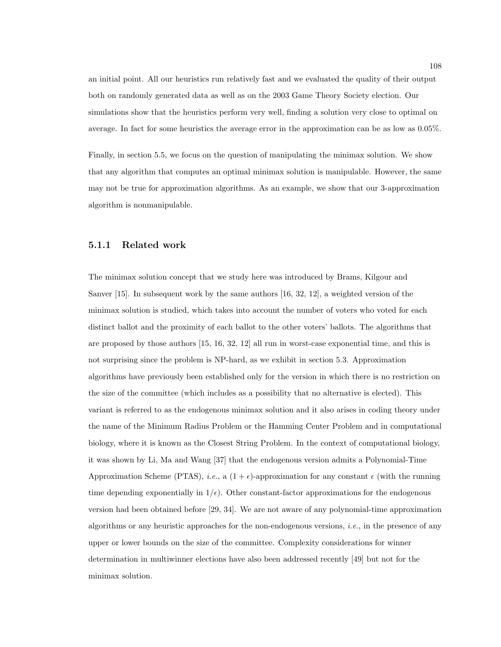an initial point. All our heuristics run relatively fast and we evaluated the quality of their output both on randomly generated data as well as on the 2003 Game Theory Society election. Our simulations show that the heuristics perform very well, finding a solution very close to optimal on average. In fact for some heuristics the average error in the approximation can be as low as 0.05%.

Finally, in section 5.5, we focus on the question of manipulating the minimax solution. We show that any algorithm that computes an optimal minimax solution is manipulable. However, the same may not be true for approximation algorithms. As an example, we show that our 3-approximation algorithm is nonmanipulable.

### 5.1.1 Related work

The minimax solution concept that we study here was introduced by Brams, Kilgour and Sanver [15]. In subsequent work by the same authors [16, 32, 12], a weighted version of the minimax solution is studied, which takes into account the number of voters who voted for each distinct ballot and the proximity of each ballot to the other voters' ballots. The algorithms that are proposed by those authors [15, 16, 32, 12] all run in worst-case exponential time, and this is not surprising since the problem is NP-hard, as we exhibit in section 5.3. Approximation algorithms have previously been established only for the version in which there is no restriction on the size of the committee (which includes as a possibility that no alternative is elected). This variant is referred to as the endogenous minimax solution and it also arises in coding theory under the name of the Minimum Radius Problem or the Hamming Center Problem and in computational biology, where it is known as the Closest String Problem. In the context of computational biology, it was shown by Li, Ma and Wang [37] that the endogenous version admits a Polynomial-Time Approximation Scheme (PTAS), *i.e.*, a  $(1 + \epsilon)$ -approximation for any constant  $\epsilon$  (with the running time depending exponentially in  $1/\epsilon$ ). Other constant-factor approximations for the endogenous version had been obtained before [29, 34]. We are not aware of any polynomial-time approximation algorithms or any heuristic approaches for the non-endogenous versions, i.e., in the presence of any upper or lower bounds on the size of the committee. Complexity considerations for winner determination in multiwinner elections have also been addressed recently [49] but not for the minimax solution.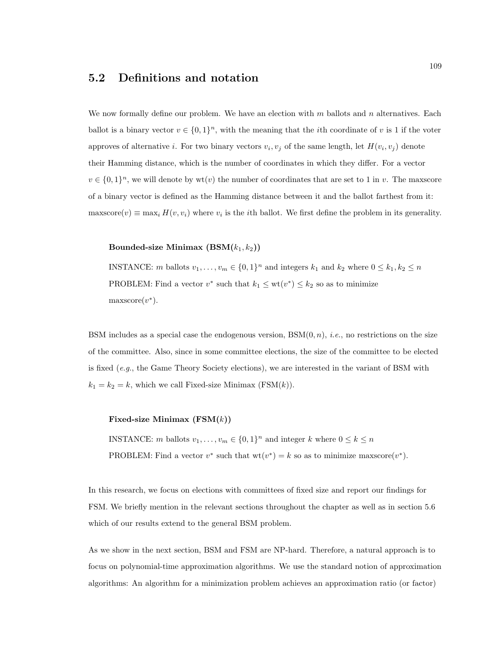## 5.2 Definitions and notation

We now formally define our problem. We have an election with  $m$  ballots and  $n$  alternatives. Each ballot is a binary vector  $v \in \{0,1\}^n$ , with the meaning that the *i*th coordinate of v is 1 if the voter approves of alternative *i*. For two binary vectors  $v_i, v_j$  of the same length, let  $H(v_i, v_j)$  denote their Hamming distance, which is the number of coordinates in which they differ. For a vector  $v \in \{0,1\}^n$ , we will denote by  $wt(v)$  the number of coordinates that are set to 1 in v. The maxscore of a binary vector is defined as the Hamming distance between it and the ballot farthest from it: maxscore(v)  $\equiv$  max<sub>i</sub>  $H(v, v_i)$  where  $v_i$  is the *i*<sup>th</sup> ballot. We first define the problem in its generality.

#### Bounded-size Minimax  $(BSM(k_1, k_2))$

INSTANCE: *m* ballots  $v_1, \ldots, v_m \in \{0, 1\}^n$  and integers  $k_1$  and  $k_2$  where  $0 \le k_1, k_2 \le n$ PROBLEM: Find a vector  $v^*$  such that  $k_1 \leq \text{wt}(v^*) \leq k_2$  so as to minimize  $maxscore(v^*)$ .

BSM includes as a special case the endogenous version,  $BSM(0, n)$ , *i.e.*, no restrictions on the size of the committee. Also, since in some committee elections, the size of the committee to be elected is fixed  $(e.g., the Game Theory Society, we are interested in the variant of BSM with$  $k_1 = k_2 = k$ , which we call Fixed-size Minimax (FSM(k)).

#### Fixed-size Minimax  $(FSM(k))$

INSTANCE: *m* ballots  $v_1, \ldots, v_m \in \{0, 1\}^n$  and integer k where  $0 \le k \le n$ PROBLEM: Find a vector  $v^*$  such that  $wt(v^*) = k$  so as to minimize maxscore $(v^*)$ .

In this research, we focus on elections with committees of fixed size and report our findings for FSM. We briefly mention in the relevant sections throughout the chapter as well as in section 5.6 which of our results extend to the general BSM problem.

As we show in the next section, BSM and FSM are NP-hard. Therefore, a natural approach is to focus on polynomial-time approximation algorithms. We use the standard notion of approximation algorithms: An algorithm for a minimization problem achieves an approximation ratio (or factor)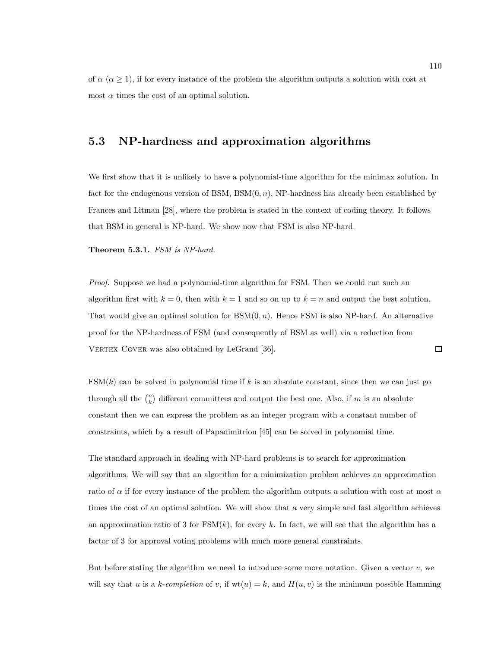of  $\alpha$  ( $\alpha \geq 1$ ), if for every instance of the problem the algorithm outputs a solution with cost at most  $\alpha$  times the cost of an optimal solution.

# 5.3 NP-hardness and approximation algorithms

We first show that it is unlikely to have a polynomial-time algorithm for the minimax solution. In fact for the endogenous version of BSM,  $BSM(0, n)$ , NP-hardness has already been established by Frances and Litman [28], where the problem is stated in the context of coding theory. It follows that BSM in general is NP-hard. We show now that FSM is also NP-hard.

Theorem 5.3.1. FSM is NP-hard.

Proof. Suppose we had a polynomial-time algorithm for FSM. Then we could run such an algorithm first with  $k = 0$ , then with  $k = 1$  and so on up to  $k = n$  and output the best solution. That would give an optimal solution for  $BSM(0, n)$ . Hence FSM is also NP-hard. An alternative proof for the NP-hardness of FSM (and consequently of BSM as well) via a reduction from VERTEX COVER was also obtained by LeGrand [36].  $\Box$ 

 $FSM(k)$  can be solved in polynomial time if k is an absolute constant, since then we can just go through all the  $\binom{n}{k}$  different committees and output the best one. Also, if m is an absolute constant then we can express the problem as an integer program with a constant number of constraints, which by a result of Papadimitriou [45] can be solved in polynomial time.

The standard approach in dealing with NP-hard problems is to search for approximation algorithms. We will say that an algorithm for a minimization problem achieves an approximation ratio of  $\alpha$  if for every instance of the problem the algorithm outputs a solution with cost at most  $\alpha$ times the cost of an optimal solution. We will show that a very simple and fast algorithm achieves an approximation ratio of 3 for  $FSM(k)$ , for every k. In fact, we will see that the algorithm has a factor of 3 for approval voting problems with much more general constraints.

But before stating the algorithm we need to introduce some more notation. Given a vector  $v$ , we will say that u is a k-completion of v, if  $wt(u) = k$ , and  $H(u, v)$  is the minimum possible Hamming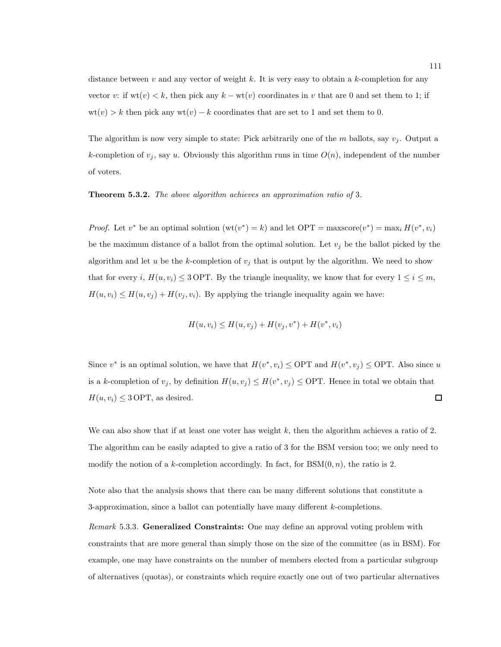distance between v and any vector of weight k. It is very easy to obtain a k-completion for any vector v: if  $wt(v) < k$ , then pick any  $k - wt(v)$  coordinates in v that are 0 and set them to 1; if  $wt(v) > k$  then pick any  $wt(v) - k$  coordinates that are set to 1 and set them to 0.

The algorithm is now very simple to state: Pick arbitrarily one of the m ballots, say  $v_i$ . Output a k-completion of  $v_j$ , say u. Obviously this algorithm runs in time  $O(n)$ , independent of the number of voters.

Theorem 5.3.2. The above algorithm achieves an approximation ratio of 3.

*Proof.* Let  $v^*$  be an optimal solution  $(\text{wt}(v^*) = k)$  and let OPT = maxscore $(v^*)$  = max<sub>i</sub>  $H(v^*, v_i)$ be the maximum distance of a ballot from the optimal solution. Let  $v_j$  be the ballot picked by the algorithm and let  $u$  be the  $k$ -completion of  $v_j$  that is output by the algorithm. We need to show that for every i,  $H(u, v_i) \leq 3$  OPT. By the triangle inequality, we know that for every  $1 \leq i \leq m$ ,  $H(u, v_i) \leq H(u, v_j) + H(v_j, v_i)$ . By applying the triangle inequality again we have:

$$
H(u, v_i) \le H(u, v_j) + H(v_j, v^*) + H(v^*, v_i)
$$

Since  $v^*$  is an optimal solution, we have that  $H(v^*, v_i) \leq \text{OPT}$  and  $H(v^*, v_j) \leq \text{OPT}$ . Also since u is a k-completion of  $v_j$ , by definition  $H(u, v_j) \leq H(v^*, v_j) \leq \text{OPT}$ . Hence in total we obtain that  $H(u, v_i) \leq 3$  OPT, as desired.  $\Box$ 

We can also show that if at least one voter has weight  $k$ , then the algorithm achieves a ratio of 2. The algorithm can be easily adapted to give a ratio of 3 for the BSM version too; we only need to modify the notion of a k-completion accordingly. In fact, for  $BSM(0, n)$ , the ratio is 2.

Note also that the analysis shows that there can be many different solutions that constitute a 3-approximation, since a ballot can potentially have many different k-completions.

Remark 5.3.3. Generalized Constraints: One may define an approval voting problem with constraints that are more general than simply those on the size of the committee (as in BSM). For example, one may have constraints on the number of members elected from a particular subgroup of alternatives (quotas), or constraints which require exactly one out of two particular alternatives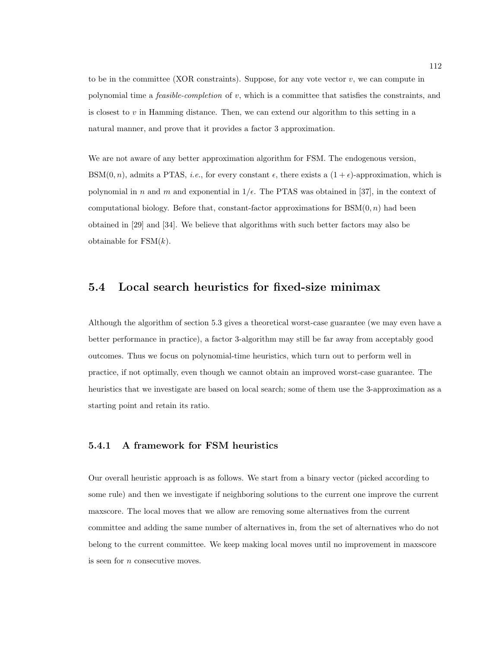to be in the committee (XOR constraints). Suppose, for any vote vector  $v$ , we can compute in polynomial time a feasible-completion of v, which is a committee that satisfies the constraints, and is closest to  $v$  in Hamming distance. Then, we can extend our algorithm to this setting in a natural manner, and prove that it provides a factor 3 approximation.

We are not aware of any better approximation algorithm for FSM. The endogenous version, BSM $(0, n)$ , admits a PTAS, *i.e.*, for every constant  $\epsilon$ , there exists a  $(1 + \epsilon)$ -approximation, which is polynomial in n and m and exponential in  $1/\epsilon$ . The PTAS was obtained in [37], in the context of computational biology. Before that, constant-factor approximations for  $BSM(0, n)$  had been obtained in [29] and [34]. We believe that algorithms with such better factors may also be obtainable for  $\text{FSM}(k)$ .

## 5.4 Local search heuristics for fixed-size minimax

Although the algorithm of section 5.3 gives a theoretical worst-case guarantee (we may even have a better performance in practice), a factor 3-algorithm may still be far away from acceptably good outcomes. Thus we focus on polynomial-time heuristics, which turn out to perform well in practice, if not optimally, even though we cannot obtain an improved worst-case guarantee. The heuristics that we investigate are based on local search; some of them use the 3-approximation as a starting point and retain its ratio.

### 5.4.1 A framework for FSM heuristics

Our overall heuristic approach is as follows. We start from a binary vector (picked according to some rule) and then we investigate if neighboring solutions to the current one improve the current maxscore. The local moves that we allow are removing some alternatives from the current committee and adding the same number of alternatives in, from the set of alternatives who do not belong to the current committee. We keep making local moves until no improvement in maxscore is seen for n consecutive moves.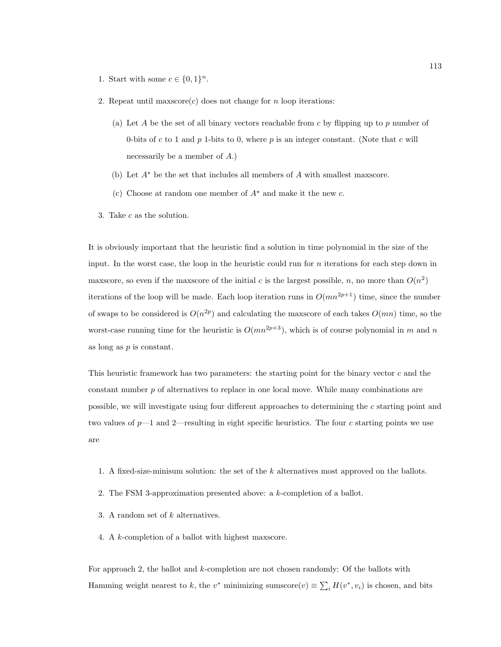- 1. Start with some  $c \in \{0,1\}^n$ .
- 2. Repeat until maxscore $(c)$  does not change for n loop iterations:
	- (a) Let A be the set of all binary vectors reachable from c by flipping up to p number of 0-bits of c to 1 and p 1-bits to 0, where p is an integer constant. (Note that c will necessarily be a member of A.)
	- (b) Let  $A^*$  be the set that includes all members of A with smallest maxscore.
	- (c) Choose at random one member of  $A^*$  and make it the new c.
- 3. Take c as the solution.

It is obviously important that the heuristic find a solution in time polynomial in the size of the input. In the worst case, the loop in the heuristic could run for  $n$  iterations for each step down in maxscore, so even if the maxscore of the initial c is the largest possible, n, no more than  $O(n^2)$ iterations of the loop will be made. Each loop iteration runs in  $O(mn^{2p+1})$  time, since the number of swaps to be considered is  $O(n^{2p})$  and calculating the maxscore of each takes  $O(mn)$  time, so the worst-case running time for the heuristic is  $O(mn^{2p+3})$ , which is of course polynomial in m and n as long as  $p$  is constant.

This heuristic framework has two parameters: the starting point for the binary vector  $c$  and the constant number p of alternatives to replace in one local move. While many combinations are possible, we will investigate using four different approaches to determining the c starting point and two values of  $p-1$  and 2—resulting in eight specific heuristics. The four c starting points we use are

- 1. A fixed-size-minisum solution: the set of the k alternatives most approved on the ballots.
- 2. The FSM 3-approximation presented above: a k-completion of a ballot.
- 3. A random set of k alternatives.
- 4. A k-completion of a ballot with highest maxscore.

For approach 2, the ballot and k-completion are not chosen randomly: Of the ballots with Hamming weight nearest to k, the  $v^*$  minimizing sumscore $(v) \equiv \sum_i H(v^*, v_i)$  is chosen, and bits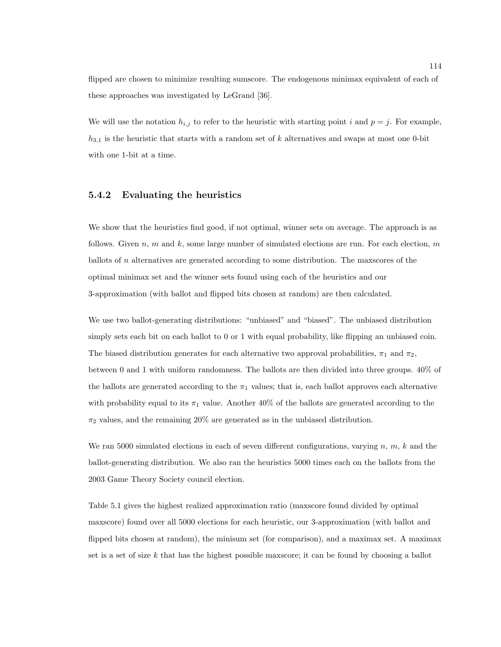flipped are chosen to minimize resulting sumscore. The endogenous minimax equivalent of each of these approaches was investigated by LeGrand [36].

We will use the notation  $h_{i,j}$  to refer to the heuristic with starting point i and  $p = j$ . For example,  $h_{3,1}$  is the heuristic that starts with a random set of k alternatives and swaps at most one 0-bit with one 1-bit at a time.

### 5.4.2 Evaluating the heuristics

We show that the heuristics find good, if not optimal, winner sets on average. The approach is as follows. Given n, m and k, some large number of simulated elections are run. For each election, m ballots of n alternatives are generated according to some distribution. The maxscores of the optimal minimax set and the winner sets found using each of the heuristics and our 3-approximation (with ballot and flipped bits chosen at random) are then calculated.

We use two ballot-generating distributions: "unbiased" and "biased". The unbiased distribution simply sets each bit on each ballot to 0 or 1 with equal probability, like flipping an unbiased coin. The biased distribution generates for each alternative two approval probabilities,  $\pi_1$  and  $\pi_2$ , between 0 and 1 with uniform randomness. The ballots are then divided into three groups. 40% of the ballots are generated according to the  $\pi_1$  values; that is, each ballot approves each alternative with probability equal to its  $\pi_1$  value. Another 40% of the ballots are generated according to the  $\pi_2$  values, and the remaining 20% are generated as in the unbiased distribution.

We ran 5000 simulated elections in each of seven different configurations, varying n, m, k and the ballot-generating distribution. We also ran the heuristics 5000 times each on the ballots from the 2003 Game Theory Society council election.

Table 5.1 gives the highest realized approximation ratio (maxscore found divided by optimal maxscore) found over all 5000 elections for each heuristic, our 3-approximation (with ballot and flipped bits chosen at random), the minisum set (for comparison), and a maximax set. A maximax set is a set of size  $k$  that has the highest possible maxscore; it can be found by choosing a ballot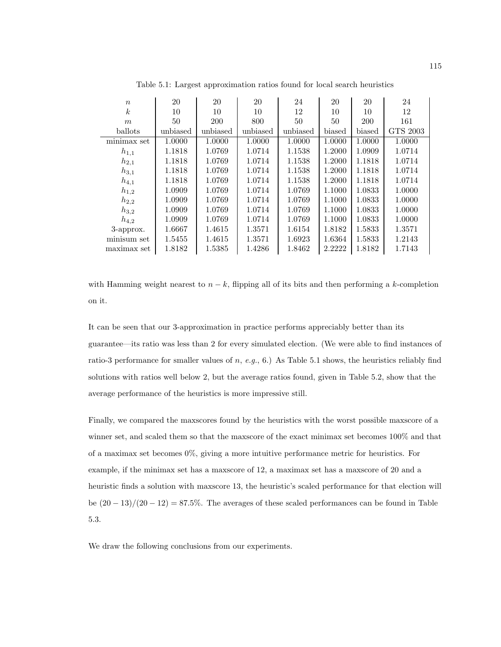| $\boldsymbol{n}$ | 20       | 20         | 20       | 24       | 20     | 20         | 24       |
|------------------|----------|------------|----------|----------|--------|------------|----------|
| $\boldsymbol{k}$ | 10       | 10         | 10       | 12       | 10     | 10         | 12       |
| m                | 50       | <b>200</b> | 800      | 50       | 50     | <b>200</b> | 161      |
| ballots          | unbiased | unbiased   | unbiased | unbiased | biased | biased     | GTS 2003 |
| minimax set      | 1.0000   | 1.0000     | 1.0000   | 1.0000   | 1.0000 | 1.0000     | 1.0000   |
| $h_{1,1}$        | 1.1818   | 1.0769     | 1.0714   | 1.1538   | 1.2000 | 1.0909     | 1.0714   |
| $h_{2,1}$        | 1.1818   | 1.0769     | 1.0714   | 1.1538   | 1.2000 | 1.1818     | 1.0714   |
| $h_{3,1}$        | 1.1818   | 1.0769     | 1.0714   | 1.1538   | 1.2000 | 1.1818     | 1.0714   |
| $h_{4,1}$        | 1.1818   | 1.0769     | 1.0714   | 1.1538   | 1.2000 | 1.1818     | 1.0714   |
| $h_{1,2}$        | 1.0909   | 1.0769     | 1.0714   | 1.0769   | 1.1000 | 1.0833     | 1.0000   |
| $h_{2,2}$        | 1.0909   | 1.0769     | 1.0714   | 1.0769   | 1.1000 | 1.0833     | 1.0000   |
| $h_{3,2}$        | 1.0909   | 1.0769     | 1.0714   | 1.0769   | 1.1000 | 1.0833     | 1.0000   |
| $h_{4,2}$        | 1.0909   | 1.0769     | 1.0714   | 1.0769   | 1.1000 | 1.0833     | 1.0000   |
| 3-approx.        | 1.6667   | 1.4615     | 1.3571   | 1.6154   | 1.8182 | 1.5833     | 1.3571   |
| minisum set      | 1.5455   | 1.4615     | 1.3571   | 1.6923   | 1.6364 | 1.5833     | 1.2143   |
| maximax set      | 1.8182   | 1.5385     | 1.4286   | 1.8462   | 2.2222 | 1.8182     | 1.7143   |

Table 5.1: Largest approximation ratios found for local search heuristics

with Hamming weight nearest to  $n - k$ , flipping all of its bits and then performing a k-completion on it.

It can be seen that our 3-approximation in practice performs appreciably better than its guarantee—its ratio was less than 2 for every simulated election. (We were able to find instances of ratio-3 performance for smaller values of n, e.g., 6.) As Table 5.1 shows, the heuristics reliably find solutions with ratios well below 2, but the average ratios found, given in Table 5.2, show that the average performance of the heuristics is more impressive still.

Finally, we compared the maxscores found by the heuristics with the worst possible maxscore of a winner set, and scaled them so that the maxscore of the exact minimax set becomes 100% and that of a maximax set becomes 0%, giving a more intuitive performance metric for heuristics. For example, if the minimax set has a maxscore of 12, a maximax set has a maxscore of 20 and a heuristic finds a solution with maxscore 13, the heuristic's scaled performance for that election will be  $(20-13)/(20-12) = 87.5\%$ . The averages of these scaled performances can be found in Table 5.3.

We draw the following conclusions from our experiments.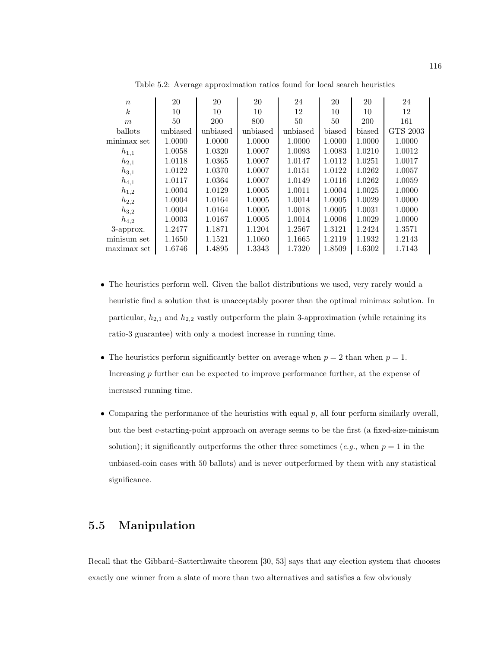| $\boldsymbol{n}$ | 20       | 20       | 20       | 24       | 20     | 20         | 24       |
|------------------|----------|----------|----------|----------|--------|------------|----------|
| $\boldsymbol{k}$ | 10       | 10       | 10       | 12       | 10     | 10         | 12       |
| m                | 50       | 200      | 800      | 50       | 50     | <b>200</b> | 161      |
| ballots          | unbiased | unbiased | unbiased | unbiased | biased | biased     | GTS 2003 |
| minimax set      | 1.0000   | 1.0000   | 1.0000   | 1.0000   | 1.0000 | 1.0000     | 1.0000   |
| $h_{1,1}$        | 1.0058   | 1.0320   | 1.0007   | 1.0093   | 1.0083 | 1.0210     | 1.0012   |
| $h_{2,1}$        | 1.0118   | 1.0365   | 1.0007   | 1.0147   | 1.0112 | 1.0251     | 1.0017   |
| $h_{3,1}$        | 1.0122   | 1.0370   | 1.0007   | 1.0151   | 1.0122 | 1.0262     | 1.0057   |
| $h_{4,1}$        | 1.0117   | 1.0364   | 1.0007   | 1.0149   | 1.0116 | 1.0262     | 1.0059   |
| $h_{1,2}$        | 1.0004   | 1.0129   | 1.0005   | 1.0011   | 1.0004 | 1.0025     | 1.0000   |
| $h_{2,2}$        | 1.0004   | 1.0164   | 1.0005   | 1.0014   | 1.0005 | 1.0029     | 1.0000   |
| $h_{3,2}$        | 1.0004   | 1.0164   | 1.0005   | 1.0018   | 1.0005 | 1.0031     | 1.0000   |
| $h_{4,2}$        | 1.0003   | 1.0167   | 1.0005   | 1.0014   | 1.0006 | 1.0029     | 1.0000   |
| 3-approx.        | 1.2477   | 1.1871   | 1.1204   | 1.2567   | 1.3121 | 1.2424     | 1.3571   |
| minisum set      | 1.1650   | 1.1521   | 1.1060   | 1.1665   | 1.2119 | 1.1932     | 1.2143   |
| maximax set      | 1.6746   | 1.4895   | 1.3343   | 1.7320   | 1.8509 | 1.6302     | 1.7143   |

Table 5.2: Average approximation ratios found for local search heuristics

- The heuristics perform well. Given the ballot distributions we used, very rarely would a heuristic find a solution that is unacceptably poorer than the optimal minimax solution. In particular,  $h_{2,1}$  and  $h_{2,2}$  vastly outperform the plain 3-approximation (while retaining its ratio-3 guarantee) with only a modest increase in running time.
- The heuristics perform significantly better on average when  $p = 2$  than when  $p = 1$ . Increasing p further can be expected to improve performance further, at the expense of increased running time.
- Comparing the performance of the heuristics with equal  $p$ , all four perform similarly overall, but the best c-starting-point approach on average seems to be the first (a fixed-size-minisum solution); it significantly outperforms the other three sometimes (e.g., when  $p = 1$  in the unbiased-coin cases with 50 ballots) and is never outperformed by them with any statistical significance.

## 5.5 Manipulation

Recall that the Gibbard–Satterthwaite theorem [30, 53] says that any election system that chooses exactly one winner from a slate of more than two alternatives and satisfies a few obviously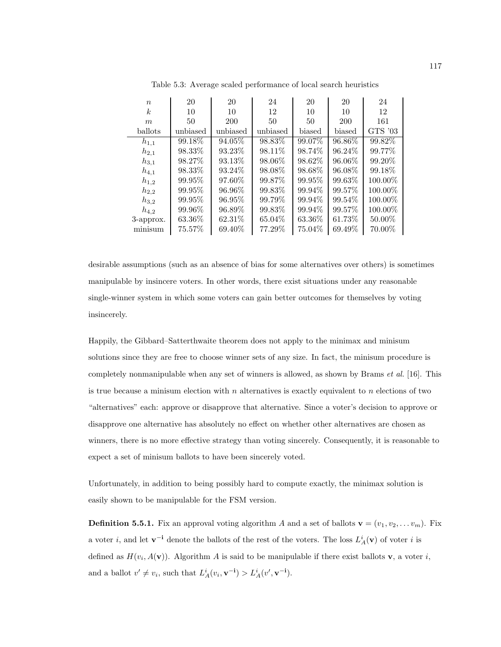| $\boldsymbol{n}$ | 20       | 20       | 24       | 20      | 20      | 24        |
|------------------|----------|----------|----------|---------|---------|-----------|
| k <sub>i</sub>   | 10       | 10       | 12       | 10      | 10      | 12        |
| m                | 50       | 200      | 50       | 50      | 200     | 161       |
| ballots          | unbiased | unbiased | unbiased | biased  | biased  | $GTS$ '03 |
| $h_{1,1}$        | 99.18%   | 94.05%   | 98.83%   | 99.07%  | 96.86%  | 99.82\%   |
| $h_{2,1}$        | 98.33\%  | 93.23\%  | 98.11\%  | 98.74\% | 96.24\% | 99.77%    |
| $h_{3,1}$        | 98.27\%  | 93.13\%  | 98.06\%  | 98.62\% | 96.06%  | 99.20%    |
| $h_{4,1}$        | 98.33\%  | 93.24\%  | 98.08%   | 98.68%  | 96.08%  | 99.18\%   |
| $h_{1,2}$        | 99.95%   | 97.60\%  | 99.87\%  | 99.95%  | 99.63%  | 100.00%   |
| $h_{2,2}$        | 99.95%   | 96.96%   | 99.83%   | 99.94%  | 99.57%  | 100.00%   |
| $h_{3,2}$        | 99.95%   | 96.95%   | 99.79%   | 99.94%  | 99.54%  | 100.00%   |
| $h_{4,2}$        | 99.96%   | 96.89%   | 99.83\%  | 99.94%  | 99.57%  | 100.00%   |
| 3-approx.        | 63.36\%  | 62.31\%  | 65.04\%  | 63.36\% | 61.73%  | 50.00%    |
| minisum          | 75.57%   | 69.40%   | 77.29%   | 75.04%  | 69.49%  | 70.00%    |

Table 5.3: Average scaled performance of local search heuristics

desirable assumptions (such as an absence of bias for some alternatives over others) is sometimes manipulable by insincere voters. In other words, there exist situations under any reasonable single-winner system in which some voters can gain better outcomes for themselves by voting insincerely.

Happily, the Gibbard–Satterthwaite theorem does not apply to the minimax and minisum solutions since they are free to choose winner sets of any size. In fact, the minisum procedure is completely nonmanipulable when any set of winners is allowed, as shown by Brams  $et al.$  [16]. This is true because a minisum election with  $n$  alternatives is exactly equivalent to  $n$  elections of two "alternatives" each: approve or disapprove that alternative. Since a voter's decision to approve or disapprove one alternative has absolutely no effect on whether other alternatives are chosen as winners, there is no more effective strategy than voting sincerely. Consequently, it is reasonable to expect a set of minisum ballots to have been sincerely voted.

Unfortunately, in addition to being possibly hard to compute exactly, the minimax solution is easily shown to be manipulable for the FSM version.

**Definition 5.5.1.** Fix an approval voting algorithm A and a set of ballots  $\mathbf{v} = (v_1, v_2, \dots v_m)$ . Fix a voter *i*, and let  $v^{-i}$  denote the ballots of the rest of the voters. The loss  $L_A^i(v)$  of voter *i* is defined as  $H(v_i, A(\mathbf{v}))$ . Algorithm A is said to be manipulable if there exist ballots  $\mathbf{v}$ , a voter i, and a ballot  $v' \neq v_i$ , such that  $L_A^i(v_i, \mathbf{v}^{-i}) > L_A^i(v', \mathbf{v}^{-i}).$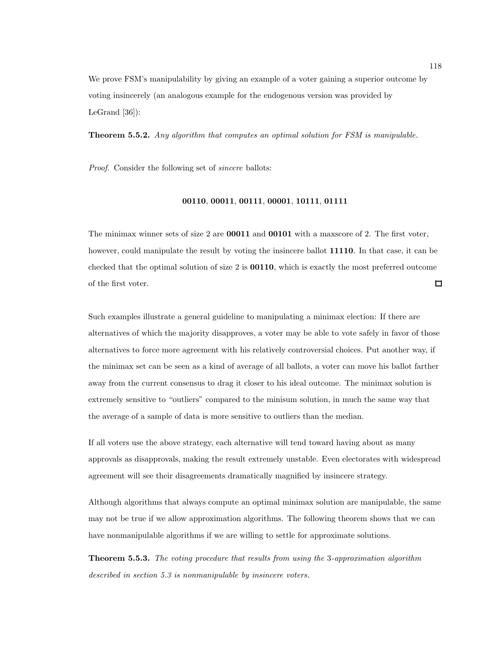We prove FSM's manipulability by giving an example of a voter gaining a superior outcome by voting insincerely (an analogous example for the endogenous version was provided by LeGrand [36]):

Theorem 5.5.2. Any algorithm that computes an optimal solution for FSM is manipulable.

Proof. Consider the following set of sincere ballots:

#### 00110, 00011, 00111, 00001, 10111, 01111

The minimax winner sets of size 2 are 00011 and 00101 with a maxscore of 2. The first voter, however, could manipulate the result by voting the insincere ballot 11110. In that case, it can be checked that the optimal solution of size 2 is 00110, which is exactly the most preferred outcome  $\Box$ of the first voter.

Such examples illustrate a general guideline to manipulating a minimax election: If there are alternatives of which the majority disapproves, a voter may be able to vote safely in favor of those alternatives to force more agreement with his relatively controversial choices. Put another way, if the minimax set can be seen as a kind of average of all ballots, a voter can move his ballot farther away from the current consensus to drag it closer to his ideal outcome. The minimax solution is extremely sensitive to "outliers" compared to the minisum solution, in much the same way that the average of a sample of data is more sensitive to outliers than the median.

If all voters use the above strategy, each alternative will tend toward having about as many approvals as disapprovals, making the result extremely unstable. Even electorates with widespread agreement will see their disagreements dramatically magnified by insincere strategy.

Although algorithms that always compute an optimal minimax solution are manipulable, the same may not be true if we allow approximation algorithms. The following theorem shows that we can have nonmanipulable algorithms if we are willing to settle for approximate solutions.

Theorem 5.5.3. The voting procedure that results from using the 3-approximation algorithm described in section 5.3 is nonmanipulable by insincere voters.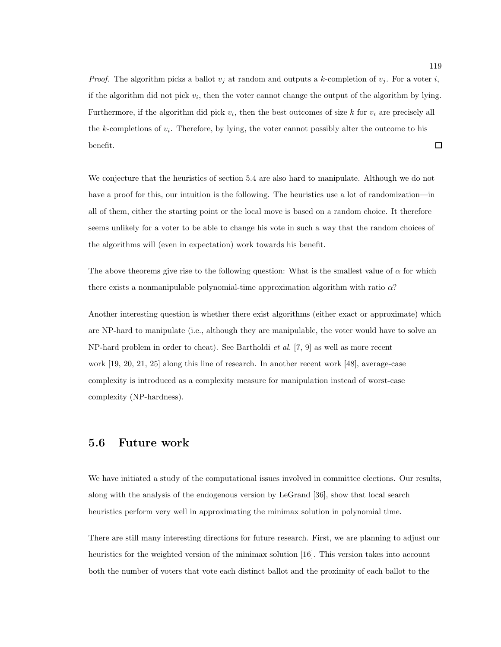*Proof.* The algorithm picks a ballot  $v_i$  at random and outputs a k-completion of  $v_i$ . For a voter i, if the algorithm did not pick  $v_i$ , then the voter cannot change the output of the algorithm by lying. Furthermore, if the algorithm did pick  $v_i$ , then the best outcomes of size k for  $v_i$  are precisely all the k-completions of  $v_i$ . Therefore, by lying, the voter cannot possibly alter the outcome to his  $\Box$ benefit.

We conjecture that the heuristics of section 5.4 are also hard to manipulate. Although we do not have a proof for this, our intuition is the following. The heuristics use a lot of randomization—in all of them, either the starting point or the local move is based on a random choice. It therefore seems unlikely for a voter to be able to change his vote in such a way that the random choices of the algorithms will (even in expectation) work towards his benefit.

The above theorems give rise to the following question: What is the smallest value of  $\alpha$  for which there exists a nonmanipulable polynomial-time approximation algorithm with ratio  $\alpha$ ?

Another interesting question is whether there exist algorithms (either exact or approximate) which are NP-hard to manipulate (i.e., although they are manipulable, the voter would have to solve an NP-hard problem in order to cheat). See Bartholdi *et al.* [7, 9] as well as more recent work [19, 20, 21, 25] along this line of research. In another recent work [48], average-case complexity is introduced as a complexity measure for manipulation instead of worst-case complexity (NP-hardness).

### 5.6 Future work

We have initiated a study of the computational issues involved in committee elections. Our results, along with the analysis of the endogenous version by LeGrand [36], show that local search heuristics perform very well in approximating the minimax solution in polynomial time.

There are still many interesting directions for future research. First, we are planning to adjust our heuristics for the weighted version of the minimax solution [16]. This version takes into account both the number of voters that vote each distinct ballot and the proximity of each ballot to the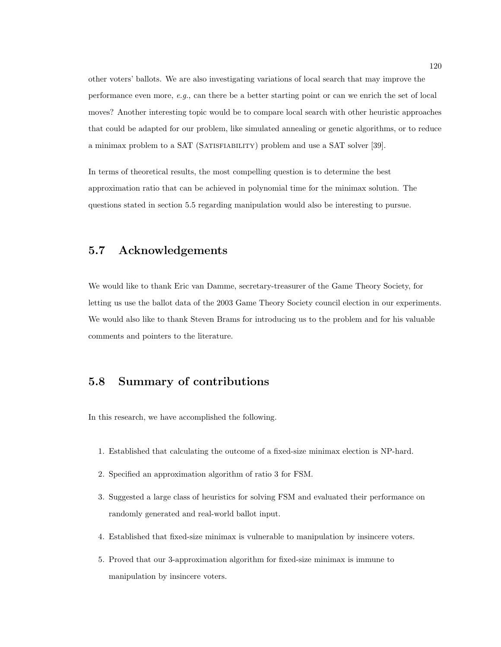other voters' ballots. We are also investigating variations of local search that may improve the performance even more, e.g., can there be a better starting point or can we enrich the set of local moves? Another interesting topic would be to compare local search with other heuristic approaches that could be adapted for our problem, like simulated annealing or genetic algorithms, or to reduce a minimax problem to a SAT (Satisfiability) problem and use a SAT solver [39].

In terms of theoretical results, the most compelling question is to determine the best approximation ratio that can be achieved in polynomial time for the minimax solution. The questions stated in section 5.5 regarding manipulation would also be interesting to pursue.

## 5.7 Acknowledgements

We would like to thank Eric van Damme, secretary-treasurer of the Game Theory Society, for letting us use the ballot data of the 2003 Game Theory Society council election in our experiments. We would also like to thank Steven Brams for introducing us to the problem and for his valuable comments and pointers to the literature.

## 5.8 Summary of contributions

In this research, we have accomplished the following.

- 1. Established that calculating the outcome of a fixed-size minimax election is NP-hard.
- 2. Specified an approximation algorithm of ratio 3 for FSM.
- 3. Suggested a large class of heuristics for solving FSM and evaluated their performance on randomly generated and real-world ballot input.
- 4. Established that fixed-size minimax is vulnerable to manipulation by insincere voters.
- 5. Proved that our 3-approximation algorithm for fixed-size minimax is immune to manipulation by insincere voters.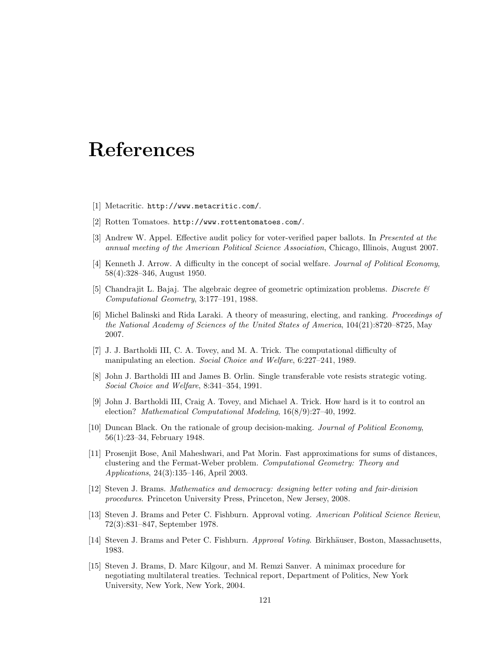# References

- [1] Metacritic. http://www.metacritic.com/.
- [2] Rotten Tomatoes. http://www.rottentomatoes.com/.
- [3] Andrew W. Appel. Effective audit policy for voter-verified paper ballots. In Presented at the annual meeting of the American Political Science Association, Chicago, Illinois, August 2007.
- [4] Kenneth J. Arrow. A difficulty in the concept of social welfare. Journal of Political Economy, 58(4):328–346, August 1950.
- [5] Chandrajit L. Bajaj. The algebraic degree of geometric optimization problems. Discrete  $\mathcal{C}$ Computational Geometry, 3:177–191, 1988.
- [6] Michel Balinski and Rida Laraki. A theory of measuring, electing, and ranking. Proceedings of the National Academy of Sciences of the United States of America, 104(21):8720–8725, May 2007.
- [7] J. J. Bartholdi III, C. A. Tovey, and M. A. Trick. The computational difficulty of manipulating an election. Social Choice and Welfare, 6:227–241, 1989.
- [8] John J. Bartholdi III and James B. Orlin. Single transferable vote resists strategic voting. Social Choice and Welfare, 8:341–354, 1991.
- [9] John J. Bartholdi III, Craig A. Tovey, and Michael A. Trick. How hard is it to control an election? Mathematical Computational Modeling, 16(8/9):27–40, 1992.
- [10] Duncan Black. On the rationale of group decision-making. Journal of Political Economy, 56(1):23–34, February 1948.
- [11] Prosenjit Bose, Anil Maheshwari, and Pat Morin. Fast approximations for sums of distances, clustering and the Fermat-Weber problem. Computational Geometry: Theory and Applications, 24(3):135–146, April 2003.
- [12] Steven J. Brams. Mathematics and democracy: designing better voting and fair-division procedures. Princeton University Press, Princeton, New Jersey, 2008.
- [13] Steven J. Brams and Peter C. Fishburn. Approval voting. American Political Science Review, 72(3):831–847, September 1978.
- [14] Steven J. Brams and Peter C. Fishburn. Approval Voting. Birkhäuser, Boston, Massachusetts, 1983.
- [15] Steven J. Brams, D. Marc Kilgour, and M. Remzi Sanver. A minimax procedure for negotiating multilateral treaties. Technical report, Department of Politics, New York University, New York, New York, 2004.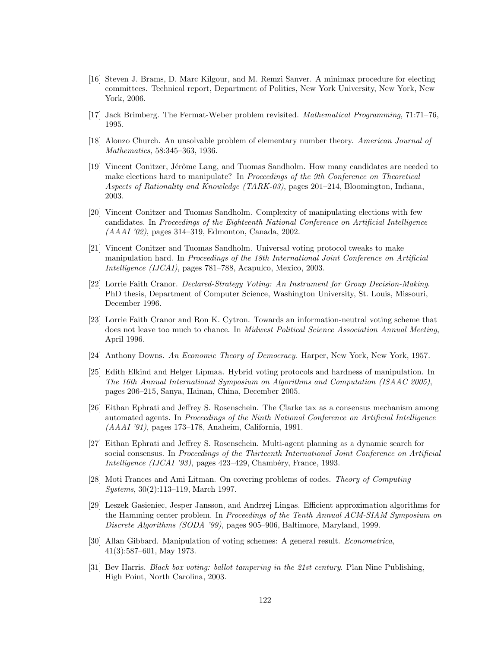- [16] Steven J. Brams, D. Marc Kilgour, and M. Remzi Sanver. A minimax procedure for electing committees. Technical report, Department of Politics, New York University, New York, New York, 2006.
- [17] Jack Brimberg. The Fermat-Weber problem revisited. Mathematical Programming, 71:71–76, 1995.
- [18] Alonzo Church. An unsolvable problem of elementary number theory. American Journal of Mathematics, 58:345–363, 1936.
- [19] Vincent Conitzer, Jérôme Lang, and Tuomas Sandholm. How many candidates are needed to make elections hard to manipulate? In Proceedings of the 9th Conference on Theoretical Aspects of Rationality and Knowledge (TARK-03), pages 201–214, Bloomington, Indiana, 2003.
- [20] Vincent Conitzer and Tuomas Sandholm. Complexity of manipulating elections with few candidates. In Proceedings of the Eighteenth National Conference on Artificial Intelligence (AAAI '02), pages 314–319, Edmonton, Canada, 2002.
- [21] Vincent Conitzer and Tuomas Sandholm. Universal voting protocol tweaks to make manipulation hard. In Proceedings of the 18th International Joint Conference on Artificial Intelligence (IJCAI), pages 781–788, Acapulco, Mexico, 2003.
- [22] Lorrie Faith Cranor. Declared-Strategy Voting: An Instrument for Group Decision-Making. PhD thesis, Department of Computer Science, Washington University, St. Louis, Missouri, December 1996.
- [23] Lorrie Faith Cranor and Ron K. Cytron. Towards an information-neutral voting scheme that does not leave too much to chance. In Midwest Political Science Association Annual Meeting, April 1996.
- [24] Anthony Downs. An Economic Theory of Democracy. Harper, New York, New York, 1957.
- [25] Edith Elkind and Helger Lipmaa. Hybrid voting protocols and hardness of manipulation. In The 16th Annual International Symposium on Algorithms and Computation (ISAAC 2005), pages 206–215, Sanya, Hainan, China, December 2005.
- [26] Eithan Ephrati and Jeffrey S. Rosenschein. The Clarke tax as a consensus mechanism among automated agents. In Proceedings of the Ninth National Conference on Artificial Intelligence (AAAI '91), pages 173–178, Anaheim, California, 1991.
- [27] Eithan Ephrati and Jeffrey S. Rosenschein. Multi-agent planning as a dynamic search for social consensus. In Proceedings of the Thirteenth International Joint Conference on Artificial Intelligence (IJCAI '93), pages 423-429, Chambéry, France, 1993.
- [28] Moti Frances and Ami Litman. On covering problems of codes. Theory of Computing Systems, 30(2):113–119, March 1997.
- [29] Leszek Gasieniec, Jesper Jansson, and Andrzej Lingas. Efficient approximation algorithms for the Hamming center problem. In Proceedings of the Tenth Annual ACM-SIAM Symposium on Discrete Algorithms (SODA '99), pages 905–906, Baltimore, Maryland, 1999.
- [30] Allan Gibbard. Manipulation of voting schemes: A general result. Econometrica, 41(3):587–601, May 1973.
- [31] Bev Harris. Black box voting: ballot tampering in the 21st century. Plan Nine Publishing, High Point, North Carolina, 2003.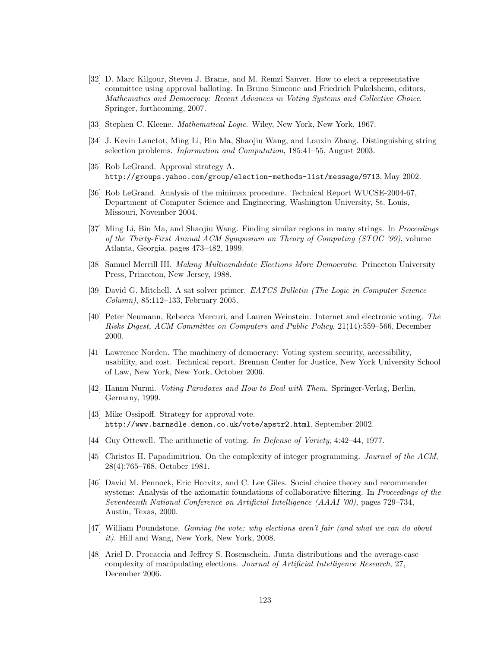- [32] D. Marc Kilgour, Steven J. Brams, and M. Remzi Sanver. How to elect a representative committee using approval balloting. In Bruno Simeone and Friedrich Pukelsheim, editors, Mathematics and Democracy: Recent Advances in Voting Systems and Collective Choice. Springer, forthcoming, 2007.
- [33] Stephen C. Kleene. *Mathematical Logic*. Wiley, New York, New York, 1967.
- [34] J. Kevin Lanctot, Ming Li, Bin Ma, Shaojiu Wang, and Louxin Zhang. Distinguishing string selection problems. Information and Computation, 185:41–55, August 2003.
- [35] Rob LeGrand. Approval strategy A. http://groups.yahoo.com/group/election-methods-list/message/9713, May 2002.
- [36] Rob LeGrand. Analysis of the minimax procedure. Technical Report WUCSE-2004-67, Department of Computer Science and Engineering, Washington University, St. Louis, Missouri, November 2004.
- [37] Ming Li, Bin Ma, and Shaojiu Wang. Finding similar regions in many strings. In Proceedings of the Thirty-First Annual ACM Symposium on Theory of Computing (STOC '99), volume Atlanta, Georgia, pages 473–482, 1999.
- [38] Samuel Merrill III. Making Multicandidate Elections More Democratic. Princeton University Press, Princeton, New Jersey, 1988.
- [39] David G. Mitchell. A sat solver primer. EATCS Bulletin (The Logic in Computer Science Column), 85:112–133, February 2005.
- [40] Peter Neumann, Rebecca Mercuri, and Lauren Weinstein. Internet and electronic voting. The Risks Digest, ACM Committee on Computers and Public Policy, 21(14):559–566, December 2000.
- [41] Lawrence Norden. The machinery of democracy: Voting system security, accessibility, usability, and cost. Technical report, Brennan Center for Justice, New York University School of Law, New York, New York, October 2006.
- [42] Hannu Nurmi. Voting Paradoxes and How to Deal with Them. Springer-Verlag, Berlin, Germany, 1999.
- [43] Mike Ossipoff. Strategy for approval vote. http://www.barnsdle.demon.co.uk/vote/apstr2.html, September 2002.
- [44] Guy Ottewell. The arithmetic of voting. In Defense of Variety, 4:42–44, 1977.
- [45] Christos H. Papadimitriou. On the complexity of integer programming. Journal of the ACM, 28(4):765–768, October 1981.
- [46] David M. Pennock, Eric Horvitz, and C. Lee Giles. Social choice theory and recommender systems: Analysis of the axiomatic foundations of collaborative filtering. In *Proceedings of the* Seventeenth National Conference on Artificial Intelligence (AAAI '00), pages 729–734, Austin, Texas, 2000.
- [47] William Poundstone. Gaming the vote: why elections aren't fair (and what we can do about it). Hill and Wang, New York, New York, 2008.
- [48] Ariel D. Procaccia and Jeffrey S. Rosenschein. Junta distributions and the average-case complexity of manipulating elections. Journal of Artificial Intelligence Research, 27, December 2006.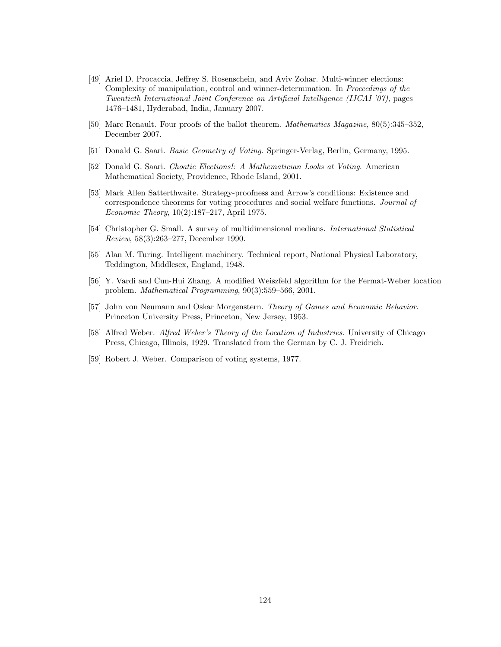- [49] Ariel D. Procaccia, Jeffrey S. Rosenschein, and Aviv Zohar. Multi-winner elections: Complexity of manipulation, control and winner-determination. In Proceedings of the Twentieth International Joint Conference on Artificial Intelligence (IJCAI '07), pages 1476–1481, Hyderabad, India, January 2007.
- [50] Marc Renault. Four proofs of the ballot theorem. Mathematics Magazine, 80(5):345–352, December 2007.
- [51] Donald G. Saari. Basic Geometry of Voting. Springer-Verlag, Berlin, Germany, 1995.
- [52] Donald G. Saari. Choatic Elections!: A Mathematician Looks at Voting. American Mathematical Society, Providence, Rhode Island, 2001.
- [53] Mark Allen Satterthwaite. Strategy-proofness and Arrow's conditions: Existence and correspondence theorems for voting procedures and social welfare functions. Journal of Economic Theory, 10(2):187–217, April 1975.
- [54] Christopher G. Small. A survey of multidimensional medians. International Statistical Review, 58(3):263–277, December 1990.
- [55] Alan M. Turing. Intelligent machinery. Technical report, National Physical Laboratory, Teddington, Middlesex, England, 1948.
- [56] Y. Vardi and Cun-Hui Zhang. A modified Weiszfeld algorithm for the Fermat-Weber location problem. Mathematical Programming, 90(3):559–566, 2001.
- [57] John von Neumann and Oskar Morgenstern. Theory of Games and Economic Behavior. Princeton University Press, Princeton, New Jersey, 1953.
- [58] Alfred Weber. Alfred Weber's Theory of the Location of Industries. University of Chicago Press, Chicago, Illinois, 1929. Translated from the German by C. J. Freidrich.
- [59] Robert J. Weber. Comparison of voting systems, 1977.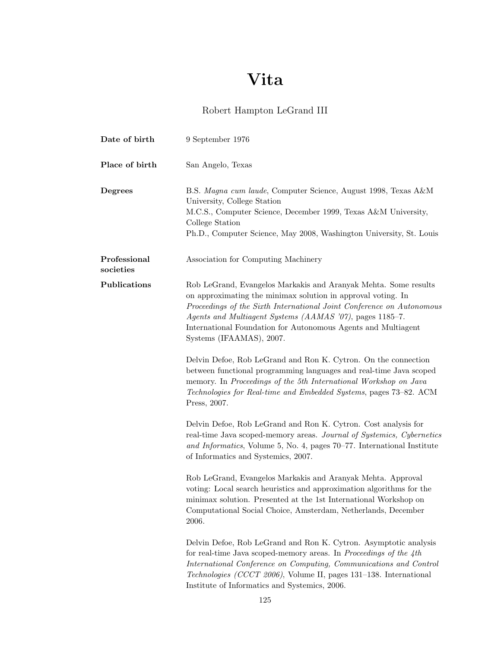# Vita

## Robert Hampton LeGrand III

| Date of birth             | 9 September 1976                                                                                                                                                                                                                                                                                                                                                  |  |  |  |  |
|---------------------------|-------------------------------------------------------------------------------------------------------------------------------------------------------------------------------------------------------------------------------------------------------------------------------------------------------------------------------------------------------------------|--|--|--|--|
| Place of birth            | San Angelo, Texas                                                                                                                                                                                                                                                                                                                                                 |  |  |  |  |
| Degrees                   | B.S. Magna cum laude, Computer Science, August 1998, Texas A&M<br>University, College Station<br>M.C.S., Computer Science, December 1999, Texas A&M University,<br>College Station<br>Ph.D., Computer Science, May 2008, Washington University, St. Louis                                                                                                         |  |  |  |  |
| Professional<br>societies | Association for Computing Machinery                                                                                                                                                                                                                                                                                                                               |  |  |  |  |
| Publications              | Rob LeGrand, Evangelos Markakis and Aranyak Mehta. Some results<br>on approximating the minimax solution in approval voting. In<br>Proceedings of the Sixth International Joint Conference on Autonomous<br>Agents and Multiagent Systems (AAMAS '07), pages 1185-7.<br>International Foundation for Autonomous Agents and Multiagent<br>Systems (IFAAMAS), 2007. |  |  |  |  |
|                           | Delvin Defoe, Rob LeGrand and Ron K. Cytron. On the connection<br>between functional programming languages and real-time Java scoped<br>memory. In Proceedings of the 5th International Workshop on Java<br>Technologies for Real-time and Embedded Systems, pages 73-82. ACM<br>Press, 2007.                                                                     |  |  |  |  |
|                           | Delvin Defoe, Rob LeGrand and Ron K. Cytron. Cost analysis for<br>real-time Java scoped-memory areas. Journal of Systemics, Cybernetics<br>and Informatics, Volume 5, No. 4, pages 70–77. International Institute<br>of Informatics and Systemics, 2007.                                                                                                          |  |  |  |  |
|                           | Rob LeGrand, Evangelos Markakis and Aranyak Mehta. Approval<br>voting: Local search heuristics and approximation algorithms for the<br>minimax solution. Presented at the 1st International Workshop on<br>Computational Social Choice, Amsterdam, Netherlands, December<br>2006.                                                                                 |  |  |  |  |
|                           | Delvin Defoe, Rob LeGrand and Ron K. Cytron. Asymptotic analysis<br>for real-time Java scoped-memory areas. In Proceedings of the $4th$<br>International Conference on Computing, Communications and Control<br>Technologies (CCCT 2006), Volume II, pages 131-138. International<br>Institute of Informatics and Systemics, 2006.                                |  |  |  |  |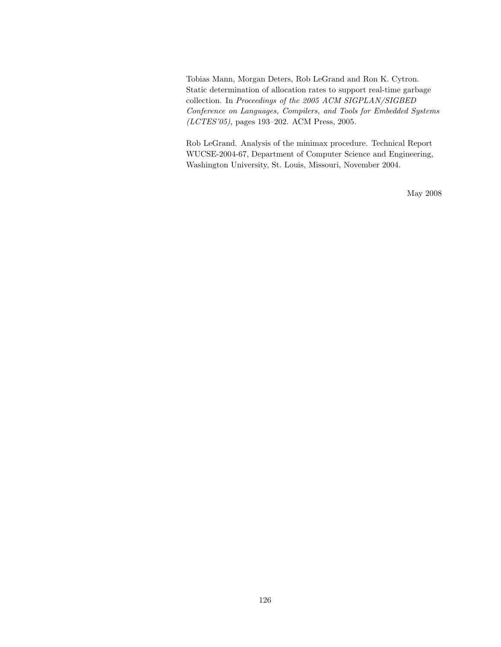Tobias Mann, Morgan Deters, Rob LeGrand and Ron K. Cytron. Static determination of allocation rates to support real-time garbage collection. In Proceedings of the 2005 ACM SIGPLAN/SIGBED Conference on Languages, Compilers, and Tools for Embedded Systems (LCTES'05), pages 193–202. ACM Press, 2005.

Rob LeGrand. Analysis of the minimax procedure. Technical Report WUCSE-2004-67, Department of Computer Science and Engineering, Washington University, St. Louis, Missouri, November 2004.

May 2008